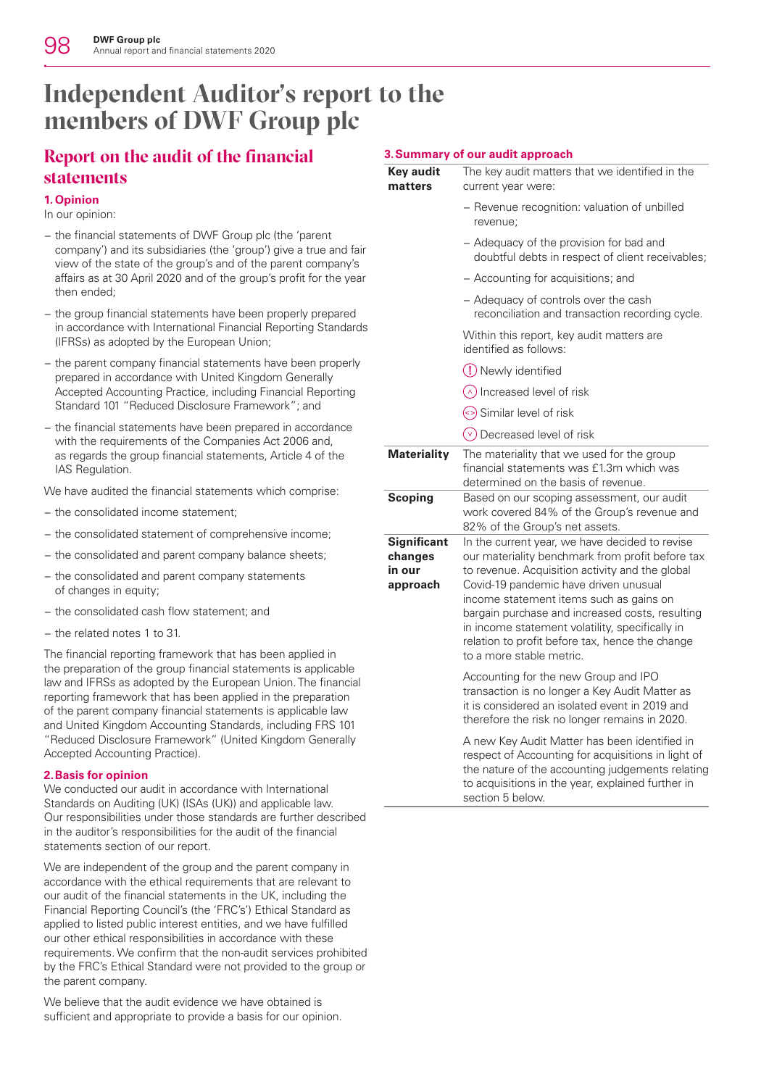# **Independent Auditor's report to the members of DWF Group plc**

## **Report on the audit of the financial statements**

## **1.Opinion**

In our opinion:

- − the financial statements of DWF Group plc (the 'parent company') and its subsidiaries (the 'group') give a true and fair view of the state of the group's and of the parent company's affairs as at 30 April 2020 and of the group's profit for the year then ended;
- − the group financial statements have been properly prepared in accordance with International Financial Reporting Standards (IFRSs) as adopted by the European Union;
- − the parent company financial statements have been properly prepared in accordance with United Kingdom Generally Accepted Accounting Practice, including Financial Reporting Standard 101 "Reduced Disclosure Framework"; and
- − the financial statements have been prepared in accordance with the requirements of the Companies Act 2006 and, as regards the group financial statements, Article 4 of the IAS Regulation.

We have audited the financial statements which comprise:

- − the consolidated income statement;
- − the consolidated statement of comprehensive income;
- − the consolidated and parent company balance sheets;
- − the consolidated and parent company statements of changes in equity;
- − the consolidated cash flow statement; and
- − the related notes 1 to 31.

The financial reporting framework that has been applied in the preparation of the group financial statements is applicable law and IFRSs as adopted by the European Union. The financial reporting framework that has been applied in the preparation of the parent company financial statements is applicable law and United Kingdom Accounting Standards, including FRS 101 "Reduced Disclosure Framework" (United Kingdom Generally Accepted Accounting Practice).

## **2.Basis for opinion**

We conducted our audit in accordance with International Standards on Auditing (UK) (ISAs (UK)) and applicable law. Our responsibilities under those standards are further described in the auditor's responsibilities for the audit of the financial statements section of our report.

We are independent of the group and the parent company in accordance with the ethical requirements that are relevant to our audit of the financial statements in the UK, including the Financial Reporting Council's (the 'FRC's') Ethical Standard as applied to listed public interest entities, and we have fulfilled our other ethical responsibilities in accordance with these requirements. We confirm that the non-audit services prohibited by the FRC's Ethical Standard were not provided to the group or the parent company.

We believe that the audit evidence we have obtained is sufficient and appropriate to provide a basis for our opinion.

## **3.Summary of our audit approach**

| Key audit | The key audit matters that we identified in the |  |  |  |  |  |  |  |
|-----------|-------------------------------------------------|--|--|--|--|--|--|--|
| matters   | current year were:                              |  |  |  |  |  |  |  |
|           |                                                 |  |  |  |  |  |  |  |

- − Revenue recognition: valuation of unbilled revenue;
- − Adequacy of the provision for bad and doubtful debts in respect of client receivables;
- − Accounting for acquisitions; and
- − Adequacy of controls over the cash reconciliation and transaction recording cycle.

Within this report, key audit matters are identified as follows:

- Newly identified
- $\circ$  Increased level of risk
- $\Diamond$  Similar level of risk
- $(v)$  Decreased level of risk

**Materiality** The materiality that we used for the group financial statements was £1.3m which was determined on the basis of revenue. **Scoping** Based on our scoping assessment, our audit work covered 84% of the Group's revenue and 82% of the Group's net assets. **Significant changes in our approach** In the current year, we have decided to revise our materiality benchmark from profit before tax to revenue. Acquisition activity and the global Covid-19 pandemic have driven unusual income statement items such as gains on bargain purchase and increased costs, resulting in income statement volatility, specifically in relation to profit before tax, hence the change to a more stable metric.

Accounting for the new Group and IPO transaction is no longer a Key Audit Matter as it is considered an isolated event in 2019 and therefore the risk no longer remains in 2020.

A new Key Audit Matter has been identified in respect of Accounting for acquisitions in light of the nature of the accounting judgements relating to acquisitions in the year, explained further in section 5 below.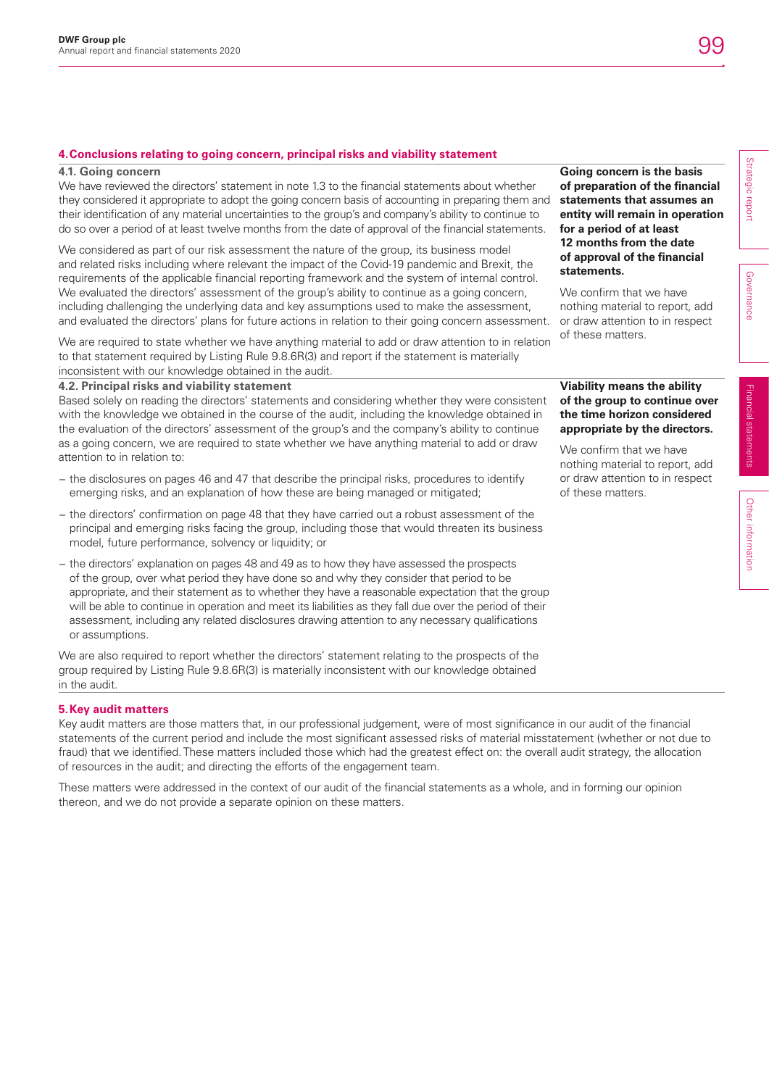## **4.Conclusions relating to going concern, principal risks and viability statement**

#### **4.1. Going concern**

We have reviewed the directors' statement in note 1.3 to the financial statements about whether they considered it appropriate to adopt the going concern basis of accounting in preparing them and their identification of any material uncertainties to the group's and company's ability to continue to do so over a period of at least twelve months from the date of approval of the financial statements.

We considered as part of our risk assessment the nature of the group, its business model and related risks including where relevant the impact of the Covid-19 pandemic and Brexit, the requirements of the applicable financial reporting framework and the system of internal control. We evaluated the directors' assessment of the group's ability to continue as a going concern, including challenging the underlying data and key assumptions used to make the assessment, and evaluated the directors' plans for future actions in relation to their going concern assessment.

We are required to state whether we have anything material to add or draw attention to in relation to that statement required by Listing Rule 9.8.6R(3) and report if the statement is materially inconsistent with our knowledge obtained in the audit.

### **4.2. Principal risks and viability statement**

Based solely on reading the directors' statements and considering whether they were consistent with the knowledge we obtained in the course of the audit, including the knowledge obtained in the evaluation of the directors' assessment of the group's and the company's ability to continue as a going concern, we are required to state whether we have anything material to add or draw attention to in relation to:

- − the disclosures on pages 46 and 47 that describe the principal risks, procedures to identify emerging risks, and an explanation of how these are being managed or mitigated;
- − the directors' confirmation on page 48 that they have carried out a robust assessment of the principal and emerging risks facing the group, including those that would threaten its business model, future performance, solvency or liquidity; or
- − the directors' explanation on pages 48 and 49 as to how they have assessed the prospects of the group, over what period they have done so and why they consider that period to be appropriate, and their statement as to whether they have a reasonable expectation that the group will be able to continue in operation and meet its liabilities as they fall due over the period of their assessment, including any related disclosures drawing attention to any necessary qualifications or assumptions.

We are also required to report whether the directors' statement relating to the prospects of the group required by Listing Rule 9.8.6R(3) is materially inconsistent with our knowledge obtained in the audit.

### **5.Key audit matters**

Key audit matters are those matters that, in our professional judgement, were of most significance in our audit of the financial statements of the current period and include the most significant assessed risks of material misstatement (whether or not due to fraud) that we identified. These matters included those which had the greatest effect on: the overall audit strategy, the allocation of resources in the audit; and directing the efforts of the engagement team.

These matters were addressed in the context of our audit of the financial statements as a whole, and in forming our opinion thereon, and we do not provide a separate opinion on these matters.

### **Going concern is the basis of preparation of the financial statements that assumes an entity will remain in operation for a period of at least 12 months from the date of approval of the financial statements.**

We confirm that we have nothing material to report, add or draw attention to in respect of these matters.

## **Viability means the ability of the group to continue over the time horizon considered appropriate by the directors.**

We confirm that we have nothing material to report, add or draw attention to in respect of these matters.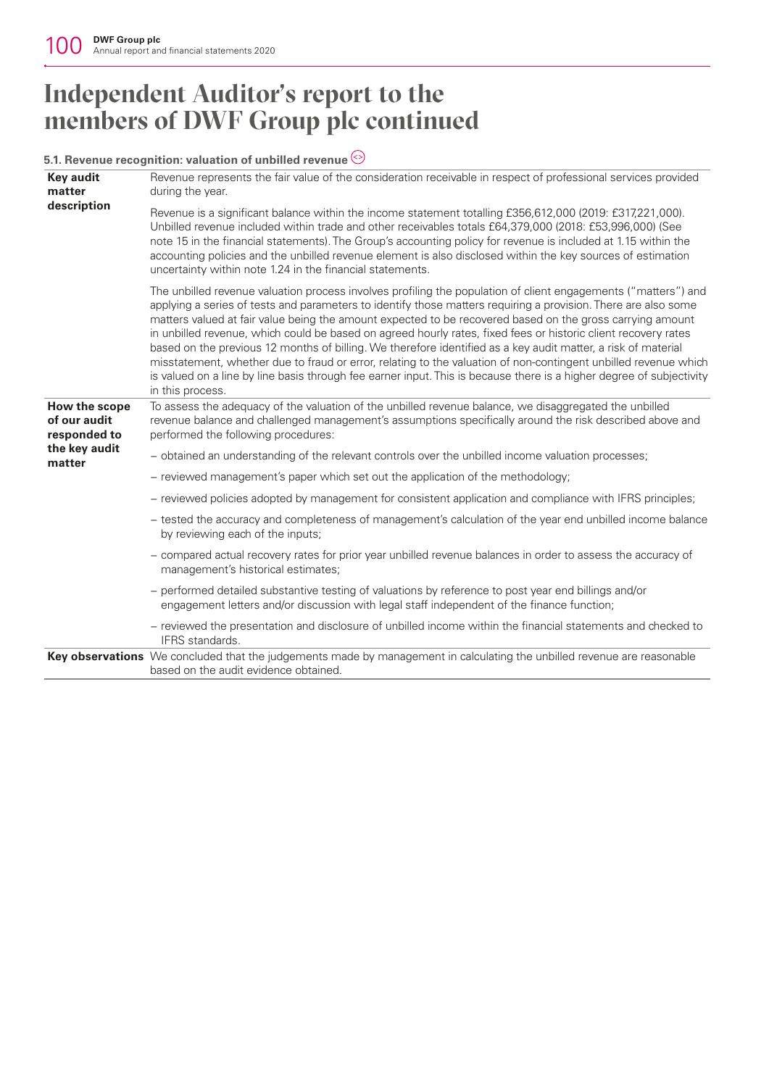# **Independent Auditor's report to the members of DWF Group plc continued**

## **5.1. Revenue recognition: valuation of unbilled revenue**

| <b>Key audit</b><br>matter                    | Revenue represents the fair value of the consideration receivable in respect of professional services provided<br>during the year.                                                                                                                                                                                                                                                                                                                                                                                                                                                                                                                                                                                                                                                                                                              |
|-----------------------------------------------|-------------------------------------------------------------------------------------------------------------------------------------------------------------------------------------------------------------------------------------------------------------------------------------------------------------------------------------------------------------------------------------------------------------------------------------------------------------------------------------------------------------------------------------------------------------------------------------------------------------------------------------------------------------------------------------------------------------------------------------------------------------------------------------------------------------------------------------------------|
| description                                   | Revenue is a significant balance within the income statement totalling £356,612,000 (2019: £317,221,000).<br>Unbilled revenue included within trade and other receivables totals £64,379,000 (2018: £53,996,000) (See<br>note 15 in the financial statements). The Group's accounting policy for revenue is included at 1.15 within the<br>accounting policies and the unbilled revenue element is also disclosed within the key sources of estimation<br>uncertainty within note 1.24 in the financial statements.                                                                                                                                                                                                                                                                                                                             |
|                                               | The unbilled revenue valuation process involves profiling the population of client engagements ("matters") and<br>applying a series of tests and parameters to identify those matters requiring a provision. There are also some<br>matters valued at fair value being the amount expected to be recovered based on the gross carrying amount<br>in unbilled revenue, which could be based on agreed hourly rates, fixed fees or historic client recovery rates<br>based on the previous 12 months of billing. We therefore identified as a key audit matter, a risk of material<br>misstatement, whether due to fraud or error, relating to the valuation of non-contingent unbilled revenue which<br>is valued on a line by line basis through fee earner input. This is because there is a higher degree of subjectivity<br>in this process. |
| How the scope<br>of our audit<br>responded to | To assess the adequacy of the valuation of the unbilled revenue balance, we disaggregated the unbilled<br>revenue balance and challenged management's assumptions specifically around the risk described above and<br>performed the following procedures:                                                                                                                                                                                                                                                                                                                                                                                                                                                                                                                                                                                       |
| the key audit<br>matter                       | - obtained an understanding of the relevant controls over the unbilled income valuation processes;                                                                                                                                                                                                                                                                                                                                                                                                                                                                                                                                                                                                                                                                                                                                              |
|                                               | - reviewed management's paper which set out the application of the methodology;                                                                                                                                                                                                                                                                                                                                                                                                                                                                                                                                                                                                                                                                                                                                                                 |
|                                               | - reviewed policies adopted by management for consistent application and compliance with IFRS principles;                                                                                                                                                                                                                                                                                                                                                                                                                                                                                                                                                                                                                                                                                                                                       |
|                                               | - tested the accuracy and completeness of management's calculation of the year end unbilled income balance<br>by reviewing each of the inputs;                                                                                                                                                                                                                                                                                                                                                                                                                                                                                                                                                                                                                                                                                                  |
|                                               | - compared actual recovery rates for prior year unbilled revenue balances in order to assess the accuracy of<br>management's historical estimates;                                                                                                                                                                                                                                                                                                                                                                                                                                                                                                                                                                                                                                                                                              |
|                                               | - performed detailed substantive testing of valuations by reference to post year end billings and/or<br>engagement letters and/or discussion with legal staff independent of the finance function;                                                                                                                                                                                                                                                                                                                                                                                                                                                                                                                                                                                                                                              |
|                                               | - reviewed the presentation and disclosure of unbilled income within the financial statements and checked to<br>IFRS standards.                                                                                                                                                                                                                                                                                                                                                                                                                                                                                                                                                                                                                                                                                                                 |
|                                               | Key observations We concluded that the judgements made by management in calculating the unbilled revenue are reasonable<br>based on the audit evidence obtained.                                                                                                                                                                                                                                                                                                                                                                                                                                                                                                                                                                                                                                                                                |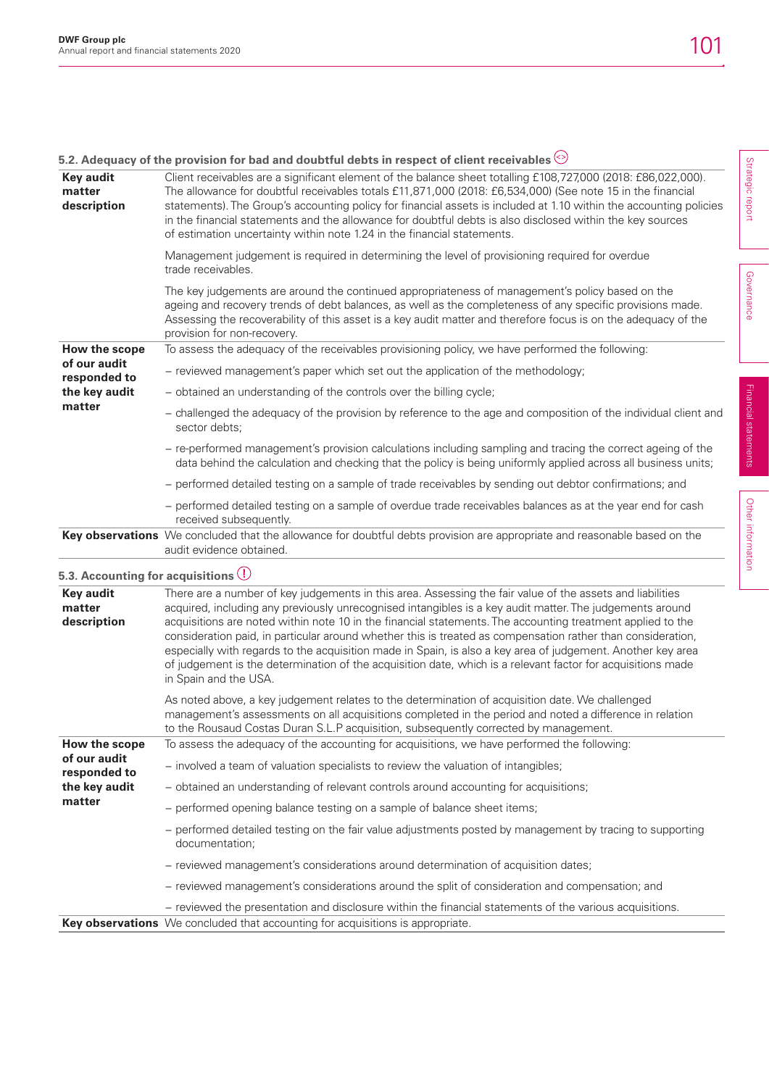Strategic report

Strategic report

Governance

Governance

Financial statements

Financial statements

Other information

Other information

|                                            | 5.2. Adequacy of the provision for bad and doubtful debts in respect of client receivables $\odot$                                                                                                                                                                                                                                                                                                                                                                                                                                                                                                                                                                                                        |
|--------------------------------------------|-----------------------------------------------------------------------------------------------------------------------------------------------------------------------------------------------------------------------------------------------------------------------------------------------------------------------------------------------------------------------------------------------------------------------------------------------------------------------------------------------------------------------------------------------------------------------------------------------------------------------------------------------------------------------------------------------------------|
| <b>Key audit</b><br>matter<br>description  | Client receivables are a significant element of the balance sheet totalling £108,727,000 (2018: £86,022,000).<br>The allowance for doubtful receivables totals £11,871,000 (2018: £6,534,000) (See note 15 in the financial<br>statements). The Group's accounting policy for financial assets is included at 1.10 within the accounting policies<br>in the financial statements and the allowance for doubtful debts is also disclosed within the key sources<br>of estimation uncertainty within note 1.24 in the financial statements.                                                                                                                                                                 |
|                                            | Management judgement is required in determining the level of provisioning required for overdue<br>trade receivables.                                                                                                                                                                                                                                                                                                                                                                                                                                                                                                                                                                                      |
|                                            | The key judgements are around the continued appropriateness of management's policy based on the<br>ageing and recovery trends of debt balances, as well as the completeness of any specific provisions made.<br>Assessing the recoverability of this asset is a key audit matter and therefore focus is on the adequacy of the<br>provision for non-recovery.                                                                                                                                                                                                                                                                                                                                             |
| How the scope                              | To assess the adequacy of the receivables provisioning policy, we have performed the following:                                                                                                                                                                                                                                                                                                                                                                                                                                                                                                                                                                                                           |
| of our audit<br>responded to               | - reviewed management's paper which set out the application of the methodology;                                                                                                                                                                                                                                                                                                                                                                                                                                                                                                                                                                                                                           |
| the key audit                              | - obtained an understanding of the controls over the billing cycle;                                                                                                                                                                                                                                                                                                                                                                                                                                                                                                                                                                                                                                       |
| matter                                     | - challenged the adequacy of the provision by reference to the age and composition of the individual client and<br>sector debts:                                                                                                                                                                                                                                                                                                                                                                                                                                                                                                                                                                          |
|                                            | - re-performed management's provision calculations including sampling and tracing the correct ageing of the<br>data behind the calculation and checking that the policy is being uniformly applied across all business units;                                                                                                                                                                                                                                                                                                                                                                                                                                                                             |
|                                            | - performed detailed testing on a sample of trade receivables by sending out debtor confirmations; and                                                                                                                                                                                                                                                                                                                                                                                                                                                                                                                                                                                                    |
|                                            | - performed detailed testing on a sample of overdue trade receivables balances as at the year end for cash<br>received subsequently.                                                                                                                                                                                                                                                                                                                                                                                                                                                                                                                                                                      |
|                                            | Key observations We concluded that the allowance for doubtful debts provision are appropriate and reasonable based on the<br>audit evidence obtained.                                                                                                                                                                                                                                                                                                                                                                                                                                                                                                                                                     |
| 5.3. Accounting for acquisitions $\bigcup$ |                                                                                                                                                                                                                                                                                                                                                                                                                                                                                                                                                                                                                                                                                                           |
| <b>Key audit</b><br>matter<br>description  | There are a number of key judgements in this area. Assessing the fair value of the assets and liabilities<br>acquired, including any previously unrecognised intangibles is a key audit matter. The judgements around<br>acquisitions are noted within note 10 in the financial statements. The accounting treatment applied to the<br>consideration paid, in particular around whether this is treated as compensation rather than consideration,<br>especially with regards to the acquisition made in Spain, is also a key area of judgement. Another key area<br>of judgement is the determination of the acquisition date, which is a relevant factor for acquisitions made<br>in Spain and the USA. |
|                                            | As noted above, a key judgement relates to the determination of acquisition date. We challenged<br>management's assessments on all acquisitions completed in the period and noted a difference in relation<br>to the Rousaud Costas Duran S.L.P acquisition, subsequently corrected by management.                                                                                                                                                                                                                                                                                                                                                                                                        |
| How the scope                              | To assess the adequacy of the accounting for acquisitions, we have performed the following:                                                                                                                                                                                                                                                                                                                                                                                                                                                                                                                                                                                                               |
| of our audit<br>responded to               | - involved a team of valuation specialists to review the valuation of intangibles;                                                                                                                                                                                                                                                                                                                                                                                                                                                                                                                                                                                                                        |
| the key audit                              | - obtained an understanding of relevant controls around accounting for acquisitions;                                                                                                                                                                                                                                                                                                                                                                                                                                                                                                                                                                                                                      |
| matter                                     | - performed opening balance testing on a sample of balance sheet items;                                                                                                                                                                                                                                                                                                                                                                                                                                                                                                                                                                                                                                   |
|                                            | - performed detailed testing on the fair value adjustments posted by management by tracing to supporting<br>documentation;                                                                                                                                                                                                                                                                                                                                                                                                                                                                                                                                                                                |
|                                            | - reviewed management's considerations around determination of acquisition dates;                                                                                                                                                                                                                                                                                                                                                                                                                                                                                                                                                                                                                         |
|                                            | - reviewed management's considerations around the split of consideration and compensation; and                                                                                                                                                                                                                                                                                                                                                                                                                                                                                                                                                                                                            |
|                                            | - reviewed the presentation and disclosure within the financial statements of the various acquisitions.<br>Key observations We concluded that accounting for acquisitions is appropriate.                                                                                                                                                                                                                                                                                                                                                                                                                                                                                                                 |
|                                            |                                                                                                                                                                                                                                                                                                                                                                                                                                                                                                                                                                                                                                                                                                           |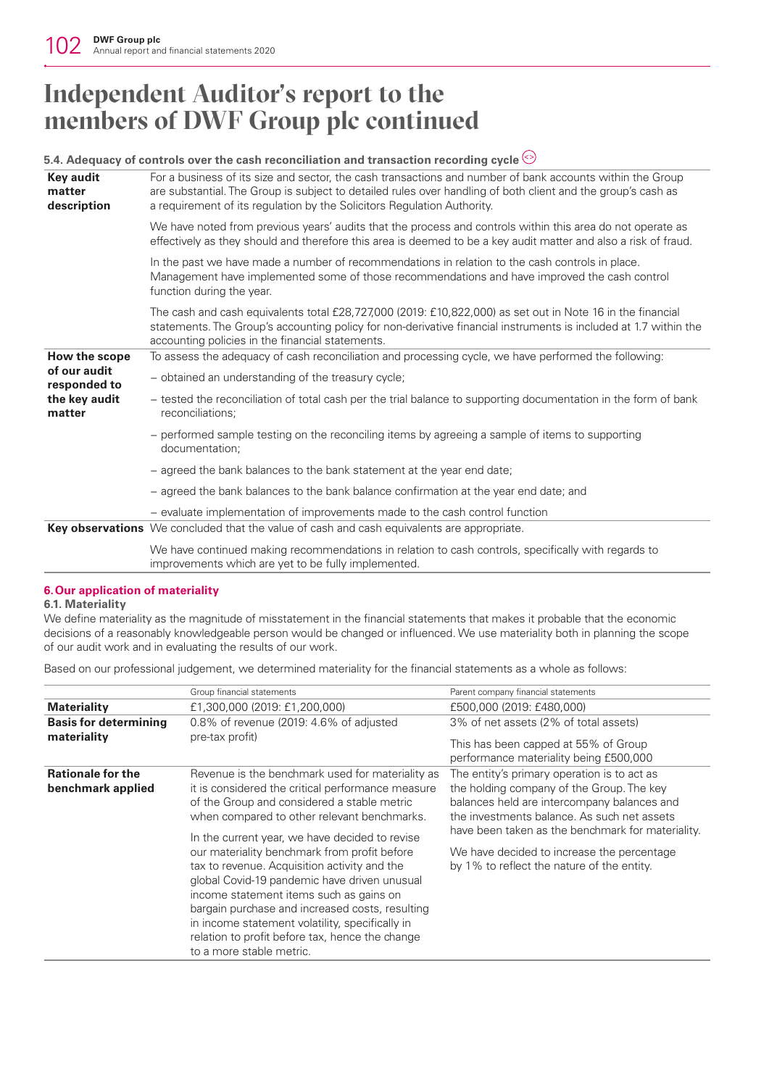# **Independent Auditor's report to the members of DWF Group plc continued**

#### **5.4. Adequacy of controls over the cash reconciliation and transaction recording cycle Key audit matter description** For a business of its size and sector, the cash transactions and number of bank accounts within the Group are substantial. The Group is subject to detailed rules over handling of both client and the group's cash as a requirement of its regulation by the Solicitors Regulation Authority. We have noted from previous years' audits that the process and controls within this area do not operate as effectively as they should and therefore this area is deemed to be a key audit matter and also a risk of fraud. In the past we have made a number of recommendations in relation to the cash controls in place. Management have implemented some of those recommendations and have improved the cash control function during the year. The cash and cash equivalents total £28,727,000 (2019: £10,822,000) as set out in Note 16 in the financial statements. The Group's accounting policy for non-derivative financial instruments is included at 1.7 within the accounting policies in the financial statements. **How the scope of our audit responded to the key audit matter** To assess the adequacy of cash reconciliation and processing cycle, we have performed the following: − obtained an understanding of the treasury cycle; − tested the reconciliation of total cash per the trial balance to supporting documentation in the form of bank reconciliations; − performed sample testing on the reconciling items by agreeing a sample of items to supporting documentation; − agreed the bank balances to the bank statement at the year end date; − agreed the bank balances to the bank balance confirmation at the year end date; and − evaluate implementation of improvements made to the cash control function **Key observations** We concluded that the value of cash and cash equivalents are appropriate. We have continued making recommendations in relation to cash controls, specifically with regards to improvements which are yet to be fully implemented.

### **6.Our application of materiality**

## **6.1. Materiality**

We define materiality as the magnitude of misstatement in the financial statements that makes it probable that the economic decisions of a reasonably knowledgeable person would be changed or influenced. We use materiality both in planning the scope of our audit work and in evaluating the results of our work.

Based on our professional judgement, we determined materiality for the financial statements as a whole as follows:

| Group financial statements                                                                                                                                                                                                                                                                                                                                                                                                                                                                                                                                                                                                            | Parent company financial statements                                                                                                                                                                                                                                                                                                     |
|---------------------------------------------------------------------------------------------------------------------------------------------------------------------------------------------------------------------------------------------------------------------------------------------------------------------------------------------------------------------------------------------------------------------------------------------------------------------------------------------------------------------------------------------------------------------------------------------------------------------------------------|-----------------------------------------------------------------------------------------------------------------------------------------------------------------------------------------------------------------------------------------------------------------------------------------------------------------------------------------|
| £1,300,000 (2019: £1,200,000)                                                                                                                                                                                                                                                                                                                                                                                                                                                                                                                                                                                                         | £500,000 (2019: £480,000)                                                                                                                                                                                                                                                                                                               |
| 0.8% of revenue (2019: 4.6% of adjusted                                                                                                                                                                                                                                                                                                                                                                                                                                                                                                                                                                                               | 3% of net assets (2% of total assets)                                                                                                                                                                                                                                                                                                   |
|                                                                                                                                                                                                                                                                                                                                                                                                                                                                                                                                                                                                                                       | This has been capped at 55% of Group<br>performance materiality being £500,000                                                                                                                                                                                                                                                          |
| Revenue is the benchmark used for materiality as<br>it is considered the critical performance measure<br>of the Group and considered a stable metric<br>when compared to other relevant benchmarks.<br>In the current year, we have decided to revise<br>our materiality benchmark from profit before<br>tax to revenue. Acquisition activity and the<br>global Covid-19 pandemic have driven unusual<br>income statement items such as gains on<br>bargain purchase and increased costs, resulting<br>in income statement volatility, specifically in<br>relation to profit before tax, hence the change<br>to a more stable metric. | The entity's primary operation is to act as<br>the holding company of the Group. The key<br>balances held are intercompany balances and<br>the investments balance. As such net assets<br>have been taken as the benchmark for materiality.<br>We have decided to increase the percentage<br>by 1% to reflect the nature of the entity. |
|                                                                                                                                                                                                                                                                                                                                                                                                                                                                                                                                                                                                                                       | pre-tax profit)                                                                                                                                                                                                                                                                                                                         |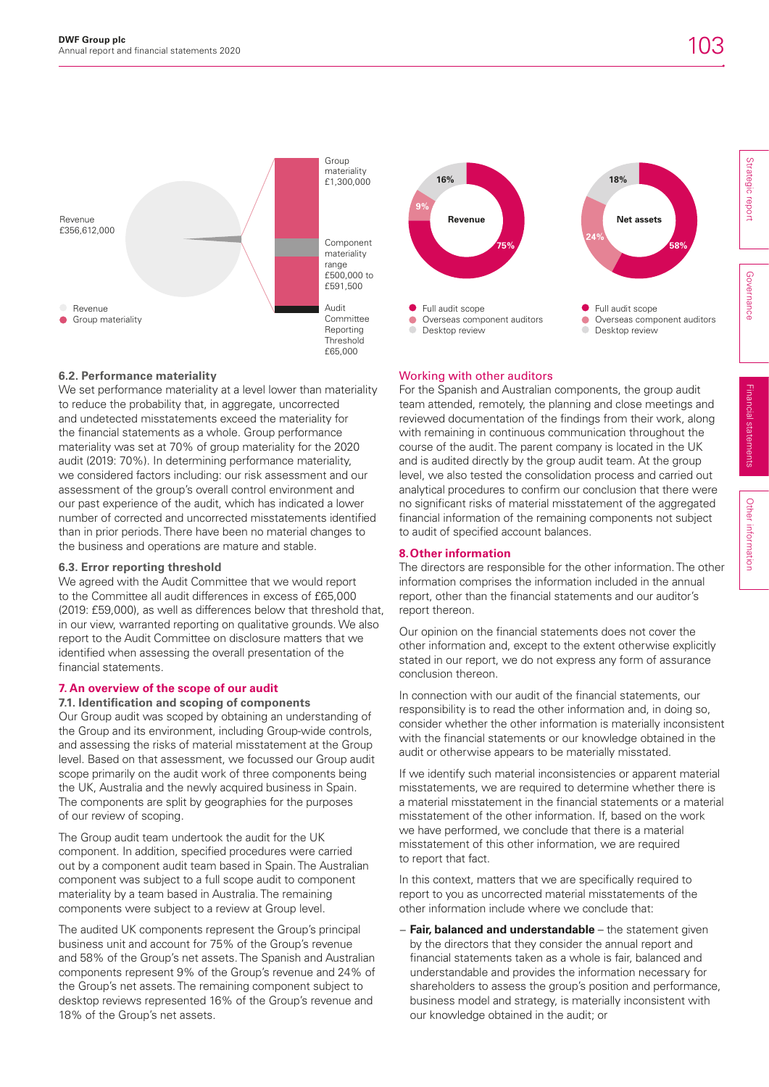

## **6.2. Performance materiality**

We set performance materiality at a level lower than materiality to reduce the probability that, in aggregate, uncorrected and undetected misstatements exceed the materiality for the financial statements as a whole. Group performance materiality was set at 70% of group materiality for the 2020 audit (2019: 70%). In determining performance materiality, we considered factors including: our risk assessment and our assessment of the group's overall control environment and our past experience of the audit, which has indicated a lower number of corrected and uncorrected misstatements identified than in prior periods. There have been no material changes to the business and operations are mature and stable.

## **6.3. Error reporting threshold**

We agreed with the Audit Committee that we would report to the Committee all audit differences in excess of £65,000 (2019: £59,000), as well as differences below that threshold that, in our view, warranted reporting on qualitative grounds. We also report to the Audit Committee on disclosure matters that we identified when assessing the overall presentation of the financial statements.

## **7. An overview of the scope of our audit**

## **7.1. Identification and scoping of components**

Our Group audit was scoped by obtaining an understanding of the Group and its environment, including Group-wide controls, and assessing the risks of material misstatement at the Group level. Based on that assessment, we focussed our Group audit scope primarily on the audit work of three components being the UK, Australia and the newly acquired business in Spain. The components are split by geographies for the purposes of our review of scoping.

The Group audit team undertook the audit for the UK component. In addition, specified procedures were carried out by a component audit team based in Spain. The Australian component was subject to a full scope audit to component materiality by a team based in Australia. The remaining components were subject to a review at Group level.

The audited UK components represent the Group's principal business unit and account for 75% of the Group's revenue and 58% of the Group's net assets. The Spanish and Australian components represent 9% of the Group's revenue and 24% of the Group's net assets. The remaining component subject to desktop reviews represented 16% of the Group's revenue and 18% of the Group's net assets.



## Working with other auditors

For the Spanish and Australian components, the group audit team attended, remotely, the planning and close meetings and reviewed documentation of the findings from their work, along with remaining in continuous communication throughout the course of the audit. The parent company is located in the UK and is audited directly by the group audit team. At the group level, we also tested the consolidation process and carried out analytical procedures to confirm our conclusion that there were no significant risks of material misstatement of the aggregated financial information of the remaining components not subject to audit of specified account balances.

## **8.Other information**

The directors are responsible for the other information. The other information comprises the information included in the annual report, other than the financial statements and our auditor's report thereon.

Our opinion on the financial statements does not cover the other information and, except to the extent otherwise explicitly stated in our report, we do not express any form of assurance conclusion thereon.

In connection with our audit of the financial statements, our responsibility is to read the other information and, in doing so, consider whether the other information is materially inconsistent with the financial statements or our knowledge obtained in the audit or otherwise appears to be materially misstated.

If we identify such material inconsistencies or apparent material misstatements, we are required to determine whether there is a material misstatement in the financial statements or a material misstatement of the other information. If, based on the work we have performed, we conclude that there is a material misstatement of this other information, we are required to report that fact.

In this context, matters that we are specifically required to report to you as uncorrected material misstatements of the other information include where we conclude that:

− **Fair, balanced and understandable** – the statement given by the directors that they consider the annual report and financial statements taken as a whole is fair, balanced and understandable and provides the information necessary for shareholders to assess the group's position and performance, business model and strategy, is materially inconsistent with our knowledge obtained in the audit; or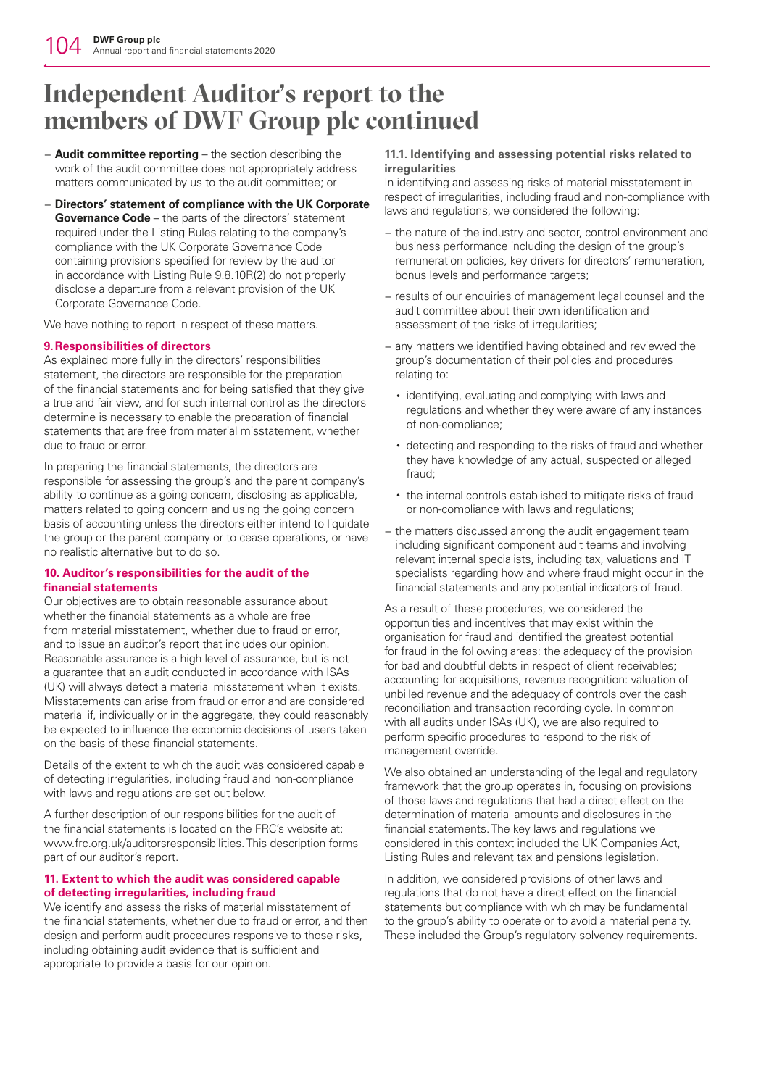# **Independent Auditor's report to the members of DWF Group plc continued**

- − **Audit committee reporting** the section describing the work of the audit committee does not appropriately address matters communicated by us to the audit committee; or
- − **Directors' statement of compliance with the UK Corporate Governance Code** – the parts of the directors' statement required under the Listing Rules relating to the company's compliance with the UK Corporate Governance Code containing provisions specified for review by the auditor in accordance with Listing Rule 9.8.10R(2) do not properly disclose a departure from a relevant provision of the UK Corporate Governance Code.

We have nothing to report in respect of these matters.

## **9.Responsibilities of directors**

As explained more fully in the directors' responsibilities statement, the directors are responsible for the preparation of the financial statements and for being satisfied that they give a true and fair view, and for such internal control as the directors determine is necessary to enable the preparation of financial statements that are free from material misstatement, whether due to fraud or error.

In preparing the financial statements, the directors are responsible for assessing the group's and the parent company's ability to continue as a going concern, disclosing as applicable, matters related to going concern and using the going concern basis of accounting unless the directors either intend to liquidate the group or the parent company or to cease operations, or have no realistic alternative but to do so.

## **10. Auditor's responsibilities for the audit of the financial statements**

Our objectives are to obtain reasonable assurance about whether the financial statements as a whole are free from material misstatement, whether due to fraud or error, and to issue an auditor's report that includes our opinion. Reasonable assurance is a high level of assurance, but is not a guarantee that an audit conducted in accordance with ISAs (UK) will always detect a material misstatement when it exists. Misstatements can arise from fraud or error and are considered material if, individually or in the aggregate, they could reasonably be expected to influence the economic decisions of users taken on the basis of these financial statements.

Details of the extent to which the audit was considered capable of detecting irregularities, including fraud and non-compliance with laws and regulations are set out below.

A further description of our responsibilities for the audit of the financial statements is located on the FRC's website at: www.frc.org.uk/auditorsresponsibilities. This description forms part of our auditor's report.

## **11. Extent to which the audit was considered capable of detecting irregularities, including fraud**

We identify and assess the risks of material misstatement of the financial statements, whether due to fraud or error, and then design and perform audit procedures responsive to those risks, including obtaining audit evidence that is sufficient and appropriate to provide a basis for our opinion.

### **11.1. Identifying and assessing potential risks related to irregularities**

In identifying and assessing risks of material misstatement in respect of irregularities, including fraud and non-compliance with laws and regulations, we considered the following:

- − the nature of the industry and sector, control environment and business performance including the design of the group's remuneration policies, key drivers for directors' remuneration, bonus levels and performance targets;
- − results of our enquiries of management legal counsel and the audit committee about their own identification and assessment of the risks of irregularities;
- − any matters we identified having obtained and reviewed the group's documentation of their policies and procedures relating to:
	- identifying, evaluating and complying with laws and regulations and whether they were aware of any instances of non-compliance;
	- detecting and responding to the risks of fraud and whether they have knowledge of any actual, suspected or alleged fraud;
	- the internal controls established to mitigate risks of fraud or non-compliance with laws and regulations;
- − the matters discussed among the audit engagement team including significant component audit teams and involving relevant internal specialists, including tax, valuations and IT specialists regarding how and where fraud might occur in the financial statements and any potential indicators of fraud.

As a result of these procedures, we considered the opportunities and incentives that may exist within the organisation for fraud and identified the greatest potential for fraud in the following areas: the adequacy of the provision for bad and doubtful debts in respect of client receivables; accounting for acquisitions, revenue recognition: valuation of unbilled revenue and the adequacy of controls over the cash reconciliation and transaction recording cycle. In common with all audits under ISAs (UK), we are also required to perform specific procedures to respond to the risk of management override.

We also obtained an understanding of the legal and regulatory framework that the group operates in, focusing on provisions of those laws and regulations that had a direct effect on the determination of material amounts and disclosures in the financial statements. The key laws and regulations we considered in this context included the UK Companies Act, Listing Rules and relevant tax and pensions legislation.

In addition, we considered provisions of other laws and regulations that do not have a direct effect on the financial statements but compliance with which may be fundamental to the group's ability to operate or to avoid a material penalty. These included the Group's regulatory solvency requirements.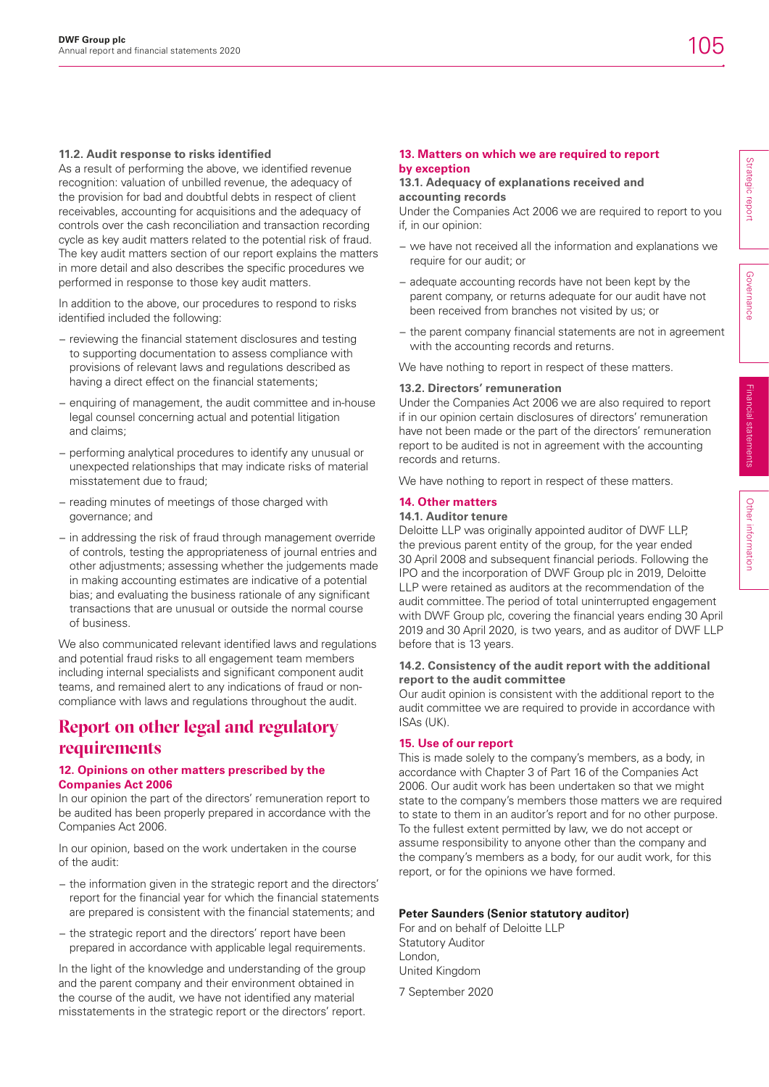## **11.2. Audit response to risks identified**

As a result of performing the above, we identified revenue recognition: valuation of unbilled revenue, the adequacy of the provision for bad and doubtful debts in respect of client receivables, accounting for acquisitions and the adequacy of controls over the cash reconciliation and transaction recording cycle as key audit matters related to the potential risk of fraud. The key audit matters section of our report explains the matters in more detail and also describes the specific procedures we performed in response to those key audit matters.

In addition to the above, our procedures to respond to risks identified included the following:

- − reviewing the financial statement disclosures and testing to supporting documentation to assess compliance with provisions of relevant laws and regulations described as having a direct effect on the financial statements;
- − enquiring of management, the audit committee and in-house legal counsel concerning actual and potential litigation and claims;
- − performing analytical procedures to identify any unusual or unexpected relationships that may indicate risks of material misstatement due to fraud;
- − reading minutes of meetings of those charged with governance; and
- − in addressing the risk of fraud through management override of controls, testing the appropriateness of journal entries and other adjustments; assessing whether the judgements made in making accounting estimates are indicative of a potential bias; and evaluating the business rationale of any significant transactions that are unusual or outside the normal course of business.

We also communicated relevant identified laws and regulations and potential fraud risks to all engagement team members including internal specialists and significant component audit teams, and remained alert to any indications of fraud or noncompliance with laws and regulations throughout the audit.

## **Report on other legal and regulatory requirements**

## **12. Opinions on other matters prescribed by the Companies Act 2006**

In our opinion the part of the directors' remuneration report to be audited has been properly prepared in accordance with the Companies Act 2006.

In our opinion, based on the work undertaken in the course of the audit:

- − the information given in the strategic report and the directors' report for the financial year for which the financial statements are prepared is consistent with the financial statements; and
- − the strategic report and the directors' report have been prepared in accordance with applicable legal requirements.

In the light of the knowledge and understanding of the group and the parent company and their environment obtained in the course of the audit, we have not identified any material misstatements in the strategic report or the directors' report.

### **13.1. Adequacy of explanations received and accounting records**

Under the Companies Act 2006 we are required to report to you if, in our opinion:

- − we have not received all the information and explanations we require for our audit; or
- − adequate accounting records have not been kept by the parent company, or returns adequate for our audit have not been received from branches not visited by us; or
- − the parent company financial statements are not in agreement with the accounting records and returns.

We have nothing to report in respect of these matters.

### **13.2. Directors' remuneration**

Under the Companies Act 2006 we are also required to report if in our opinion certain disclosures of directors' remuneration have not been made or the part of the directors' remuneration report to be audited is not in agreement with the accounting records and returns.

We have nothing to report in respect of these matters.

## **14. Other matters**

## **14.1. Auditor tenure**

Deloitte LLP was originally appointed auditor of DWF LLP, the previous parent entity of the group, for the year ended 30 April 2008 and subsequent financial periods. Following the IPO and the incorporation of DWF Group plc in 2019, Deloitte LLP were retained as auditors at the recommendation of the audit committee. The period of total uninterrupted engagement with DWF Group plc, covering the financial years ending 30 April 2019 and 30 April 2020, is two years, and as auditor of DWF LLP before that is 13 years.

### **14.2. Consistency of the audit report with the additional report to the audit committee**

Our audit opinion is consistent with the additional report to the audit committee we are required to provide in accordance with ISAs (UK).

### **15. Use of our report**

This is made solely to the company's members, as a body, in accordance with Chapter 3 of Part 16 of the Companies Act 2006. Our audit work has been undertaken so that we might state to the company's members those matters we are required to state to them in an auditor's report and for no other purpose. To the fullest extent permitted by law, we do not accept or assume responsibility to anyone other than the company and the company's members as a body, for our audit work, for this report, or for the opinions we have formed.

## **Peter Saunders (Senior statutory auditor)**

For and on behalf of Deloitte LLP Statutory Auditor London, United Kingdom

7 September 2020

Governance

Governance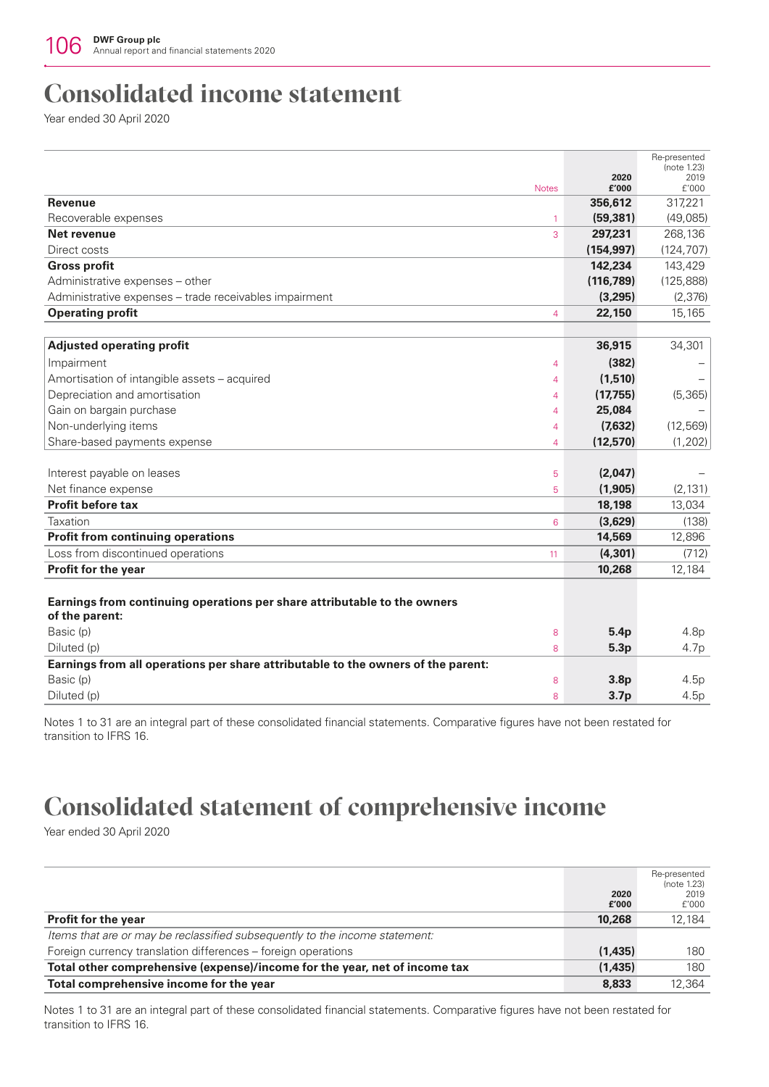## **Consolidated income statement**

Year ended 30 April 2020

|                                                                                  |                |                  | Re-presented<br>(note 1.23) |
|----------------------------------------------------------------------------------|----------------|------------------|-----------------------------|
|                                                                                  |                | 2020             | 2019                        |
| <b>Revenue</b>                                                                   | <b>Notes</b>   | £'000<br>356,612 | f'000<br>317,221            |
| Recoverable expenses                                                             | $\mathbf{1}$   | (59, 381)        | (49,085)                    |
| Net revenue                                                                      | 3              | 297,231          | 268,136                     |
| Direct costs                                                                     |                | (154, 997)       | (124, 707)                  |
| <b>Gross profit</b>                                                              |                | 142,234          | 143,429                     |
| Administrative expenses - other                                                  |                | (116, 789)       | (125, 888)                  |
| Administrative expenses - trade receivables impairment                           |                | (3,295)          | (2,376)                     |
| <b>Operating profit</b>                                                          | $\overline{4}$ | 22,150           | 15,165                      |
|                                                                                  |                |                  |                             |
| <b>Adjusted operating profit</b>                                                 |                | 36,915           | 34,301                      |
|                                                                                  |                |                  |                             |
| Impairment                                                                       | $\overline{4}$ | (382)            |                             |
| Amortisation of intangible assets - acquired                                     | 4              | (1,510)          |                             |
| Depreciation and amortisation                                                    | $\overline{4}$ | (17,755)         | (5, 365)                    |
| Gain on bargain purchase                                                         | $\overline{4}$ | 25,084           |                             |
| Non-underlying items                                                             | 4              | (7,632)          | (12, 569)                   |
| Share-based payments expense                                                     | 4              | (12,570)         | (1, 202)                    |
|                                                                                  |                |                  |                             |
| Interest payable on leases<br>Net finance expense                                | 5              | (2,047)          | (2, 131)                    |
| <b>Profit before tax</b>                                                         | 5              | (1, 905)         |                             |
|                                                                                  |                | 18,198           | 13,034                      |
| Taxation                                                                         | 6              | (3,629)          | (138)                       |
| <b>Profit from continuing operations</b>                                         |                | 14,569           | 12,896                      |
| Loss from discontinued operations                                                | 11             | (4, 301)         | (712)                       |
| Profit for the year                                                              |                | 10,268           | 12,184                      |
|                                                                                  |                |                  |                             |
| Earnings from continuing operations per share attributable to the owners         |                |                  |                             |
| of the parent:                                                                   |                |                  |                             |
| Basic (p)                                                                        | 8              | 5.4p             | 4.8p                        |
| Diluted (p)                                                                      | 8              | 5.3p             | 4.7p                        |
| Earnings from all operations per share attributable to the owners of the parent: |                |                  |                             |
| Basic (p)                                                                        | 8              | 3.8 <sub>D</sub> | 4.5p                        |
| Diluted (p)                                                                      | 8              | 3.7 <sub>p</sub> | 4.5p                        |
|                                                                                  |                |                  |                             |

Notes 1 to 31 are an integral part of these consolidated financial statements. Comparative figures have not been restated for transition to IFRS 16.

## **Consolidated statement of comprehensive income**

Year ended 30 April 2020

|                                                                             |          | Re-presented |
|-----------------------------------------------------------------------------|----------|--------------|
|                                                                             |          | (note 1.23)  |
|                                                                             | 2020     | 2019         |
|                                                                             | £'000    | f'000        |
| <b>Profit for the year</b>                                                  | 10,268   | 12.184       |
| Items that are or may be reclassified subsequently to the income statement: |          |              |
| Foreign currency translation differences – foreign operations               | (1,435)  | 180          |
| Total other comprehensive (expense)/income for the year, net of income tax  | (1, 435) | 180          |
| Total comprehensive income for the year                                     | 8,833    | 12.364       |

Notes 1 to 31 are an integral part of these consolidated financial statements. Comparative figures have not been restated for transition to IFRS 16.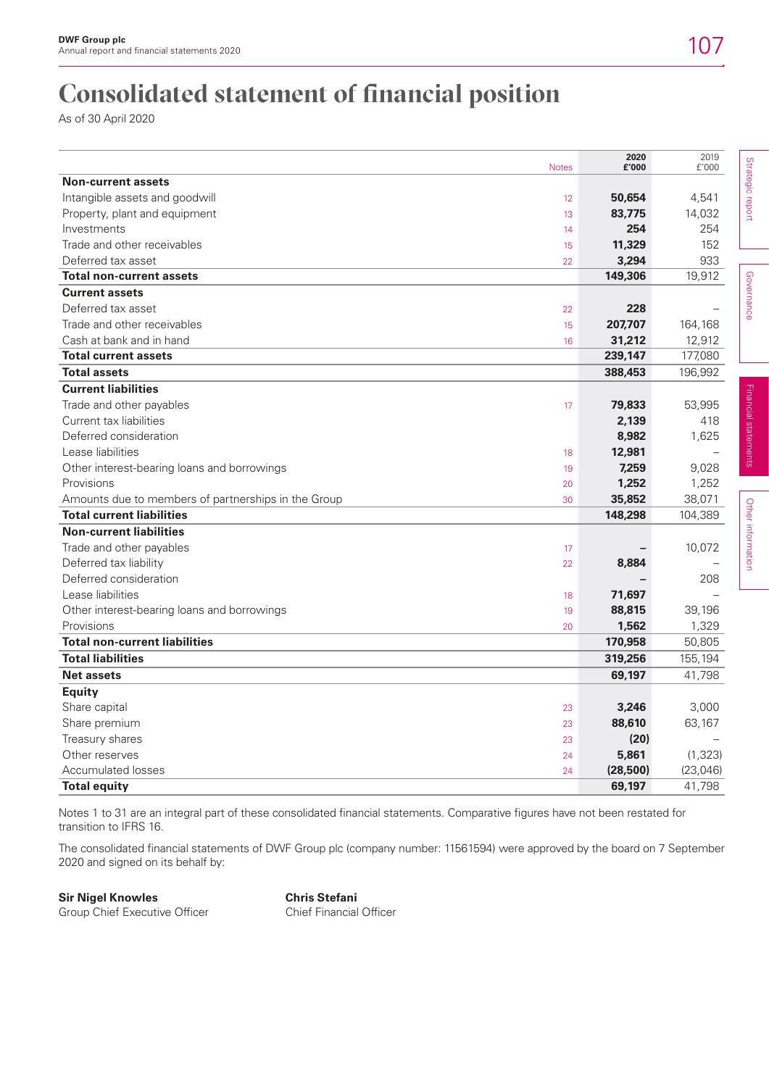## **Consolidated statement of financial position**

As of 30 April 2020

|                                                     | <b>Notes</b> | 2020<br>£'000 | 2019<br>f'000 |
|-----------------------------------------------------|--------------|---------------|---------------|
| <b>Non-current assets</b>                           |              |               |               |
| Intangible assets and goodwill                      | 12           | 50,654        | 4,541         |
| Property, plant and equipment                       | 13           | 83,775        | 14,032        |
| Investments                                         | 14           | 254           | 254           |
| Trade and other receivables                         | 15           | 11,329        | 152           |
| Deferred tax asset                                  | 22           | 3,294         | 933           |
| <b>Total non-current assets</b>                     |              | 149,306       | 19,912        |
| <b>Current assets</b>                               |              |               |               |
| Deferred tax asset                                  | 22           | 228           |               |
| Trade and other receivables                         | 15           | 207,707       | 164,168       |
| Cash at bank and in hand                            | 16           | 31,212        | 12,912        |
| <b>Total current assets</b>                         |              | 239,147       | 177,080       |
| <b>Total assets</b>                                 |              | 388,453       | 196,992       |
| <b>Current liabilities</b>                          |              |               |               |
| Trade and other payables                            | 17           | 79,833        | 53,995        |
| Current tax liabilities                             |              | 2,139         | 418           |
| Deferred consideration                              |              | 8,982         | 1,625         |
| Lease liabilities                                   | 18           | 12,981        |               |
| Other interest-bearing loans and borrowings         | 19           | 7,259         | 9,028         |
| Provisions                                          | 20           | 1,252         | 1,252         |
| Amounts due to members of partnerships in the Group | 30           | 35,852        | 38,071        |
| <b>Total current liabilities</b>                    |              | 148,298       | 104,389       |
| <b>Non-current liabilities</b>                      |              |               |               |
| Trade and other payables                            | 17           |               | 10,072        |
| Deferred tax liability                              | 22           | 8,884         |               |
| Deferred consideration                              |              |               | 208           |
| Lease liabilities                                   | 18           | 71,697        |               |
| Other interest-bearing loans and borrowings         | 19           | 88,815        | 39,196        |
| Provisions                                          | 20           | 1,562         | 1,329         |
| <b>Total non-current liabilities</b>                |              | 170,958       | 50,805        |
| <b>Total liabilities</b>                            |              | 319,256       | 155,194       |
| <b>Net assets</b>                                   |              | 69,197        | 41,798        |
| <b>Equity</b>                                       |              |               |               |
| Share capital                                       | 23           | 3,246         | 3,000         |
| Share premium                                       | 23           | 88,610        | 63,167        |
| Treasury shares                                     | 23           | (20)          |               |
| Other reserves                                      | 24           | 5,861         | (1, 323)      |
| <b>Accumulated losses</b>                           | 24           | (28, 500)     | (23, 046)     |
| <b>Total equity</b>                                 |              | 69,197        | 41,798        |

Notes 1 to 31 are an integral part of these consolidated financial statements. Comparative figures have not been restated for transition to IFRS 16.

The consolidated financial statements of DWF Group plc (company number: 11561594) were approved by the board on 7 September 2020 and signed on its behalf by:

**Sir Nigel Knowles Chris Stefani**

Group Chief Executive Officer Chief Financial Officer

2019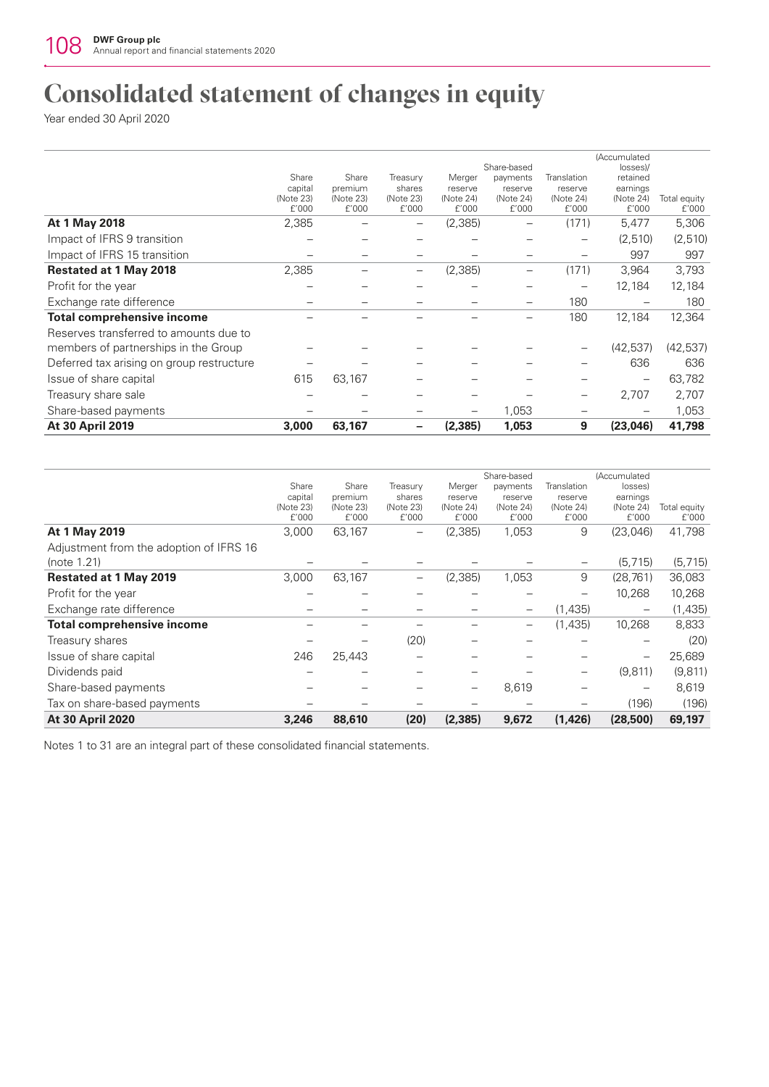## **Consolidated statement of changes in equity**

Year ended 30 April 2020

|                                           |                      |                      |                     |                      | Share-based              |                      | (Accumulated          |              |
|-------------------------------------------|----------------------|----------------------|---------------------|----------------------|--------------------------|----------------------|-----------------------|--------------|
|                                           | Share                | Share                | Treasury            | Merger               | payments                 | Translation          | losses)/<br>retained  |              |
|                                           | capital<br>(Note 23) | premium<br>(Note 23) | shares<br>(Note 23) | reserve<br>(Note 24) | reserve<br>(Note 24)     | reserve<br>(Note 24) | earnings<br>(Note 24) | Total equity |
|                                           | f'000                | f'000                | £'000               | f'000                | f'000                    | f'000                | f'000                 | £'000        |
| At 1 May 2018                             | 2,385                |                      | —                   | (2,385)              | $\overline{\phantom{0}}$ | (171)                | 5,477                 | 5,306        |
| Impact of IFRS 9 transition               |                      |                      |                     |                      |                          |                      | (2,510)               | (2,510)      |
| Impact of IFRS 15 transition              |                      |                      |                     |                      |                          |                      | 997                   | 997          |
| <b>Restated at 1 May 2018</b>             | 2,385                |                      | —                   | (2,385)              | -                        | (171)                | 3,964                 | 3,793        |
| Profit for the year                       |                      |                      |                     |                      |                          |                      | 12,184                | 12,184       |
| Exchange rate difference                  |                      |                      |                     |                      |                          | 180                  |                       | 180          |
| <b>Total comprehensive income</b>         |                      |                      |                     |                      |                          | 180                  | 12,184                | 12,364       |
| Reserves transferred to amounts due to    |                      |                      |                     |                      |                          |                      |                       |              |
| members of partnerships in the Group      |                      |                      |                     |                      |                          |                      | (42, 537)             | (42, 537)    |
| Deferred tax arising on group restructure |                      |                      |                     |                      |                          |                      | 636                   | 636          |
| Issue of share capital                    | 615                  | 63,167               |                     |                      |                          |                      | -                     | 63,782       |
| Treasury share sale                       |                      |                      |                     |                      |                          |                      | 2,707                 | 2,707        |
| Share-based payments                      |                      |                      |                     | —                    | 1,053                    |                      |                       | 1,053        |
| At 30 April 2019                          | 3,000                | 63,167               |                     | (2, 385)             | 1,053                    | 9                    | (23,046)              | 41,798       |

|                                         |                    |                    |                    |                    | Share-based        |                    | (Accumulated             |                       |
|-----------------------------------------|--------------------|--------------------|--------------------|--------------------|--------------------|--------------------|--------------------------|-----------------------|
|                                         | Share              | Share              | Treasury           | Merger             | payments           | Translation        | losses)                  |                       |
|                                         | capital            | premium            | shares             | reserve            | reserve            | reserve            | earnings                 |                       |
|                                         | (Note 23)<br>f'000 | (Note 23)<br>f'000 | (Note 23)<br>£'000 | (Note 24)<br>f'000 | (Note 24)<br>f'000 | (Note 24)<br>£'000 | (Note 24)<br>f'000       | Total equity<br>f'000 |
| At 1 May 2019                           | 3,000              | 63,167             |                    | (2,385)            | 1,053              | 9                  | (23,046)                 | 41,798                |
| Adjustment from the adoption of IFRS 16 |                    |                    |                    |                    |                    |                    |                          |                       |
| (note 1.21)                             |                    |                    |                    |                    |                    |                    | (5, 715)                 | (5, 715)              |
| <b>Restated at 1 May 2019</b>           | 3,000              | 63,167             |                    | (2, 385)           | 1,053              | 9                  | (28, 761)                | 36,083                |
| Profit for the year                     |                    |                    |                    |                    |                    |                    | 10,268                   | 10,268                |
| Exchange rate difference                |                    |                    |                    |                    | $\qquad \qquad -$  | (1,435)            | $\qquad \qquad$          | (1,435)               |
| <b>Total comprehensive income</b>       |                    |                    |                    |                    | $\qquad \qquad -$  | (1,435)            | 10,268                   | 8,833                 |
| Treasury shares                         |                    |                    | (20)               |                    |                    |                    |                          | (20)                  |
| Issue of share capital                  | 246                | 25,443             |                    |                    |                    |                    | $\overline{\phantom{0}}$ | 25,689                |
| Dividends paid                          |                    |                    |                    |                    |                    |                    | (9, 811)                 | (9, 811)              |
| Share-based payments                    |                    |                    |                    |                    | 8,619              |                    |                          | 8,619                 |
| Tax on share-based payments             |                    |                    |                    |                    |                    |                    | (196)                    | (196)                 |
| <b>At 30 April 2020</b>                 | 3,246              | 88,610             | (20)               | (2, 385)           | 9,672              | (1,426)            | (28,500)                 | 69,197                |

Notes 1 to 31 are an integral part of these consolidated financial statements.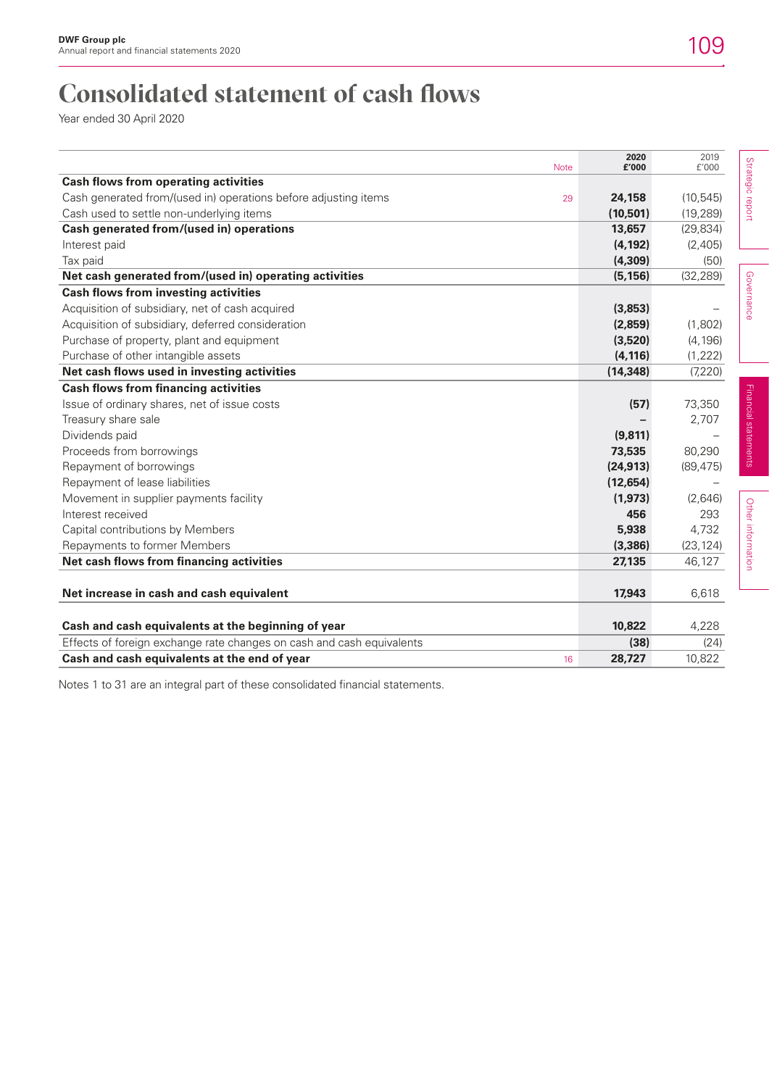## **Consolidated statement of cash flows**

Year ended 30 April 2020

| <b>Note</b>                                                           | 2020<br>£'000 | 2019<br>f'000 |                      |
|-----------------------------------------------------------------------|---------------|---------------|----------------------|
| <b>Cash flows from operating activities</b>                           |               |               | Strategic report     |
| Cash generated from/(used in) operations before adjusting items<br>29 | 24,158        | (10, 545)     |                      |
| Cash used to settle non-underlying items                              | (10, 501)     | (19, 289)     |                      |
| Cash generated from/(used in) operations                              | 13,657        | (29, 834)     |                      |
| Interest paid                                                         | (4, 192)      | (2,405)       |                      |
| Tax paid                                                              | (4, 309)      | (50)          |                      |
| Net cash generated from/(used in) operating activities                | (5, 156)      | (32, 289)     |                      |
| <b>Cash flows from investing activities</b>                           |               |               | Governance           |
| Acquisition of subsidiary, net of cash acquired                       | (3,853)       |               |                      |
| Acquisition of subsidiary, deferred consideration                     | (2,859)       | (1,802)       |                      |
| Purchase of property, plant and equipment                             | (3,520)       | (4, 196)      |                      |
| Purchase of other intangible assets                                   | (4, 116)      | (1, 222)      |                      |
| Net cash flows used in investing activities                           | (14, 348)     | (7, 220)      |                      |
| <b>Cash flows from financing activities</b>                           |               |               |                      |
| Issue of ordinary shares, net of issue costs                          | (57)          | 73,350        |                      |
| Treasury share sale                                                   |               | 2,707         | Financial statements |
| Dividends paid                                                        | (9,811)       |               |                      |
| Proceeds from borrowings                                              | 73,535        | 80,290        |                      |
| Repayment of borrowings                                               | (24, 913)     | (89, 475)     |                      |
| Repayment of lease liabilities                                        | (12, 654)     |               |                      |
| Movement in supplier payments facility                                | (1, 973)      | (2,646)       |                      |
| Interest received                                                     | 456           | 293           |                      |
| Capital contributions by Members                                      | 5,938         | 4,732         |                      |
| Repayments to former Members                                          | (3, 386)      | (23, 124)     |                      |
| Net cash flows from financing activities                              | 27,135        | 46,127        | Other information    |
|                                                                       |               |               |                      |
| Net increase in cash and cash equivalent                              | 17,943        | 6,618         |                      |
|                                                                       |               |               |                      |
| Cash and cash equivalents at the beginning of year                    | 10,822        | 4,228         |                      |
| Effects of foreign exchange rate changes on cash and cash equivalents | (38)          | (24)          |                      |
| Cash and cash equivalents at the end of year<br>16                    | 28,727        | 10,822        |                      |
|                                                                       |               |               |                      |

Notes 1 to 31 are an integral part of these consolidated financial statements.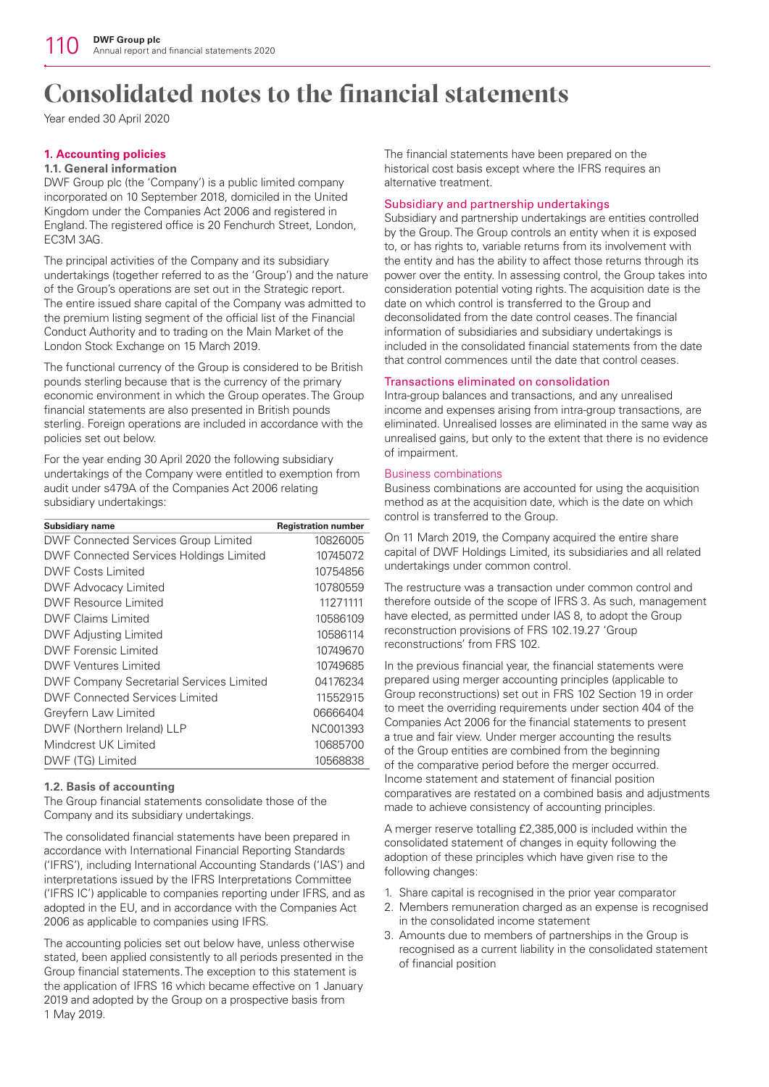Year ended 30 April 2020

## **1. Accounting policies**

## **1.1. General information**

DWF Group plc (the 'Company') is a public limited company incorporated on 10 September 2018, domiciled in the United Kingdom under the Companies Act 2006 and registered in England. The registered office is 20 Fenchurch Street, London, EC3M 3AG.

The principal activities of the Company and its subsidiary undertakings (together referred to as the 'Group') and the nature of the Group's operations are set out in the Strategic report. The entire issued share capital of the Company was admitted to the premium listing segment of the official list of the Financial Conduct Authority and to trading on the Main Market of the London Stock Exchange on 15 March 2019.

The functional currency of the Group is considered to be British pounds sterling because that is the currency of the primary economic environment in which the Group operates. The Group financial statements are also presented in British pounds sterling. Foreign operations are included in accordance with the policies set out below.

For the year ending 30 April 2020 the following subsidiary undertakings of the Company were entitled to exemption from audit under s479A of the Companies Act 2006 relating subsidiary undertakings:

| <b>Subsidiary name</b>                          | <b>Registration number</b> |
|-------------------------------------------------|----------------------------|
| <b>DWF Connected Services Group Limited</b>     | 10826005                   |
| <b>DWF Connected Services Holdings Limited</b>  | 10745072                   |
| DWF Costs Limited                               | 10754856                   |
| <b>DWF Advocacy Limited</b>                     | 10780559                   |
| DWF Resource Limited                            | 11271111                   |
| DWF Claims Limited                              | 10586109                   |
| <b>DWF Adjusting Limited</b>                    | 10586114                   |
| DWF Forensic Limited                            | 10749670                   |
| <b>DWF Ventures Limited</b>                     | 10749685                   |
| <b>DWF Company Secretarial Services Limited</b> | 04176234                   |
| DWF Connected Services Limited                  | 11552915                   |
| Greyfern Law Limited                            | 06666404                   |
| DWF (Northern Ireland) LLP                      | NC001393                   |
| Mindcrest UK Limited                            | 10685700                   |
| DWF (TG) Limited                                | 10568838                   |

## **1.2. Basis of accounting**

The Group financial statements consolidate those of the Company and its subsidiary undertakings.

The consolidated financial statements have been prepared in accordance with International Financial Reporting Standards ('IFRS'), including International Accounting Standards ('IAS') and interpretations issued by the IFRS Interpretations Committee ('IFRS IC') applicable to companies reporting under IFRS, and as adopted in the EU, and in accordance with the Companies Act 2006 as applicable to companies using IFRS.

The accounting policies set out below have, unless otherwise stated, been applied consistently to all periods presented in the Group financial statements. The exception to this statement is the application of IFRS 16 which became effective on 1 January 2019 and adopted by the Group on a prospective basis from 1 May 2019.

The financial statements have been prepared on the historical cost basis except where the IFRS requires an alternative treatment.

### Subsidiary and partnership undertakings

Subsidiary and partnership undertakings are entities controlled by the Group. The Group controls an entity when it is exposed to, or has rights to, variable returns from its involvement with the entity and has the ability to affect those returns through its power over the entity. In assessing control, the Group takes into consideration potential voting rights. The acquisition date is the date on which control is transferred to the Group and deconsolidated from the date control ceases. The financial information of subsidiaries and subsidiary undertakings is included in the consolidated financial statements from the date that control commences until the date that control ceases.

## Transactions eliminated on consolidation

Intra-group balances and transactions, and any unrealised income and expenses arising from intra-group transactions, are eliminated. Unrealised losses are eliminated in the same way as unrealised gains, but only to the extent that there is no evidence of impairment.

## Business combinations

Business combinations are accounted for using the acquisition method as at the acquisition date, which is the date on which control is transferred to the Group.

On 11 March 2019, the Company acquired the entire share capital of DWF Holdings Limited, its subsidiaries and all related undertakings under common control.

The restructure was a transaction under common control and therefore outside of the scope of IFRS 3. As such, management have elected, as permitted under IAS 8, to adopt the Group reconstruction provisions of FRS 102.19.27 'Group reconstructions' from FRS 102.

In the previous financial year, the financial statements were prepared using merger accounting principles (applicable to Group reconstructions) set out in FRS 102 Section 19 in order to meet the overriding requirements under section 404 of the Companies Act 2006 for the financial statements to present a true and fair view. Under merger accounting the results of the Group entities are combined from the beginning of the comparative period before the merger occurred. Income statement and statement of financial position comparatives are restated on a combined basis and adjustments made to achieve consistency of accounting principles.

A merger reserve totalling £2,385,000 is included within the consolidated statement of changes in equity following the adoption of these principles which have given rise to the following changes:

- 1. Share capital is recognised in the prior year comparator
- 2. Members remuneration charged as an expense is recognised in the consolidated income statement
- 3. Amounts due to members of partnerships in the Group is recognised as a current liability in the consolidated statement of financial position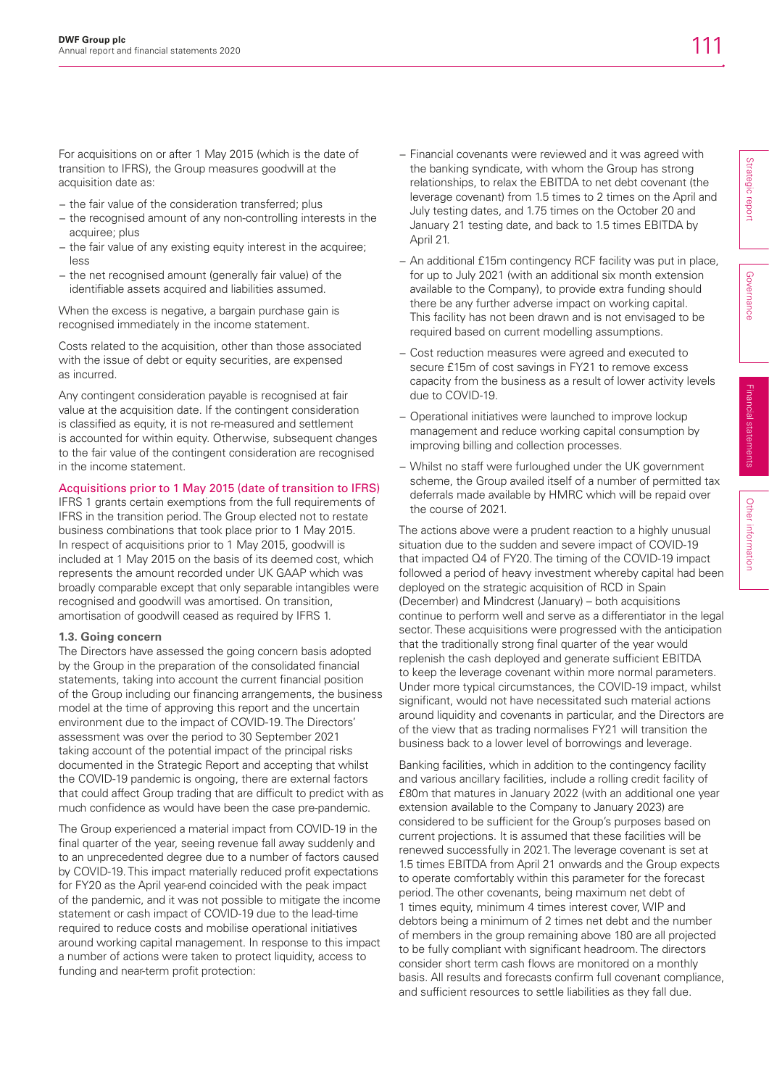For acquisitions on or after 1 May 2015 (which is the date of transition to IFRS), the Group measures goodwill at the acquisition date as:

- − the fair value of the consideration transferred; plus
- − the recognised amount of any non-controlling interests in the acquiree; plus
- − the fair value of any existing equity interest in the acquiree; less
- − the net recognised amount (generally fair value) of the identifiable assets acquired and liabilities assumed.

When the excess is negative, a bargain purchase gain is recognised immediately in the income statement.

Costs related to the acquisition, other than those associated with the issue of debt or equity securities, are expensed as incurred.

Any contingent consideration payable is recognised at fair value at the acquisition date. If the contingent consideration is classified as equity, it is not re-measured and settlement is accounted for within equity. Otherwise, subsequent changes to the fair value of the contingent consideration are recognised in the income statement.

## Acquisitions prior to 1 May 2015 (date of transition to IFRS)

IFRS 1 grants certain exemptions from the full requirements of IFRS in the transition period. The Group elected not to restate business combinations that took place prior to 1 May 2015. In respect of acquisitions prior to 1 May 2015, goodwill is included at 1 May 2015 on the basis of its deemed cost, which represents the amount recorded under UK GAAP which was broadly comparable except that only separable intangibles were recognised and goodwill was amortised. On transition, amortisation of goodwill ceased as required by IFRS 1.

### **1.3. Going concern**

The Directors have assessed the going concern basis adopted by the Group in the preparation of the consolidated financial statements, taking into account the current financial position of the Group including our financing arrangements, the business model at the time of approving this report and the uncertain environment due to the impact of COVID-19. The Directors' assessment was over the period to 30 September 2021 taking account of the potential impact of the principal risks documented in the Strategic Report and accepting that whilst the COVID-19 pandemic is ongoing, there are external factors that could affect Group trading that are difficult to predict with as much confidence as would have been the case pre-pandemic.

The Group experienced a material impact from COVID-19 in the final quarter of the year, seeing revenue fall away suddenly and to an unprecedented degree due to a number of factors caused by COVID-19. This impact materially reduced profit expectations for FY20 as the April year-end coincided with the peak impact of the pandemic, and it was not possible to mitigate the income statement or cash impact of COVID-19 due to the lead-time required to reduce costs and mobilise operational initiatives around working capital management. In response to this impact a number of actions were taken to protect liquidity, access to funding and near-term profit protection:

- − Financial covenants were reviewed and it was agreed with the banking syndicate, with whom the Group has strong relationships, to relax the EBITDA to net debt covenant (the leverage covenant) from 1.5 times to 2 times on the April and July testing dates, and 1.75 times on the October 20 and January 21 testing date, and back to 1.5 times EBITDA by April 21.
- − An additional £15m contingency RCF facility was put in place, for up to July 2021 (with an additional six month extension available to the Company), to provide extra funding should there be any further adverse impact on working capital. This facility has not been drawn and is not envisaged to be required based on current modelling assumptions.
- − Cost reduction measures were agreed and executed to secure £15m of cost savings in FY21 to remove excess capacity from the business as a result of lower activity levels due to COVID-19.
- − Operational initiatives were launched to improve lockup management and reduce working capital consumption by improving billing and collection processes.
- − Whilst no staff were furloughed under the UK government scheme, the Group availed itself of a number of permitted tax deferrals made available by HMRC which will be repaid over the course of 2021.

The actions above were a prudent reaction to a highly unusual situation due to the sudden and severe impact of COVID-19 that impacted Q4 of FY20. The timing of the COVID-19 impact followed a period of heavy investment whereby capital had been deployed on the strategic acquisition of RCD in Spain (December) and Mindcrest (January) – both acquisitions continue to perform well and serve as a differentiator in the legal sector. These acquisitions were progressed with the anticipation that the traditionally strong final quarter of the year would replenish the cash deployed and generate sufficient EBITDA to keep the leverage covenant within more normal parameters. Under more typical circumstances, the COVID-19 impact, whilst significant, would not have necessitated such material actions around liquidity and covenants in particular, and the Directors are of the view that as trading normalises FY21 will transition the business back to a lower level of borrowings and leverage.

Banking facilities, which in addition to the contingency facility and various ancillary facilities, include a rolling credit facility of £80m that matures in January 2022 (with an additional one year extension available to the Company to January 2023) are considered to be sufficient for the Group's purposes based on current projections. It is assumed that these facilities will be renewed successfully in 2021. The leverage covenant is set at 1.5 times EBITDA from April 21 onwards and the Group expects to operate comfortably within this parameter for the forecast period. The other covenants, being maximum net debt of 1 times equity, minimum 4 times interest cover, WIP and debtors being a minimum of 2 times net debt and the number of members in the group remaining above 180 are all projected to be fully compliant with significant headroom. The directors consider short term cash flows are monitored on a monthly basis. All results and forecasts confirm full covenant compliance, and sufficient resources to settle liabilities as they fall due.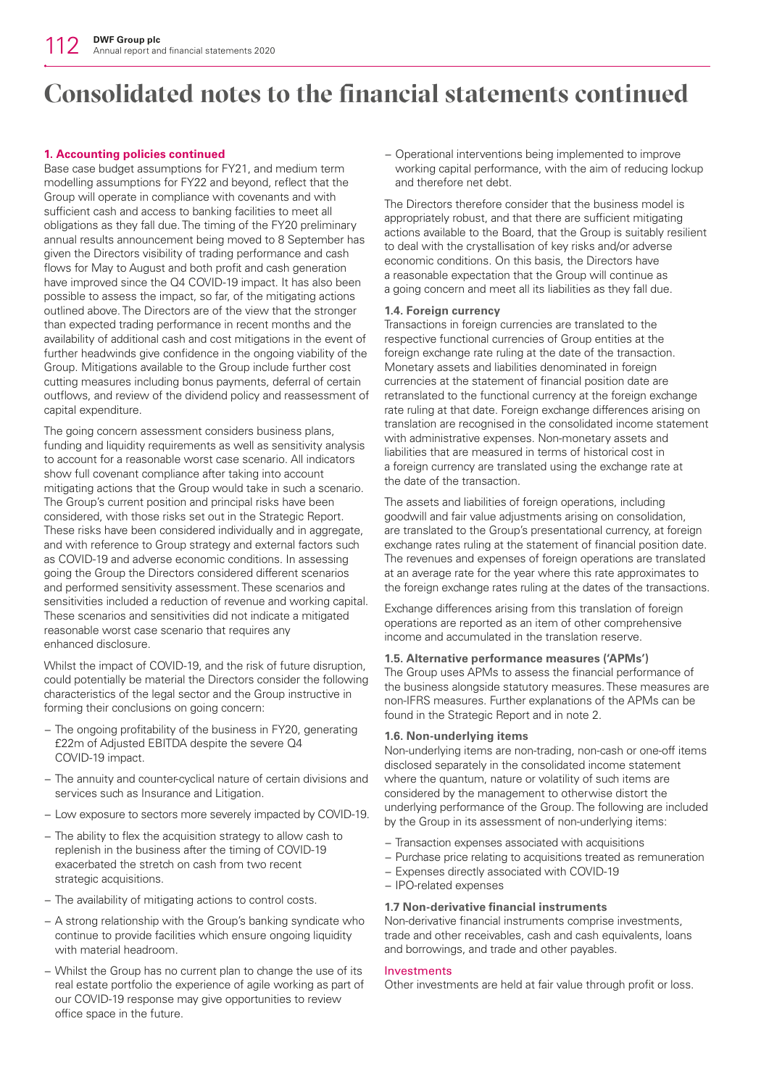## **1. Accounting policies continued**

Base case budget assumptions for FY21, and medium term modelling assumptions for FY22 and beyond, reflect that the Group will operate in compliance with covenants and with sufficient cash and access to banking facilities to meet all obligations as they fall due. The timing of the FY20 preliminary annual results announcement being moved to 8 September has given the Directors visibility of trading performance and cash flows for May to August and both profit and cash generation have improved since the Q4 COVID-19 impact. It has also been possible to assess the impact, so far, of the mitigating actions outlined above. The Directors are of the view that the stronger than expected trading performance in recent months and the availability of additional cash and cost mitigations in the event of further headwinds give confidence in the ongoing viability of the Group. Mitigations available to the Group include further cost cutting measures including bonus payments, deferral of certain outflows, and review of the dividend policy and reassessment of capital expenditure.

The going concern assessment considers business plans, funding and liquidity requirements as well as sensitivity analysis to account for a reasonable worst case scenario. All indicators show full covenant compliance after taking into account mitigating actions that the Group would take in such a scenario. The Group's current position and principal risks have been considered, with those risks set out in the Strategic Report. These risks have been considered individually and in aggregate, and with reference to Group strategy and external factors such as COVID-19 and adverse economic conditions. In assessing going the Group the Directors considered different scenarios and performed sensitivity assessment. These scenarios and sensitivities included a reduction of revenue and working capital. These scenarios and sensitivities did not indicate a mitigated reasonable worst case scenario that requires any enhanced disclosure.

Whilst the impact of COVID-19, and the risk of future disruption, could potentially be material the Directors consider the following characteristics of the legal sector and the Group instructive in forming their conclusions on going concern:

- − The ongoing profitability of the business in FY20, generating £22m of Adjusted EBITDA despite the severe Q4 COVID-19 impact.
- − The annuity and counter-cyclical nature of certain divisions and services such as Insurance and Litigation.
- − Low exposure to sectors more severely impacted by COVID-19.
- − The ability to flex the acquisition strategy to allow cash to replenish in the business after the timing of COVID-19 exacerbated the stretch on cash from two recent strategic acquisitions.
- − The availability of mitigating actions to control costs.
- − A strong relationship with the Group's banking syndicate who continue to provide facilities which ensure ongoing liquidity with material headroom.
- − Whilst the Group has no current plan to change the use of its real estate portfolio the experience of agile working as part of our COVID-19 response may give opportunities to review office space in the future.

− Operational interventions being implemented to improve working capital performance, with the aim of reducing lockup and therefore net debt.

The Directors therefore consider that the business model is appropriately robust, and that there are sufficient mitigating actions available to the Board, that the Group is suitably resilient to deal with the crystallisation of key risks and/or adverse economic conditions. On this basis, the Directors have a reasonable expectation that the Group will continue as a going concern and meet all its liabilities as they fall due.

### **1.4. Foreign currency**

Transactions in foreign currencies are translated to the respective functional currencies of Group entities at the foreign exchange rate ruling at the date of the transaction. Monetary assets and liabilities denominated in foreign currencies at the statement of financial position date are retranslated to the functional currency at the foreign exchange rate ruling at that date. Foreign exchange differences arising on translation are recognised in the consolidated income statement with administrative expenses. Non-monetary assets and liabilities that are measured in terms of historical cost in a foreign currency are translated using the exchange rate at the date of the transaction.

The assets and liabilities of foreign operations, including goodwill and fair value adjustments arising on consolidation, are translated to the Group's presentational currency, at foreign exchange rates ruling at the statement of financial position date. The revenues and expenses of foreign operations are translated at an average rate for the year where this rate approximates to the foreign exchange rates ruling at the dates of the transactions.

Exchange differences arising from this translation of foreign operations are reported as an item of other comprehensive income and accumulated in the translation reserve.

## **1.5. Alternative performance measures ('APMs')**

The Group uses APMs to assess the financial performance of the business alongside statutory measures. These measures are non-IFRS measures. Further explanations of the APMs can be found in the Strategic Report and in note 2.

### **1.6. Non-underlying items**

Non-underlying items are non-trading, non-cash or one-off items disclosed separately in the consolidated income statement where the quantum, nature or volatility of such items are considered by the management to otherwise distort the underlying performance of the Group. The following are included by the Group in its assessment of non-underlying items:

- − Transaction expenses associated with acquisitions
- − Purchase price relating to acquisitions treated as remuneration
- − Expenses directly associated with COVID-19
- − IPO-related expenses

### **1.7 Non-derivative financial instruments**

Non-derivative financial instruments comprise investments, trade and other receivables, cash and cash equivalents, loans and borrowings, and trade and other payables.

### Investments

Other investments are held at fair value through profit or loss.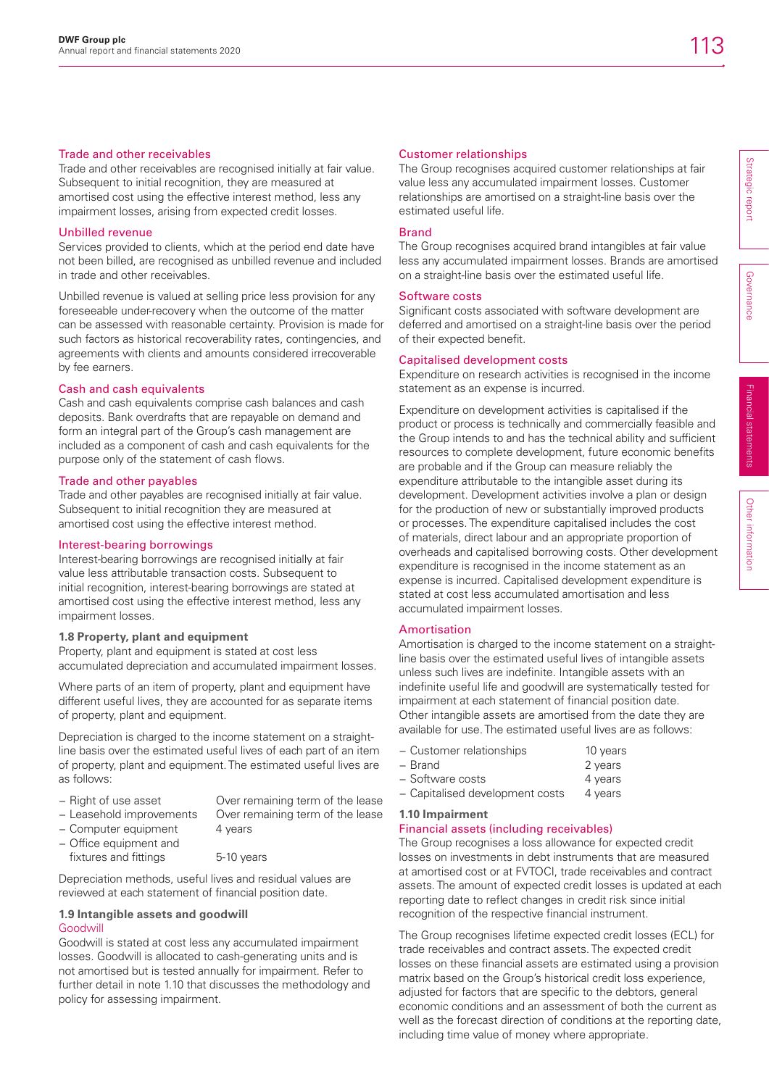## Trade and other receivables

Trade and other receivables are recognised initially at fair value. Subsequent to initial recognition, they are measured at amortised cost using the effective interest method, less any impairment losses, arising from expected credit losses.

## Unbilled revenue

Services provided to clients, which at the period end date have not been billed, are recognised as unbilled revenue and included in trade and other receivables.

Unbilled revenue is valued at selling price less provision for any foreseeable under-recovery when the outcome of the matter can be assessed with reasonable certainty. Provision is made for such factors as historical recoverability rates, contingencies, and agreements with clients and amounts considered irrecoverable by fee earners.

## Cash and cash equivalents

Cash and cash equivalents comprise cash balances and cash deposits. Bank overdrafts that are repayable on demand and form an integral part of the Group's cash management are included as a component of cash and cash equivalents for the purpose only of the statement of cash flows.

## Trade and other payables

Trade and other payables are recognised initially at fair value. Subsequent to initial recognition they are measured at amortised cost using the effective interest method.

## Interest-bearing borrowings

Interest-bearing borrowings are recognised initially at fair value less attributable transaction costs. Subsequent to initial recognition, interest-bearing borrowings are stated at amortised cost using the effective interest method, less any impairment losses.

## **1.8 Property, plant and equipment**

Property, plant and equipment is stated at cost less accumulated depreciation and accumulated impairment losses.

Where parts of an item of property, plant and equipment have different useful lives, they are accounted for as separate items of property, plant and equipment.

Depreciation is charged to the income statement on a straightline basis over the estimated useful lives of each part of an item of property, plant and equipment. The estimated useful lives are as follows:

− Right of use asset Over remaining term of the lease − Leasehold improvements Over remaining term of the lease

- − Computer equipment 4 years − Office equipment and
	-

fixtures and fittings 5-10 years

Depreciation methods, useful lives and residual values are reviewed at each statement of financial position date.

## **1.9 Intangible assets and goodwill** Goodwill

Goodwill is stated at cost less any accumulated impairment losses. Goodwill is allocated to cash-generating units and is not amortised but is tested annually for impairment. Refer to further detail in note 1.10 that discusses the methodology and policy for assessing impairment.

## Customer relationships

The Group recognises acquired customer relationships at fair value less any accumulated impairment losses. Customer relationships are amortised on a straight-line basis over the estimated useful life.

### Brand

The Group recognises acquired brand intangibles at fair value less any accumulated impairment losses. Brands are amortised on a straight-line basis over the estimated useful life.

## Software costs

Significant costs associated with software development are deferred and amortised on a straight-line basis over the period of their expected benefit.

## Capitalised development costs

Expenditure on research activities is recognised in the income statement as an expense is incurred.

Expenditure on development activities is capitalised if the product or process is technically and commercially feasible and the Group intends to and has the technical ability and sufficient resources to complete development, future economic benefits are probable and if the Group can measure reliably the expenditure attributable to the intangible asset during its development. Development activities involve a plan or design for the production of new or substantially improved products or processes. The expenditure capitalised includes the cost of materials, direct labour and an appropriate proportion of overheads and capitalised borrowing costs. Other development expenditure is recognised in the income statement as an expense is incurred. Capitalised development expenditure is stated at cost less accumulated amortisation and less accumulated impairment losses.

## Amortisation

Amortisation is charged to the income statement on a straightline basis over the estimated useful lives of intangible assets unless such lives are indefinite. Intangible assets with an indefinite useful life and goodwill are systematically tested for impairment at each statement of financial position date. Other intangible assets are amortised from the date they are available for use. The estimated useful lives are as follows:

- − Customer relationships 10 years
- − Brand 2 years
- − Software costs 4 years
- − Capitalised development costs 4 years
- **1.10 Impairment**

## Financial assets (including receivables)

The Group recognises a loss allowance for expected credit losses on investments in debt instruments that are measured at amortised cost or at FVTOCI, trade receivables and contract assets. The amount of expected credit losses is updated at each reporting date to reflect changes in credit risk since initial recognition of the respective financial instrument.

The Group recognises lifetime expected credit losses (ECL) for trade receivables and contract assets. The expected credit losses on these financial assets are estimated using a provision matrix based on the Group's historical credit loss experience, adjusted for factors that are specific to the debtors, general economic conditions and an assessment of both the current as well as the forecast direction of conditions at the reporting date, including time value of money where appropriate.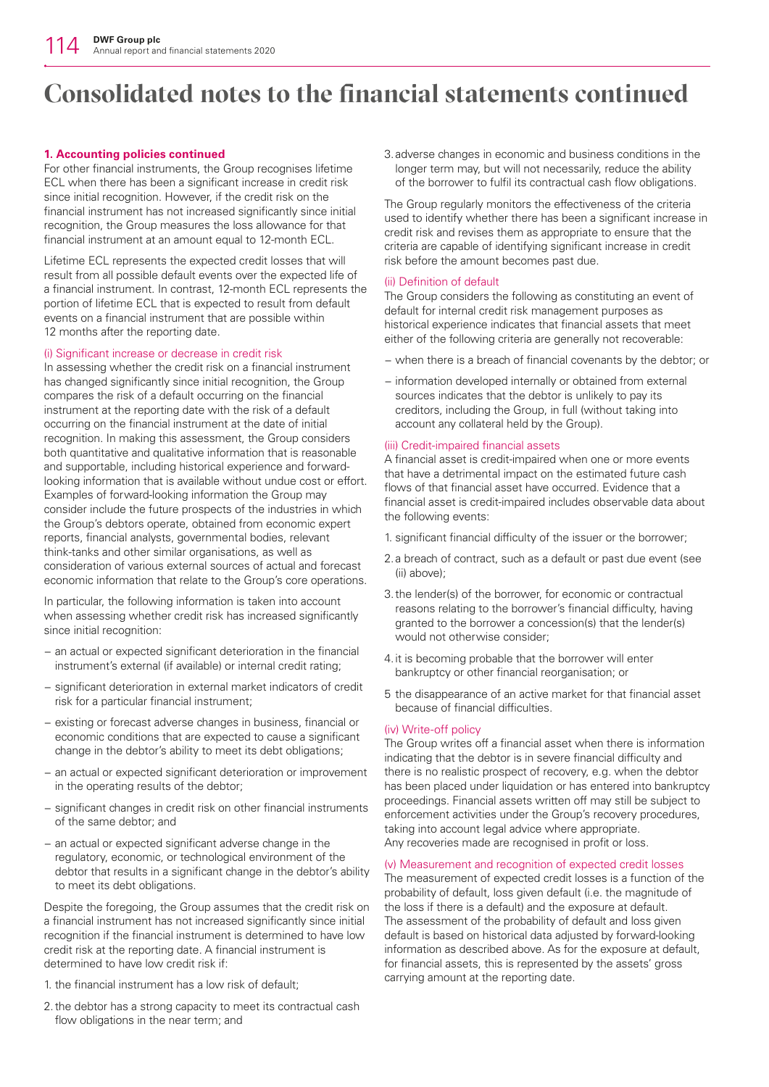## **1. Accounting policies continued**

For other financial instruments, the Group recognises lifetime ECL when there has been a significant increase in credit risk since initial recognition. However, if the credit risk on the financial instrument has not increased significantly since initial recognition, the Group measures the loss allowance for that financial instrument at an amount equal to 12-month ECL.

Lifetime ECL represents the expected credit losses that will result from all possible default events over the expected life of a financial instrument. In contrast, 12-month ECL represents the portion of lifetime ECL that is expected to result from default events on a financial instrument that are possible within 12 months after the reporting date.

## (i) Significant increase or decrease in credit risk

In assessing whether the credit risk on a financial instrument has changed significantly since initial recognition, the Group compares the risk of a default occurring on the financial instrument at the reporting date with the risk of a default occurring on the financial instrument at the date of initial recognition. In making this assessment, the Group considers both quantitative and qualitative information that is reasonable and supportable, including historical experience and forwardlooking information that is available without undue cost or effort. Examples of forward-looking information the Group may consider include the future prospects of the industries in which the Group's debtors operate, obtained from economic expert reports, financial analysts, governmental bodies, relevant think-tanks and other similar organisations, as well as consideration of various external sources of actual and forecast economic information that relate to the Group's core operations.

In particular, the following information is taken into account when assessing whether credit risk has increased significantly since initial recognition:

- − an actual or expected significant deterioration in the financial instrument's external (if available) or internal credit rating;
- − significant deterioration in external market indicators of credit risk for a particular financial instrument;
- − existing or forecast adverse changes in business, financial or economic conditions that are expected to cause a significant change in the debtor's ability to meet its debt obligations;
- − an actual or expected significant deterioration or improvement in the operating results of the debtor;
- − significant changes in credit risk on other financial instruments of the same debtor; and
- − an actual or expected significant adverse change in the regulatory, economic, or technological environment of the debtor that results in a significant change in the debtor's ability to meet its debt obligations.

Despite the foregoing, the Group assumes that the credit risk on a financial instrument has not increased significantly since initial recognition if the financial instrument is determined to have low credit risk at the reporting date. A financial instrument is determined to have low credit risk if:

- 1. the financial instrument has a low risk of default;
- 2. the debtor has a strong capacity to meet its contractual cash flow obligations in the near term; and

3. adverse changes in economic and business conditions in the longer term may, but will not necessarily, reduce the ability of the borrower to fulfil its contractual cash flow obligations.

The Group regularly monitors the effectiveness of the criteria used to identify whether there has been a significant increase in credit risk and revises them as appropriate to ensure that the criteria are capable of identifying significant increase in credit risk before the amount becomes past due.

## (ii) Definition of default

The Group considers the following as constituting an event of default for internal credit risk management purposes as historical experience indicates that financial assets that meet either of the following criteria are generally not recoverable:

- − when there is a breach of financial covenants by the debtor; or
- − information developed internally or obtained from external sources indicates that the debtor is unlikely to pay its creditors, including the Group, in full (without taking into account any collateral held by the Group).

## (iii) Credit-impaired financial assets

A financial asset is credit-impaired when one or more events that have a detrimental impact on the estimated future cash flows of that financial asset have occurred. Evidence that a financial asset is credit-impaired includes observable data about the following events:

- 1. significant financial difficulty of the issuer or the borrower;
- 2. a breach of contract, such as a default or past due event (see (ii) above);
- 3. the lender(s) of the borrower, for economic or contractual reasons relating to the borrower's financial difficulty, having granted to the borrower a concession(s) that the lender(s) would not otherwise consider;
- 4. it is becoming probable that the borrower will enter bankruptcy or other financial reorganisation; or
- 5 the disappearance of an active market for that financial asset because of financial difficulties.

## (iv) Write-off policy

The Group writes off a financial asset when there is information indicating that the debtor is in severe financial difficulty and there is no realistic prospect of recovery, e.g. when the debtor has been placed under liquidation or has entered into bankruptcy proceedings. Financial assets written off may still be subject to enforcement activities under the Group's recovery procedures, taking into account legal advice where appropriate. Any recoveries made are recognised in profit or loss.

## (v) Measurement and recognition of expected credit losses

The measurement of expected credit losses is a function of the probability of default, loss given default (i.e. the magnitude of the loss if there is a default) and the exposure at default. The assessment of the probability of default and loss given default is based on historical data adjusted by forward-looking information as described above. As for the exposure at default, for financial assets, this is represented by the assets' gross carrying amount at the reporting date.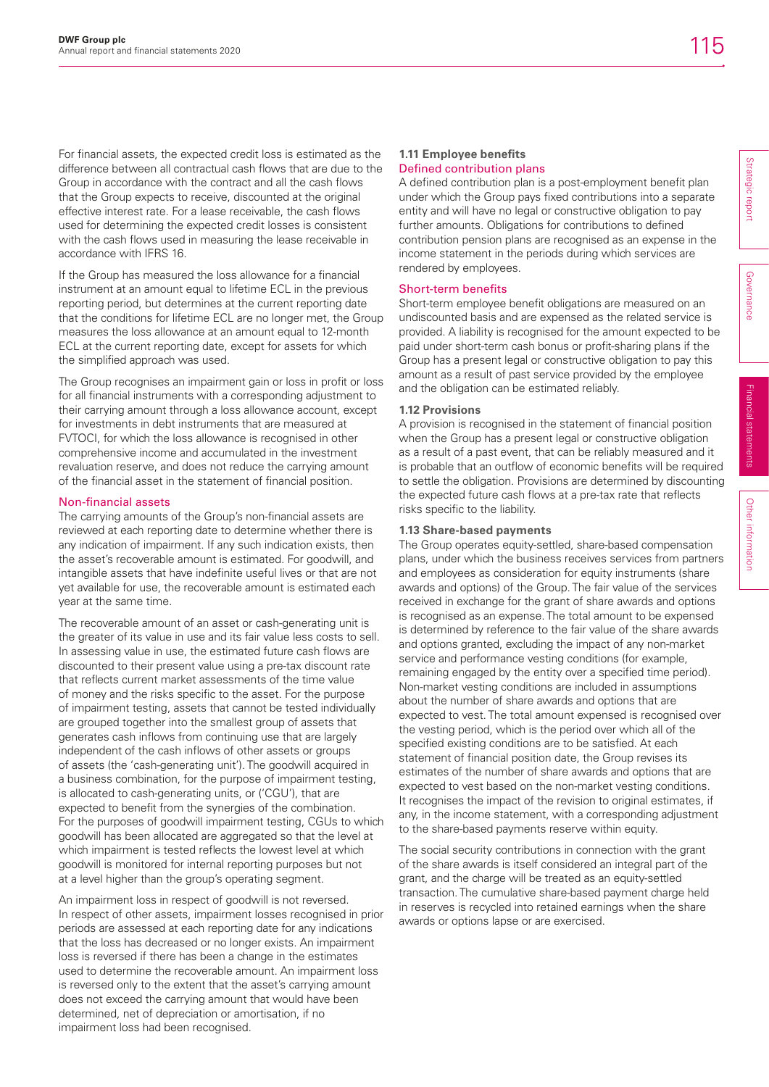For financial assets, the expected credit loss is estimated as the difference between all contractual cash flows that are due to the Group in accordance with the contract and all the cash flows that the Group expects to receive, discounted at the original effective interest rate. For a lease receivable, the cash flows used for determining the expected credit losses is consistent with the cash flows used in measuring the lease receivable in accordance with IFRS 16.

If the Group has measured the loss allowance for a financial instrument at an amount equal to lifetime ECL in the previous reporting period, but determines at the current reporting date that the conditions for lifetime ECL are no longer met, the Group measures the loss allowance at an amount equal to 12-month ECL at the current reporting date, except for assets for which the simplified approach was used.

The Group recognises an impairment gain or loss in profit or loss for all financial instruments with a corresponding adjustment to their carrying amount through a loss allowance account, except for investments in debt instruments that are measured at FVTOCI, for which the loss allowance is recognised in other comprehensive income and accumulated in the investment revaluation reserve, and does not reduce the carrying amount of the financial asset in the statement of financial position.

## Non-financial assets

The carrying amounts of the Group's non-financial assets are reviewed at each reporting date to determine whether there is any indication of impairment. If any such indication exists, then the asset's recoverable amount is estimated. For goodwill, and intangible assets that have indefinite useful lives or that are not yet available for use, the recoverable amount is estimated each year at the same time.

The recoverable amount of an asset or cash-generating unit is the greater of its value in use and its fair value less costs to sell. In assessing value in use, the estimated future cash flows are discounted to their present value using a pre-tax discount rate that reflects current market assessments of the time value of money and the risks specific to the asset. For the purpose of impairment testing, assets that cannot be tested individually are grouped together into the smallest group of assets that generates cash inflows from continuing use that are largely independent of the cash inflows of other assets or groups of assets (the 'cash-generating unit'). The goodwill acquired in a business combination, for the purpose of impairment testing, is allocated to cash-generating units, or ('CGU'), that are expected to benefit from the synergies of the combination. For the purposes of goodwill impairment testing, CGUs to which goodwill has been allocated are aggregated so that the level at which impairment is tested reflects the lowest level at which goodwill is monitored for internal reporting purposes but not at a level higher than the group's operating segment.

An impairment loss in respect of goodwill is not reversed. In respect of other assets, impairment losses recognised in prior periods are assessed at each reporting date for any indications that the loss has decreased or no longer exists. An impairment loss is reversed if there has been a change in the estimates used to determine the recoverable amount. An impairment loss is reversed only to the extent that the asset's carrying amount does not exceed the carrying amount that would have been determined, net of depreciation or amortisation, if no impairment loss had been recognised.

#### **1.11 Employee benefits** Defined contribution plans

A defined contribution plan is a post-employment benefit plan under which the Group pays fixed contributions into a separate entity and will have no legal or constructive obligation to pay further amounts. Obligations for contributions to defined contribution pension plans are recognised as an expense in the income statement in the periods during which services are rendered by employees.

## Short-term benefits

Short-term employee benefit obligations are measured on an undiscounted basis and are expensed as the related service is provided. A liability is recognised for the amount expected to be paid under short-term cash bonus or profit-sharing plans if the Group has a present legal or constructive obligation to pay this amount as a result of past service provided by the employee and the obligation can be estimated reliably.

## **1.12 Provisions**

A provision is recognised in the statement of financial position when the Group has a present legal or constructive obligation as a result of a past event, that can be reliably measured and it is probable that an outflow of economic benefits will be required to settle the obligation. Provisions are determined by discounting the expected future cash flows at a pre-tax rate that reflects risks specific to the liability.

## **1.13 Share-based payments**

The Group operates equity-settled, share-based compensation plans, under which the business receives services from partners and employees as consideration for equity instruments (share awards and options) of the Group. The fair value of the services received in exchange for the grant of share awards and options is recognised as an expense. The total amount to be expensed is determined by reference to the fair value of the share awards and options granted, excluding the impact of any non-market service and performance vesting conditions (for example, remaining engaged by the entity over a specified time period). Non-market vesting conditions are included in assumptions about the number of share awards and options that are expected to vest. The total amount expensed is recognised over the vesting period, which is the period over which all of the specified existing conditions are to be satisfied. At each statement of financial position date, the Group revises its estimates of the number of share awards and options that are expected to vest based on the non-market vesting conditions. It recognises the impact of the revision to original estimates, if any, in the income statement, with a corresponding adjustment to the share-based payments reserve within equity.

The social security contributions in connection with the grant of the share awards is itself considered an integral part of the grant, and the charge will be treated as an equity-settled transaction. The cumulative share-based payment charge held in reserves is recycled into retained earnings when the share awards or options lapse or are exercised.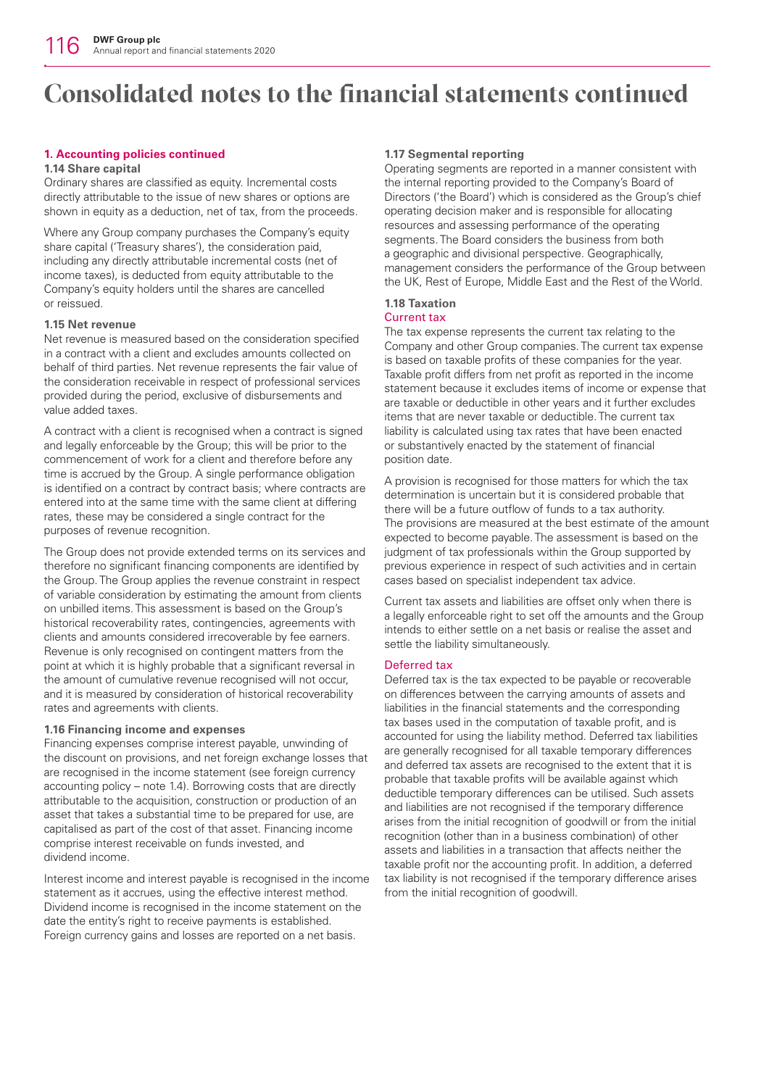## **1. Accounting policies continued**

## **1.14 Share capital**

Ordinary shares are classified as equity. Incremental costs directly attributable to the issue of new shares or options are shown in equity as a deduction, net of tax, from the proceeds.

Where any Group company purchases the Company's equity share capital ('Treasury shares'), the consideration paid, including any directly attributable incremental costs (net of income taxes), is deducted from equity attributable to the Company's equity holders until the shares are cancelled or reissued.

## **1.15 Net revenue**

Net revenue is measured based on the consideration specified in a contract with a client and excludes amounts collected on behalf of third parties. Net revenue represents the fair value of the consideration receivable in respect of professional services provided during the period, exclusive of disbursements and value added taxes.

A contract with a client is recognised when a contract is signed and legally enforceable by the Group; this will be prior to the commencement of work for a client and therefore before any time is accrued by the Group. A single performance obligation is identified on a contract by contract basis; where contracts are entered into at the same time with the same client at differing rates, these may be considered a single contract for the purposes of revenue recognition.

The Group does not provide extended terms on its services and therefore no significant financing components are identified by the Group. The Group applies the revenue constraint in respect of variable consideration by estimating the amount from clients on unbilled items. This assessment is based on the Group's historical recoverability rates, contingencies, agreements with clients and amounts considered irrecoverable by fee earners. Revenue is only recognised on contingent matters from the point at which it is highly probable that a significant reversal in the amount of cumulative revenue recognised will not occur, and it is measured by consideration of historical recoverability rates and agreements with clients.

## **1.16 Financing income and expenses**

Financing expenses comprise interest payable, unwinding of the discount on provisions, and net foreign exchange losses that are recognised in the income statement (see foreign currency accounting policy – note 1.4). Borrowing costs that are directly attributable to the acquisition, construction or production of an asset that takes a substantial time to be prepared for use, are capitalised as part of the cost of that asset. Financing income comprise interest receivable on funds invested, and dividend income.

Interest income and interest payable is recognised in the income statement as it accrues, using the effective interest method. Dividend income is recognised in the income statement on the date the entity's right to receive payments is established. Foreign currency gains and losses are reported on a net basis.

## **1.17 Segmental reporting**

Operating segments are reported in a manner consistent with the internal reporting provided to the Company's Board of Directors ('the Board') which is considered as the Group's chief operating decision maker and is responsible for allocating resources and assessing performance of the operating segments. The Board considers the business from both a geographic and divisional perspective. Geographically, management considers the performance of the Group between the UK, Rest of Europe, Middle East and the Rest of the World.

## **1.18 Taxation**

## Current tax

The tax expense represents the current tax relating to the Company and other Group companies. The current tax expense is based on taxable profits of these companies for the year. Taxable profit differs from net profit as reported in the income statement because it excludes items of income or expense that are taxable or deductible in other years and it further excludes items that are never taxable or deductible. The current tax liability is calculated using tax rates that have been enacted or substantively enacted by the statement of financial position date.

A provision is recognised for those matters for which the tax determination is uncertain but it is considered probable that there will be a future outflow of funds to a tax authority. The provisions are measured at the best estimate of the amount expected to become payable. The assessment is based on the judgment of tax professionals within the Group supported by previous experience in respect of such activities and in certain cases based on specialist independent tax advice.

Current tax assets and liabilities are offset only when there is a legally enforceable right to set off the amounts and the Group intends to either settle on a net basis or realise the asset and settle the liability simultaneously.

## Deferred tax

Deferred tax is the tax expected to be payable or recoverable on differences between the carrying amounts of assets and liabilities in the financial statements and the corresponding tax bases used in the computation of taxable profit, and is accounted for using the liability method. Deferred tax liabilities are generally recognised for all taxable temporary differences and deferred tax assets are recognised to the extent that it is probable that taxable profits will be available against which deductible temporary differences can be utilised. Such assets and liabilities are not recognised if the temporary difference arises from the initial recognition of goodwill or from the initial recognition (other than in a business combination) of other assets and liabilities in a transaction that affects neither the taxable profit nor the accounting profit. In addition, a deferred tax liability is not recognised if the temporary difference arises from the initial recognition of goodwill.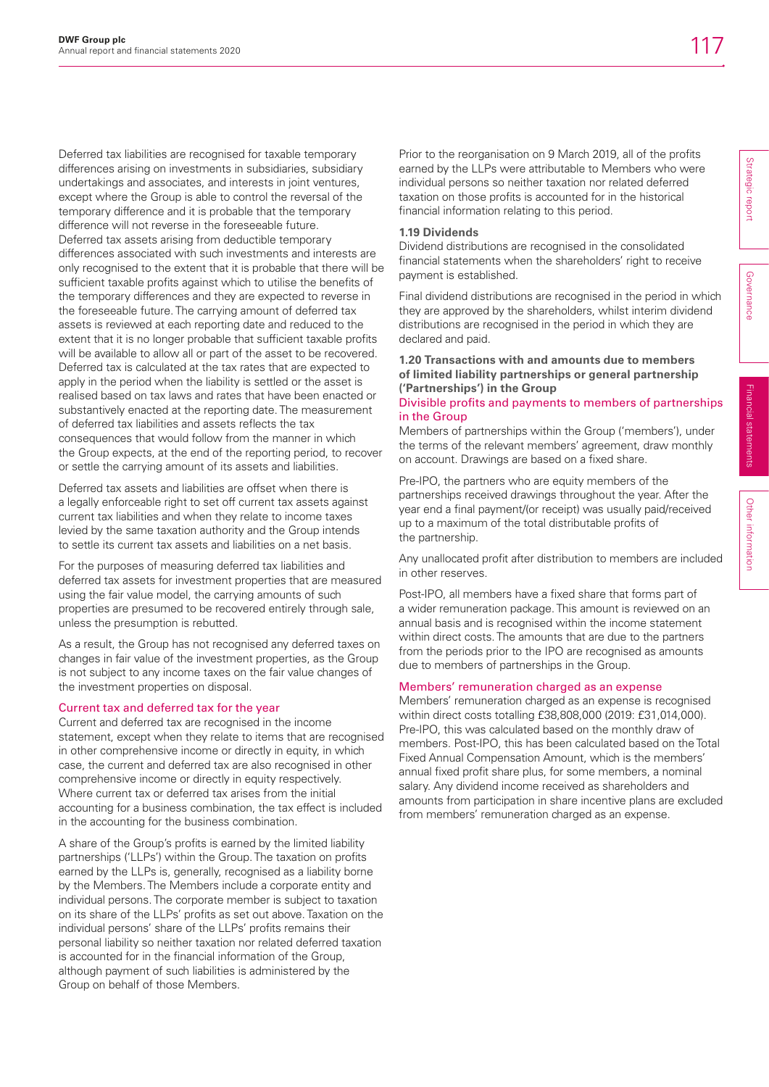Deferred tax liabilities are recognised for taxable temporary differences arising on investments in subsidiaries, subsidiary undertakings and associates, and interests in joint ventures, except where the Group is able to control the reversal of the temporary difference and it is probable that the temporary difference will not reverse in the foreseeable future. Deferred tax assets arising from deductible temporary differences associated with such investments and interests are only recognised to the extent that it is probable that there will be sufficient taxable profits against which to utilise the benefits of the temporary differences and they are expected to reverse in the foreseeable future. The carrying amount of deferred tax assets is reviewed at each reporting date and reduced to the extent that it is no longer probable that sufficient taxable profits will be available to allow all or part of the asset to be recovered. Deferred tax is calculated at the tax rates that are expected to apply in the period when the liability is settled or the asset is realised based on tax laws and rates that have been enacted or substantively enacted at the reporting date. The measurement of deferred tax liabilities and assets reflects the tax consequences that would follow from the manner in which the Group expects, at the end of the reporting period, to recover or settle the carrying amount of its assets and liabilities.

Deferred tax assets and liabilities are offset when there is a legally enforceable right to set off current tax assets against current tax liabilities and when they relate to income taxes levied by the same taxation authority and the Group intends to settle its current tax assets and liabilities on a net basis.

For the purposes of measuring deferred tax liabilities and deferred tax assets for investment properties that are measured using the fair value model, the carrying amounts of such properties are presumed to be recovered entirely through sale, unless the presumption is rebutted.

As a result, the Group has not recognised any deferred taxes on changes in fair value of the investment properties, as the Group is not subject to any income taxes on the fair value changes of the investment properties on disposal.

## Current tax and deferred tax for the year

Current and deferred tax are recognised in the income statement, except when they relate to items that are recognised in other comprehensive income or directly in equity, in which case, the current and deferred tax are also recognised in other comprehensive income or directly in equity respectively. Where current tax or deferred tax arises from the initial accounting for a business combination, the tax effect is included in the accounting for the business combination.

A share of the Group's profits is earned by the limited liability partnerships ('LLPs') within the Group. The taxation on profits earned by the LLPs is, generally, recognised as a liability borne by the Members. The Members include a corporate entity and individual persons. The corporate member is subject to taxation on its share of the LLPs' profits as set out above. Taxation on the individual persons' share of the LLPs' profits remains their personal liability so neither taxation nor related deferred taxation is accounted for in the financial information of the Group, although payment of such liabilities is administered by the Group on behalf of those Members.

Prior to the reorganisation on 9 March 2019, all of the profits earned by the LLPs were attributable to Members who were individual persons so neither taxation nor related deferred taxation on those profits is accounted for in the historical financial information relating to this period.

### **1.19 Dividends**

Dividend distributions are recognised in the consolidated financial statements when the shareholders' right to receive payment is established.

Final dividend distributions are recognised in the period in which they are approved by the shareholders, whilst interim dividend distributions are recognised in the period in which they are declared and paid.

## **1.20 Transactions with and amounts due to members of limited liability partnerships or general partnership ('Partnerships') in the Group**

## Divisible profits and payments to members of partnerships in the Group

Members of partnerships within the Group ('members'), under the terms of the relevant members' agreement, draw monthly on account. Drawings are based on a fixed share.

Pre-IPO, the partners who are equity members of the partnerships received drawings throughout the year. After the year end a final payment/(or receipt) was usually paid/received up to a maximum of the total distributable profits of the partnership.

Any unallocated profit after distribution to members are included in other reserves.

Post-IPO, all members have a fixed share that forms part of a wider remuneration package. This amount is reviewed on an annual basis and is recognised within the income statement within direct costs. The amounts that are due to the partners from the periods prior to the IPO are recognised as amounts due to members of partnerships in the Group.

## Members' remuneration charged as an expense

Members' remuneration charged as an expense is recognised within direct costs totalling £38,808,000 (2019: £31,014,000). Pre-IPO, this was calculated based on the monthly draw of members. Post-IPO, this has been calculated based on the Total Fixed Annual Compensation Amount, which is the members' annual fixed profit share plus, for some members, a nominal salary. Any dividend income received as shareholders and amounts from participation in share incentive plans are excluded from members' remuneration charged as an expense.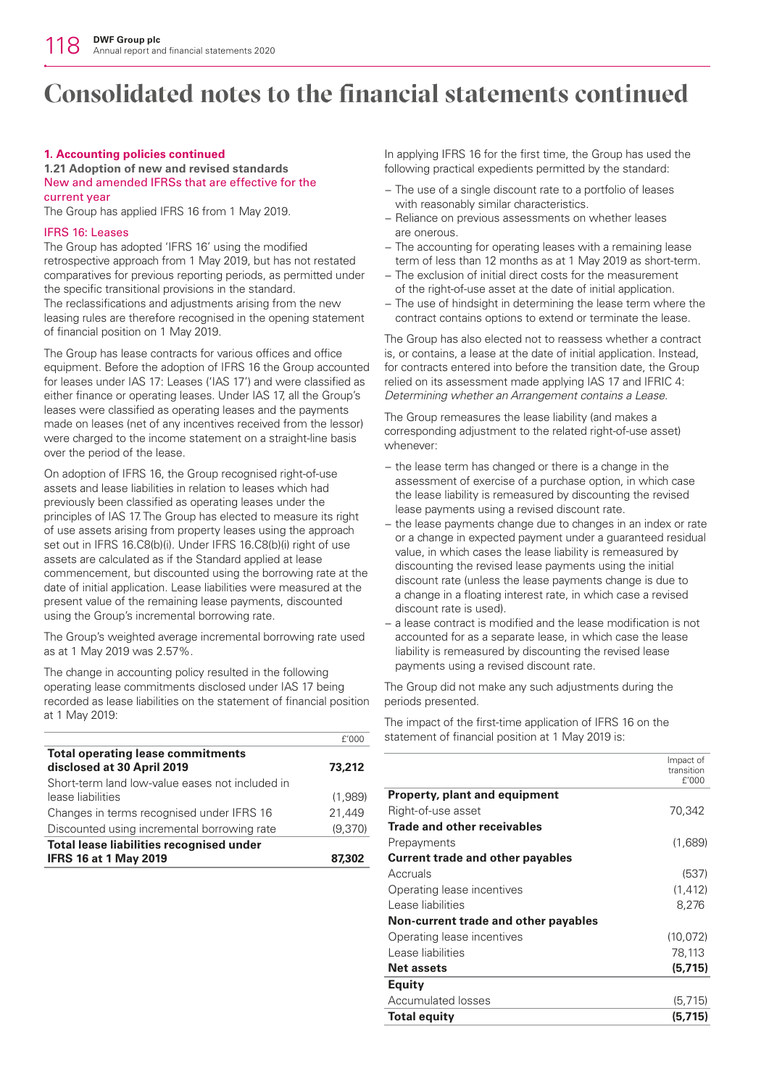### **1. Accounting policies continued**

#### **1.21 Adoption of new and revised standards** New and amended IFRSs that are effective for the current year

The Group has applied IFRS 16 from 1 May 2019.

### IFRS 16: Leases

The Group has adopted 'IFRS 16' using the modified retrospective approach from 1 May 2019, but has not restated comparatives for previous reporting periods, as permitted under the specific transitional provisions in the standard. The reclassifications and adjustments arising from the new leasing rules are therefore recognised in the opening statement of financial position on 1 May 2019.

The Group has lease contracts for various offices and office equipment. Before the adoption of IFRS 16 the Group accounted for leases under IAS 17: Leases ('IAS 17') and were classified as either finance or operating leases. Under IAS 17, all the Group's leases were classified as operating leases and the payments made on leases (net of any incentives received from the lessor) were charged to the income statement on a straight-line basis over the period of the lease.

On adoption of IFRS 16, the Group recognised right-of-use assets and lease liabilities in relation to leases which had previously been classified as operating leases under the principles of IAS 17. The Group has elected to measure its right of use assets arising from property leases using the approach set out in IFRS 16.C8(b)(i). Under IFRS 16.C8(b)(i) right of use assets are calculated as if the Standard applied at lease commencement, but discounted using the borrowing rate at the date of initial application. Lease liabilities were measured at the present value of the remaining lease payments, discounted using the Group's incremental borrowing rate.

The Group's weighted average incremental borrowing rate used as at 1 May 2019 was 2.57%.

The change in accounting policy resulted in the following operating lease commitments disclosed under IAS 17 being recorded as lease liabilities on the statement of financial position at 1 May 2019:

|                                                                        | f'000   |
|------------------------------------------------------------------------|---------|
| <b>Total operating lease commitments</b><br>disclosed at 30 April 2019 | 73,212  |
| Short-term land low-value eases not included in                        |         |
| lease liabilities                                                      | (1.989) |
| Changes in terms recognised under IFRS 16                              | 21.449  |
| Discounted using incremental borrowing rate                            | (9,370) |
| Total lease liabilities recognised under                               |         |
| <b>IFRS 16 at 1 May 2019</b>                                           | 87.302  |

In applying IFRS 16 for the first time, the Group has used the following practical expedients permitted by the standard:

- − The use of a single discount rate to a portfolio of leases with reasonably similar characteristics.
- Reliance on previous assessments on whether leases are onerous.
- The accounting for operating leases with a remaining lease term of less than 12 months as at 1 May 2019 as short-term.
- The exclusion of initial direct costs for the measurement of the right-of-use asset at the date of initial application.
- The use of hindsight in determining the lease term where the contract contains options to extend or terminate the lease.

The Group has also elected not to reassess whether a contract is, or contains, a lease at the date of initial application. Instead, for contracts entered into before the transition date, the Group relied on its assessment made applying IAS 17 and IFRIC 4: *Determining whether an Arrangement contains a Lease*.

The Group remeasures the lease liability (and makes a corresponding adjustment to the related right-of-use asset) whenever:

- − the lease term has changed or there is a change in the assessment of exercise of a purchase option, in which case the lease liability is remeasured by discounting the revised lease payments using a revised discount rate.
- the lease payments change due to changes in an index or rate or a change in expected payment under a guaranteed residual value, in which cases the lease liability is remeasured by discounting the revised lease payments using the initial discount rate (unless the lease payments change is due to a change in a floating interest rate, in which case a revised discount rate is used).
- a lease contract is modified and the lease modification is not accounted for as a separate lease, in which case the lease liability is remeasured by discounting the revised lease payments using a revised discount rate.

The Group did not make any such adjustments during the periods presented.

The impact of the first-time application of IFRS 16 on the statement of financial position at 1 May 2019 is:

|                                         | Impact of<br>transition |
|-----------------------------------------|-------------------------|
| <b>Property, plant and equipment</b>    | f'000                   |
| Right-of-use asset                      | 70,342                  |
| <b>Trade and other receivables</b>      |                         |
| Prepayments                             | (1,689)                 |
| <b>Current trade and other payables</b> |                         |
| Accruals                                | (537)                   |
| Operating lease incentives              | (1, 412)                |
| Lease liabilities                       | 8,276                   |
| Non-current trade and other payables    |                         |
| Operating lease incentives              | (10, 072)               |
| Lease liabilities                       | 78,113                  |
| <b>Net assets</b>                       | (5.715)                 |
| Equity                                  |                         |
| Accumulated losses                      | (5, 715)                |
| <b>Total equity</b>                     | (5.715)                 |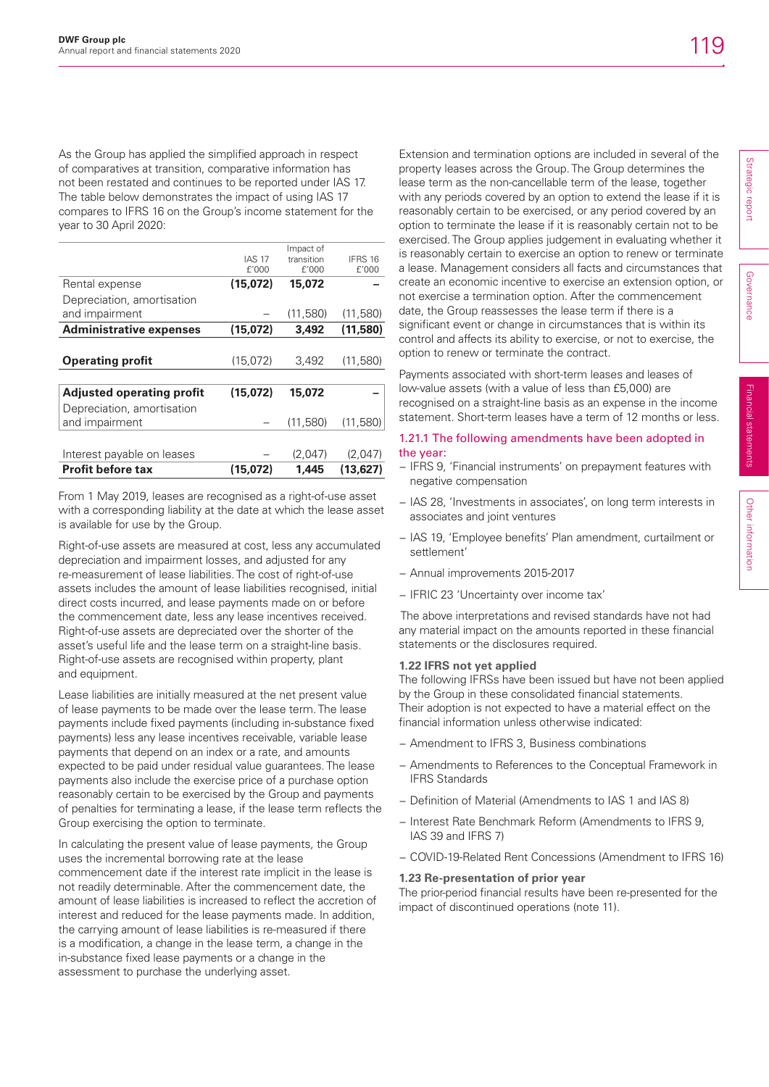As the Group has applied the simplified approach in respect of comparatives at transition, comparative information has not been restated and continues to be reported under IAS 17. The table below demonstrates the impact of using IAS 17 compares to IFRS 16 on the Group's income statement for the year to 30 April 2020:

|                                  | <b>IAS 17</b> | Impact of           |                  |
|----------------------------------|---------------|---------------------|------------------|
|                                  | f'000         | transition<br>f'000 | IFRS 16<br>f'000 |
|                                  |               |                     |                  |
| Rental expense                   | (15,072)      | 15,072              |                  |
| Depreciation, amortisation       |               |                     |                  |
| and impairment                   |               | (11,580)            | (11,580)         |
| <b>Administrative expenses</b>   | (15,072)      | 3.492               | (11,580)         |
|                                  |               |                     |                  |
| <b>Operating profit</b>          | (15,072)      | 3,492               | (11,580)         |
|                                  |               |                     |                  |
| <b>Adjusted operating profit</b> | (15.072)      | 15,072              |                  |
| Depreciation, amortisation       |               |                     |                  |
| and impairment                   |               | (11,580)            | (11,580)         |
|                                  |               |                     |                  |
| Interest payable on leases       |               | (2,047)             | (2,047)          |
| <b>Profit before tax</b>         | (15.072)      | 1.445               | (13.627)         |

From 1 May 2019, leases are recognised as a right-of-use asset with a corresponding liability at the date at which the lease asset is available for use by the Group.

Right-of-use assets are measured at cost, less any accumulated depreciation and impairment losses, and adjusted for any re-measurement of lease liabilities. The cost of right-of-use assets includes the amount of lease liabilities recognised, initial direct costs incurred, and lease payments made on or before the commencement date, less any lease incentives received. Right-of-use assets are depreciated over the shorter of the asset's useful life and the lease term on a straight-line basis. Right-of-use assets are recognised within property, plant and equipment.

Lease liabilities are initially measured at the net present value of lease payments to be made over the lease term. The lease payments include fixed payments (including in-substance fixed payments) less any lease incentives receivable, variable lease payments that depend on an index or a rate, and amounts expected to be paid under residual value guarantees. The lease payments also include the exercise price of a purchase option reasonably certain to be exercised by the Group and payments of penalties for terminating a lease, if the lease term reflects the Group exercising the option to terminate.

In calculating the present value of lease payments, the Group uses the incremental borrowing rate at the lease commencement date if the interest rate implicit in the lease is not readily determinable. After the commencement date, the amount of lease liabilities is increased to reflect the accretion of interest and reduced for the lease payments made. In addition, the carrying amount of lease liabilities is re-measured if there is a modification, a change in the lease term, a change in the in-substance fixed lease payments or a change in the assessment to purchase the underlying asset.

Extension and termination options are included in several of the property leases across the Group. The Group determines the lease term as the non-cancellable term of the lease, together with any periods covered by an option to extend the lease if it is reasonably certain to be exercised, or any period covered by an option to terminate the lease if it is reasonably certain not to be exercised. The Group applies judgement in evaluating whether it is reasonably certain to exercise an option to renew or terminate a lease. Management considers all facts and circumstances that create an economic incentive to exercise an extension option, or not exercise a termination option. After the commencement date, the Group reassesses the lease term if there is a significant event or change in circumstances that is within its control and affects its ability to exercise, or not to exercise, the option to renew or terminate the contract.

Payments associated with short-term leases and leases of low-value assets (with a value of less than £5,000) are recognised on a straight-line basis as an expense in the income statement. Short-term leases have a term of 12 months or less.

## 1.21.1 The following amendments have been adopted in the year:

- − IFRS 9, 'Financial instruments' on prepayment features with negative compensation
- − IAS 28, 'Investments in associates', on long term interests in associates and joint ventures
- − IAS 19, 'Employee benefits' Plan amendment, curtailment or settlement'
- − Annual improvements 2015-2017
- − IFRIC 23 'Uncertainty over income tax'

 The above interpretations and revised standards have not had any material impact on the amounts reported in these financial statements or the disclosures required.

## **1.22 IFRS not yet applied**

The following IFRSs have been issued but have not been applied by the Group in these consolidated financial statements.

Their adoption is not expected to have a material effect on the financial information unless otherwise indicated:

- − Amendment to IFRS 3, Business combinations
- − Amendments to References to the Conceptual Framework in IFRS Standards
- − Definition of Material (Amendments to IAS 1 and IAS 8)
- − Interest Rate Benchmark Reform (Amendments to IFRS 9, IAS 39 and IFRS 7)
- − COVID-19-Related Rent Concessions (Amendment to IFRS 16)

### **1.23 Re-presentation of prior year**

The prior-period financial results have been re-presented for the impact of discontinued operations (note 11).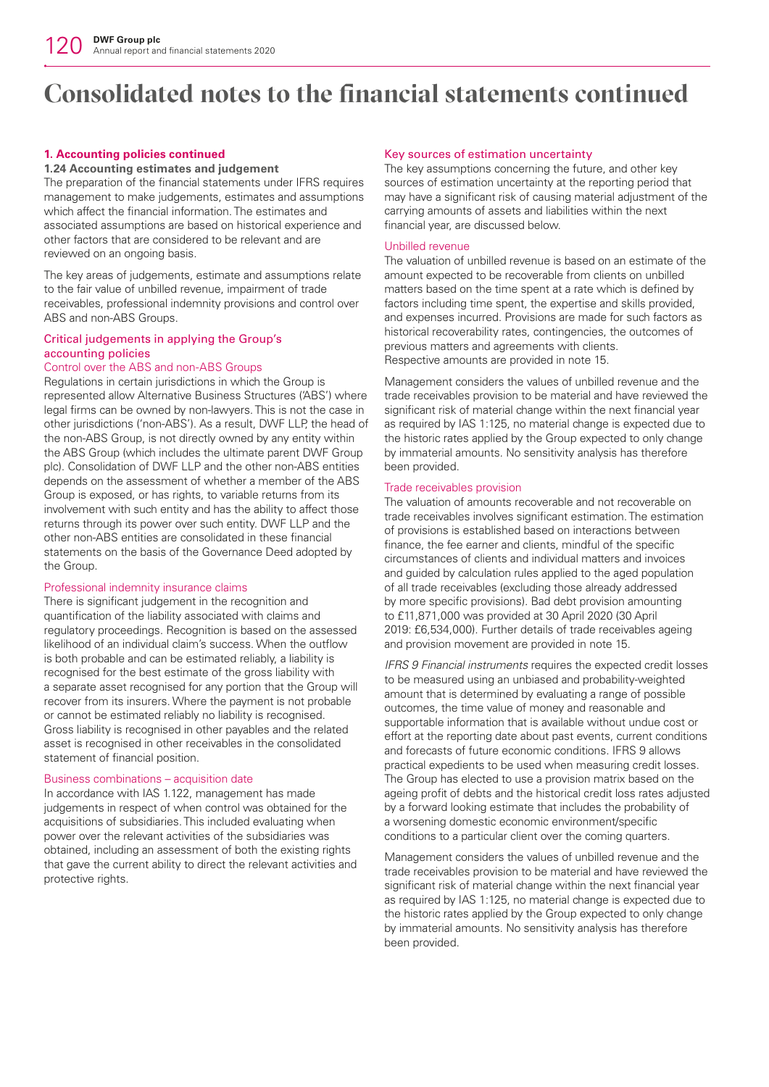## **1. Accounting policies continued**

## **1.24 Accounting estimates and judgement**

The preparation of the financial statements under IFRS requires management to make judgements, estimates and assumptions which affect the financial information. The estimates and associated assumptions are based on historical experience and other factors that are considered to be relevant and are reviewed on an ongoing basis.

The key areas of judgements, estimate and assumptions relate to the fair value of unbilled revenue, impairment of trade receivables, professional indemnity provisions and control over ABS and non-ABS Groups.

## Critical judgements in applying the Group's accounting policies

## Control over the ABS and non-ABS Groups

Regulations in certain jurisdictions in which the Group is represented allow Alternative Business Structures ('ABS') where legal firms can be owned by non-lawyers. This is not the case in other jurisdictions ('non-ABS'). As a result, DWF LLP, the head of the non-ABS Group, is not directly owned by any entity within the ABS Group (which includes the ultimate parent DWF Group plc). Consolidation of DWF LLP and the other non-ABS entities depends on the assessment of whether a member of the ABS Group is exposed, or has rights, to variable returns from its involvement with such entity and has the ability to affect those returns through its power over such entity. DWF LLP and the other non-ABS entities are consolidated in these financial statements on the basis of the Governance Deed adopted by the Group.

## Professional indemnity insurance claims

There is significant judgement in the recognition and quantification of the liability associated with claims and regulatory proceedings. Recognition is based on the assessed likelihood of an individual claim's success. When the outflow is both probable and can be estimated reliably, a liability is recognised for the best estimate of the gross liability with a separate asset recognised for any portion that the Group will recover from its insurers. Where the payment is not probable or cannot be estimated reliably no liability is recognised. Gross liability is recognised in other payables and the related asset is recognised in other receivables in the consolidated statement of financial position.

## Business combinations – acquisition date

In accordance with IAS 1.122, management has made judgements in respect of when control was obtained for the acquisitions of subsidiaries. This included evaluating when power over the relevant activities of the subsidiaries was obtained, including an assessment of both the existing rights that gave the current ability to direct the relevant activities and protective rights.

## Key sources of estimation uncertainty

The key assumptions concerning the future, and other key sources of estimation uncertainty at the reporting period that may have a significant risk of causing material adjustment of the carrying amounts of assets and liabilities within the next financial year, are discussed below.

## Unbilled revenue

The valuation of unbilled revenue is based on an estimate of the amount expected to be recoverable from clients on unbilled matters based on the time spent at a rate which is defined by factors including time spent, the expertise and skills provided, and expenses incurred. Provisions are made for such factors as historical recoverability rates, contingencies, the outcomes of previous matters and agreements with clients. Respective amounts are provided in note 15.

Management considers the values of unbilled revenue and the trade receivables provision to be material and have reviewed the significant risk of material change within the next financial year as required by IAS 1:125, no material change is expected due to the historic rates applied by the Group expected to only change by immaterial amounts. No sensitivity analysis has therefore been provided.

## Trade receivables provision

The valuation of amounts recoverable and not recoverable on trade receivables involves significant estimation. The estimation of provisions is established based on interactions between finance, the fee earner and clients, mindful of the specific circumstances of clients and individual matters and invoices and guided by calculation rules applied to the aged population of all trade receivables (excluding those already addressed by more specific provisions). Bad debt provision amounting to £11,871,000 was provided at 30 April 2020 (30 April 2019: £6,534,000). Further details of trade receivables ageing and provision movement are provided in note 15.

*IFRS 9 Financial instruments* requires the expected credit losses to be measured using an unbiased and probability-weighted amount that is determined by evaluating a range of possible outcomes, the time value of money and reasonable and supportable information that is available without undue cost or effort at the reporting date about past events, current conditions and forecasts of future economic conditions. IFRS 9 allows practical expedients to be used when measuring credit losses. The Group has elected to use a provision matrix based on the ageing profit of debts and the historical credit loss rates adjusted by a forward looking estimate that includes the probability of a worsening domestic economic environment/specific conditions to a particular client over the coming quarters.

Management considers the values of unbilled revenue and the trade receivables provision to be material and have reviewed the significant risk of material change within the next financial year as required by IAS 1:125, no material change is expected due to the historic rates applied by the Group expected to only change by immaterial amounts. No sensitivity analysis has therefore been provided.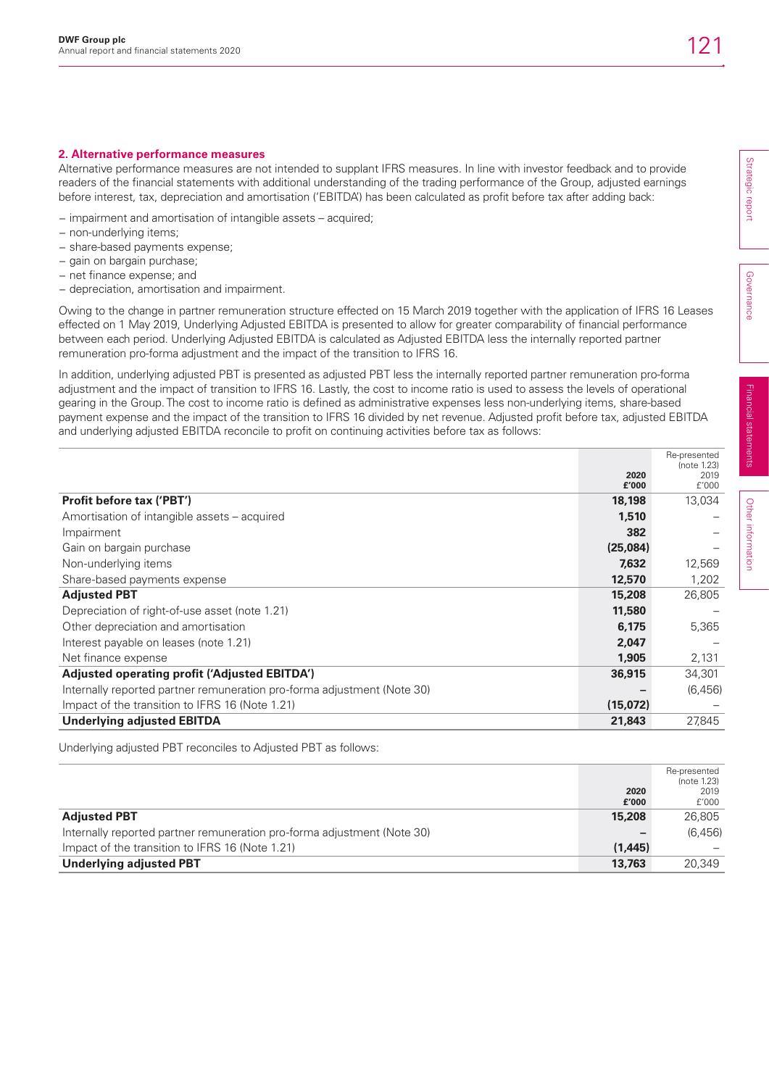## **2. Alternative performance measures**

Alternative performance measures are not intended to supplant IFRS measures. In line with investor feedback and to provide readers of the financial statements with additional understanding of the trading performance of the Group, adjusted earnings before interest, tax, depreciation and amortisation ('EBITDA') has been calculated as profit before tax after adding back:

- − impairment and amortisation of intangible assets acquired;
- − non-underlying items;
- − share-based payments expense;
- − gain on bargain purchase;
- − net finance expense; and
- − depreciation, amortisation and impairment.

Owing to the change in partner remuneration structure effected on 15 March 2019 together with the application of IFRS 16 Leases effected on 1 May 2019, Underlying Adjusted EBITDA is presented to allow for greater comparability of financial performance between each period. Underlying Adjusted EBITDA is calculated as Adjusted EBITDA less the internally reported partner remuneration pro-forma adjustment and the impact of the transition to IFRS 16.

In addition, underlying adjusted PBT is presented as adjusted PBT less the internally reported partner remuneration pro-forma adjustment and the impact of transition to IFRS 16. Lastly, the cost to income ratio is used to assess the levels of operational gearing in the Group. The cost to income ratio is defined as administrative expenses less non-underlying items, share-based payment expense and the impact of the transition to IFRS 16 divided by net revenue. Adjusted profit before tax, adjusted EBITDA and underlying adjusted EBITDA reconcile to profit on continuing activities before tax as follows:

|                                                                         |          | Re-presented        |
|-------------------------------------------------------------------------|----------|---------------------|
|                                                                         | 2020     | (note 1.23)<br>2019 |
|                                                                         | £'000    | f'000               |
| <b>Profit before tax ('PBT')</b>                                        | 18,198   | 13,034              |
| Amortisation of intangible assets – acquired                            | 1,510    |                     |
| Impairment                                                              | 382      |                     |
| Gain on bargain purchase                                                | (25,084) |                     |
| Non-underlying items                                                    | 7,632    | 12,569              |
| Share-based payments expense                                            | 12,570   | 1,202               |
| <b>Adjusted PBT</b>                                                     | 15,208   | 26,805              |
| Depreciation of right-of-use asset (note 1.21)                          | 11,580   |                     |
| Other depreciation and amortisation                                     | 6,175    | 5,365               |
| Interest payable on leases (note 1.21)                                  | 2,047    |                     |
| Net finance expense                                                     | 1.905    | 2,131               |
| Adjusted operating profit ('Adjusted EBITDA')                           | 36,915   | 34,301              |
| Internally reported partner remuneration pro-forma adjustment (Note 30) |          | (6, 456)            |
| Impact of the transition to IFRS 16 (Note 1.21)                         | (15,072) |                     |
| <b>Underlying adjusted EBITDA</b>                                       | 21,843   | 27,845              |

Underlying adjusted PBT reconciles to Adjusted PBT as follows:

|                                                                         |         | Re-presented |
|-------------------------------------------------------------------------|---------|--------------|
|                                                                         |         | (note 1.23)  |
|                                                                         | 2020    | 2019         |
|                                                                         | £'000   | f'000        |
| <b>Adjusted PBT</b>                                                     | 15.208  | 26,805       |
| Internally reported partner remuneration pro-forma adjustment (Note 30) |         | (6, 456)     |
| Impact of the transition to IFRS 16 (Note 1.21)                         | (1,445) |              |
| Underlying adjusted PBT                                                 | 13,763  | 20,349       |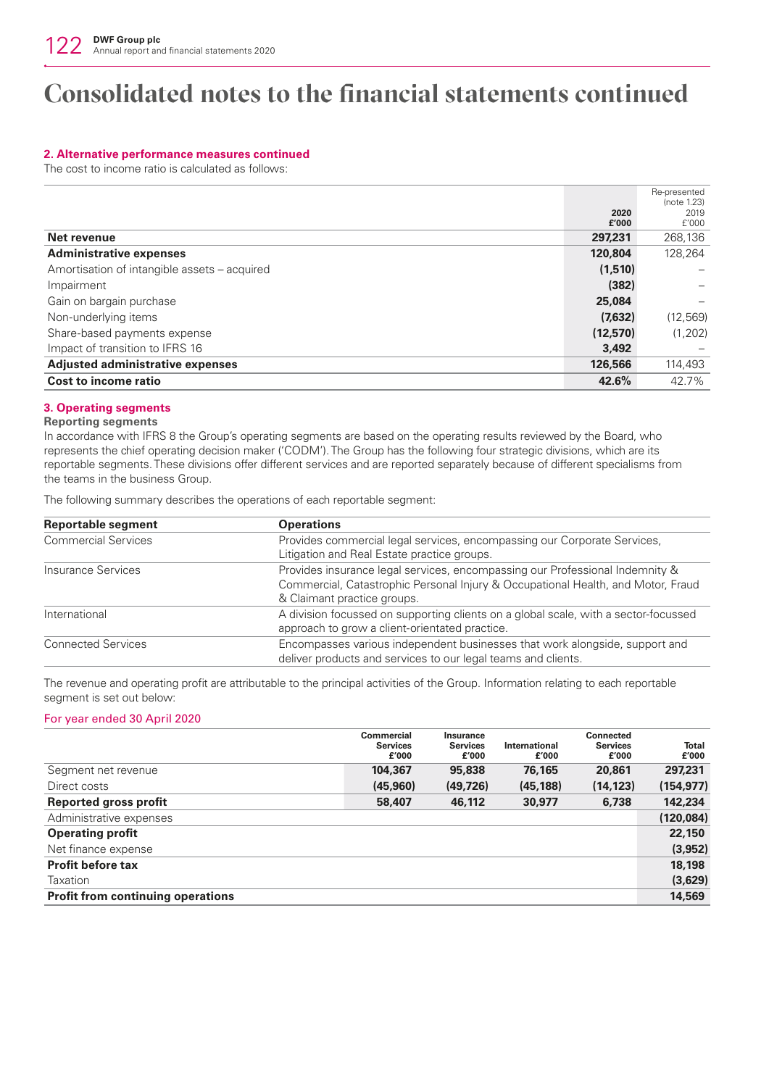## **2. Alternative performance measures continued**

The cost to income ratio is calculated as follows:

|                                              |          | Re-presented<br>(note 1.23) |
|----------------------------------------------|----------|-----------------------------|
|                                              | 2020     | 2019                        |
|                                              | £'000    | f'000                       |
| Net revenue                                  | 297,231  | 268,136                     |
| <b>Administrative expenses</b>               | 120.804  | 128.264                     |
| Amortisation of intangible assets – acquired | (1,510)  |                             |
| Impairment                                   | (382)    |                             |
| Gain on bargain purchase                     | 25,084   |                             |
| Non-underlying items                         | (7,632)  | (12, 569)                   |
| Share-based payments expense                 | (12,570) | (1,202)                     |
| Impact of transition to IFRS 16              | 3,492    |                             |
| <b>Adjusted administrative expenses</b>      | 126,566  | 114,493                     |
| Cost to income ratio                         | 42.6%    | 42.7%                       |

### **3. Operating segments**

#### **Reporting segments**

In accordance with IFRS 8 the Group's operating segments are based on the operating results reviewed by the Board, who represents the chief operating decision maker ('CODM'). The Group has the following four strategic divisions, which are its reportable segments. These divisions offer different services and are reported separately because of different specialisms from the teams in the business Group.

The following summary describes the operations of each reportable segment:

| <b>Reportable segment</b>  | <b>Operations</b>                                                                                                                                                                               |
|----------------------------|-------------------------------------------------------------------------------------------------------------------------------------------------------------------------------------------------|
| <b>Commercial Services</b> | Provides commercial legal services, encompassing our Corporate Services,<br>Litigation and Real Estate practice groups.                                                                         |
| Insurance Services         | Provides insurance legal services, encompassing our Professional Indemnity &<br>Commercial, Catastrophic Personal Injury & Occupational Health, and Motor, Fraud<br>& Claimant practice groups. |
| International              | A division focussed on supporting clients on a global scale, with a sector-focussed<br>approach to grow a client-orientated practice.                                                           |
| <b>Connected Services</b>  | Encompasses various independent businesses that work alongside, support and<br>deliver products and services to our legal teams and clients.                                                    |

The revenue and operating profit are attributable to the principal activities of the Group. Information relating to each reportable segment is set out below:

### For year ended 30 April 2020

|                                          | Commercial<br><b>Services</b><br>f'000 | <b>Insurance</b><br><b>Services</b><br>£'000 | <b>International</b><br>£'000 | <b>Connected</b><br><b>Services</b><br>£'000 | <b>Total</b><br>£'000 |
|------------------------------------------|----------------------------------------|----------------------------------------------|-------------------------------|----------------------------------------------|-----------------------|
| Segment net revenue                      | 104,367                                | 95,838                                       | 76,165                        | 20,861                                       | 297,231               |
| Direct costs                             | (45,960)                               | (49, 726)                                    | (45, 188)                     | (14, 123)                                    | (154, 977)            |
| <b>Reported gross profit</b>             | 58,407                                 | 46,112                                       | 30,977                        | 6,738                                        | 142,234               |
| Administrative expenses                  |                                        |                                              |                               |                                              | (120, 084)            |
| <b>Operating profit</b>                  |                                        |                                              |                               |                                              | 22,150                |
| Net finance expense                      |                                        |                                              |                               |                                              | (3,952)               |
| <b>Profit before tax</b>                 |                                        |                                              |                               |                                              | 18,198                |
| Taxation                                 |                                        |                                              |                               |                                              | (3,629)               |
| <b>Profit from continuing operations</b> |                                        |                                              |                               |                                              | 14,569                |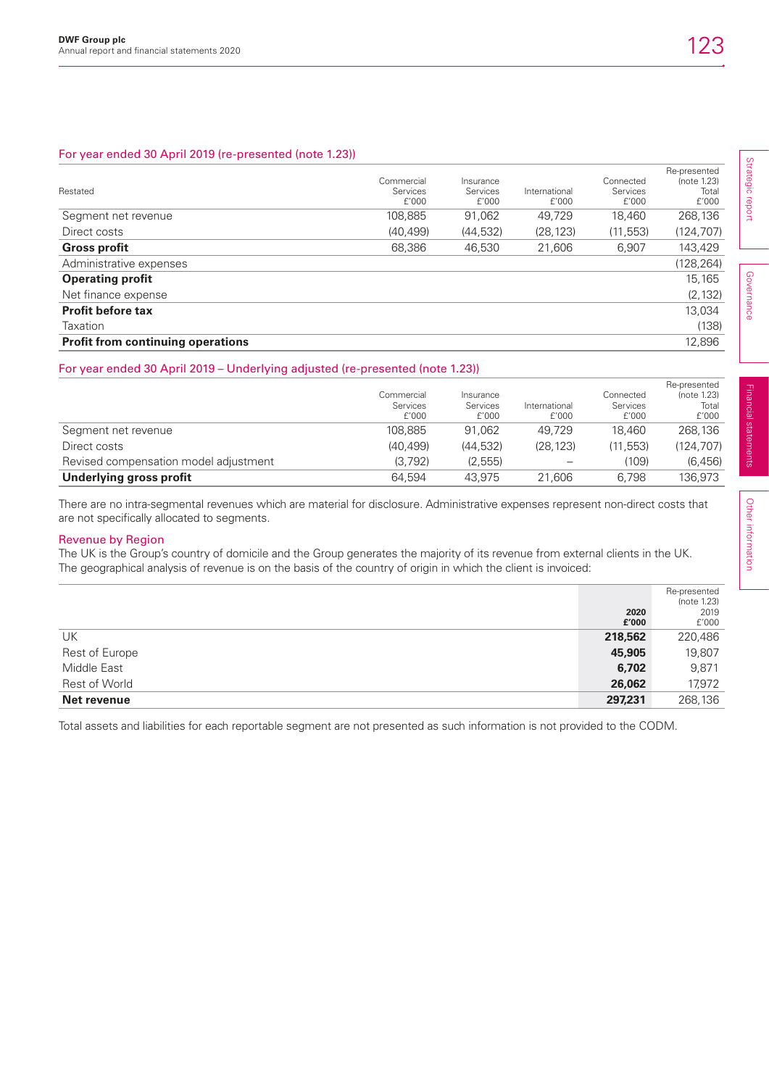## For year ended 30 April 2019 (re-presented (note 1.23))

| Restated                                 | Commercial<br><b>Services</b><br>f'000 | Insurance<br><b>Services</b><br>f'000 | International<br>f'000 | Connected<br>Services<br>f'000 | Re-presented<br>(note 1.23)<br>Total<br>f'000 |
|------------------------------------------|----------------------------------------|---------------------------------------|------------------------|--------------------------------|-----------------------------------------------|
| Segment net revenue                      | 108,885                                | 91,062                                | 49.729                 | 18.460                         | 268,136                                       |
| Direct costs                             | (40, 499)                              | (44, 532)                             | (28, 123)              | (11, 553)                      | (124,707)                                     |
| <b>Gross profit</b>                      | 68,386                                 | 46,530                                | 21,606                 | 6,907                          | 143,429                                       |
| Administrative expenses                  |                                        |                                       |                        |                                | (128,264)                                     |
| <b>Operating profit</b>                  |                                        |                                       |                        |                                | 15.165                                        |
| Net finance expense                      |                                        |                                       |                        |                                | (2, 132)                                      |
| <b>Profit before tax</b>                 |                                        |                                       |                        |                                | 13,034                                        |
| Taxation                                 |                                        |                                       |                        |                                | (138)                                         |
| <b>Profit from continuing operations</b> |                                        |                                       |                        |                                | 12.896                                        |

## For year ended 30 April 2019 – Underlying adjusted (re-presented (note 1.23))

|                                       | Commercial<br>Services<br>f'000 | Insurance<br>Services<br>f'000 | International<br>f'000 | Connected<br>Services<br>f'000 | Re-presented<br>(note 1.23)<br>Total<br>£'000 |
|---------------------------------------|---------------------------------|--------------------------------|------------------------|--------------------------------|-----------------------------------------------|
| Segment net revenue                   | 108.885                         | 91.062                         | 49.729                 | 18.460                         | 268.136                                       |
| Direct costs                          | (40.499)                        | (44.532)                       | (28.123)               | (11.553)                       | (124.707)                                     |
| Revised compensation model adjustment | (3.792)                         | (2, 555)                       |                        | (109)                          | (6, 456)                                      |
| Underlying gross profit               | 64.594                          | 43.975                         | 21.606                 | 6.798                          | 136.973                                       |

There are no intra-segmental revenues which are material for disclosure. Administrative expenses represent non-direct costs that are not specifically allocated to segments.

## Revenue by Region

The UK is the Group's country of domicile and the Group generates the majority of its revenue from external clients in the UK. The geographical analysis of revenue is on the basis of the country of origin in which the client is invoiced:

|                |         | Re-presented<br>(note 1.23) |
|----------------|---------|-----------------------------|
|                | 2020    | 2019                        |
|                | £'000   | £'000                       |
| UK             | 218,562 | 220,486                     |
| Rest of Europe | 45,905  | 19,807                      |
| Middle East    | 6,702   | 9,871                       |
| Rest of World  | 26,062  | 17,972                      |
| Net revenue    | 297,231 | 268,136                     |

Total assets and liabilities for each reportable segment are not presented as such information is not provided to the CODM.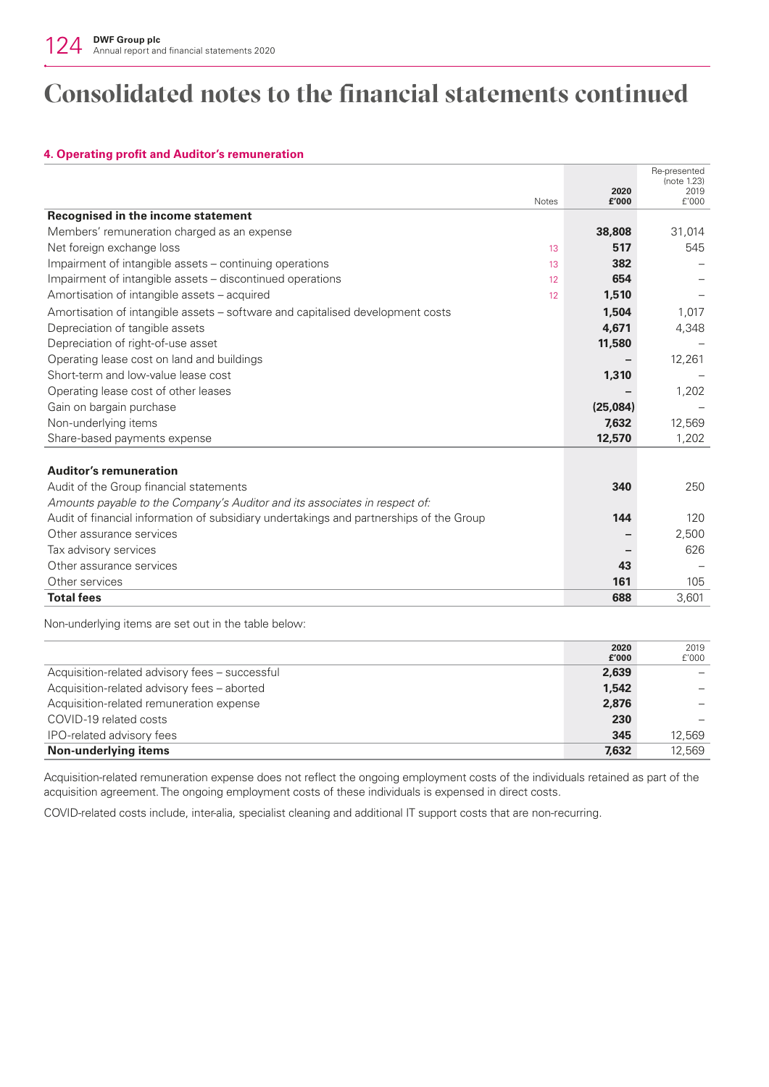## **4. Operating profit and Auditor's remuneration**

|                                                                                         |               | Re-presented<br>(note 1.23) |
|-----------------------------------------------------------------------------------------|---------------|-----------------------------|
| <b>Notes</b>                                                                            | 2020<br>£'000 | 2019<br>f'000               |
| Recognised in the income statement                                                      |               |                             |
| Members' remuneration charged as an expense                                             | 38,808        | 31,014                      |
| Net foreign exchange loss<br>13                                                         | 517           | 545                         |
| Impairment of intangible assets – continuing operations<br>13                           | 382           |                             |
| Impairment of intangible assets – discontinued operations<br>12 <sup>°</sup>            | 654           |                             |
| Amortisation of intangible assets – acquired<br>12                                      | 1,510         |                             |
| Amortisation of intangible assets – software and capitalised development costs          | 1.504         | 1.017                       |
| Depreciation of tangible assets                                                         | 4,671         | 4,348                       |
| Depreciation of right-of-use asset                                                      | 11,580        |                             |
| Operating lease cost on land and buildings                                              |               | 12,261                      |
| Short-term and low-value lease cost                                                     | 1,310         |                             |
| Operating lease cost of other leases                                                    |               | 1,202                       |
| Gain on bargain purchase                                                                | (25,084)      |                             |
| Non-underlying items                                                                    | 7.632         | 12.569                      |
| Share-based payments expense                                                            | 12,570        | 1,202                       |
|                                                                                         |               |                             |
| <b>Auditor's remuneration</b>                                                           |               |                             |
| Audit of the Group financial statements                                                 | 340           | 250                         |
| Amounts payable to the Company's Auditor and its associates in respect of:              |               |                             |
| Audit of financial information of subsidiary undertakings and partnerships of the Group | 144           | 120                         |
| Other assurance services                                                                |               | 2,500                       |
| Tax advisory services                                                                   |               | 626                         |
| Other assurance services                                                                | 43            |                             |
| Other services                                                                          | 161           | 105                         |
| <b>Total fees</b>                                                                       | 688           | 3,601                       |

Non-underlying items are set out in the table below:

|                                                | 2020  | 2019   |
|------------------------------------------------|-------|--------|
|                                                | £'000 | f'000  |
| Acquisition-related advisory fees - successful | 2,639 |        |
| Acquisition-related advisory fees - aborted    | 1.542 |        |
| Acquisition-related remuneration expense       | 2,876 |        |
| COVID-19 related costs                         | 230   |        |
| IPO-related advisory fees                      | 345   | 12.569 |
| Non-underlying items                           | 7,632 | 12.569 |

Acquisition-related remuneration expense does not reflect the ongoing employment costs of the individuals retained as part of the acquisition agreement. The ongoing employment costs of these individuals is expensed in direct costs.

COVID-related costs include, inter-alia, specialist cleaning and additional IT support costs that are non-recurring.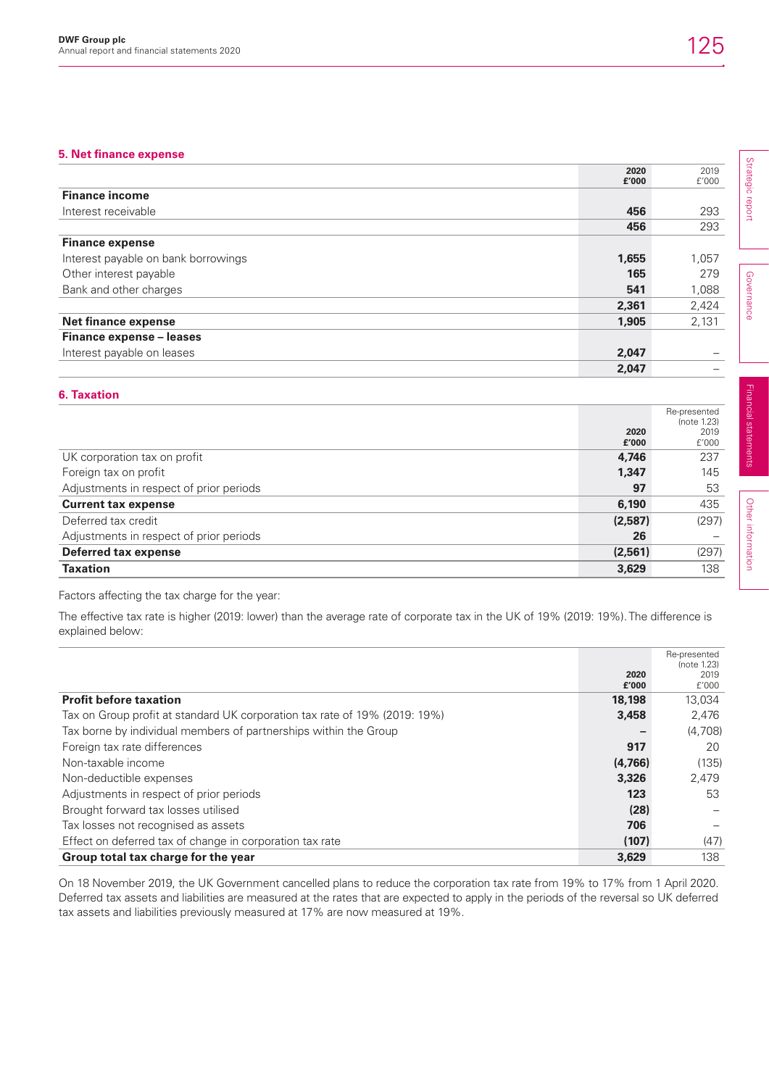## **5. Net finance expense**

| 5. Net finance expense              |               |                            |
|-------------------------------------|---------------|----------------------------|
|                                     | 2020<br>£'000 | Strategic<br>2019<br>£'000 |
| <b>Finance income</b>               |               |                            |
| Interest receivable                 | 456           | report<br>293              |
|                                     | 456           | 293                        |
| <b>Finance expense</b>              |               |                            |
| Interest payable on bank borrowings | 1,655         | 1,057                      |
| Other interest payable              | 165           | 279                        |
| Bank and other charges              | 541           | Governance<br>1,088        |
|                                     | 2,361         | 2,424                      |
| <b>Net finance expense</b>          | 1,905         | 2,131                      |
| Finance expense - leases            |               |                            |
| Interest payable on leases          | 2,047         |                            |
|                                     | 2,047         |                            |

## **6. Taxation**

|                                         |               | Re-presented<br>(note 1.23) |
|-----------------------------------------|---------------|-----------------------------|
|                                         | 2020<br>£'000 | 2019<br>f'000               |
| UK corporation tax on profit            | 4,746         | 237                         |
| Foreign tax on profit                   | 1,347         | 145                         |
| Adjustments in respect of prior periods | 97            | 53                          |
| <b>Current tax expense</b>              | 6,190         | 435                         |
| Deferred tax credit                     | (2,587)       | (297)                       |
| Adjustments in respect of prior periods | 26            |                             |
| <b>Deferred tax expense</b>             | (2,561)       | (297)                       |
| <b>Taxation</b>                         | 3,629         | 138                         |

Factors affecting the tax charge for the year:

The effective tax rate is higher (2019: lower) than the average rate of corporate tax in the UK of 19% (2019: 19%). The difference is explained below:

|                                                                            | 2020<br>£'000 | Re-presented<br>(note 1.23)<br>2019<br>f'000 |
|----------------------------------------------------------------------------|---------------|----------------------------------------------|
| <b>Profit before taxation</b>                                              | 18,198        | 13,034                                       |
| Tax on Group profit at standard UK corporation tax rate of 19% (2019: 19%) | 3,458         | 2,476                                        |
| Tax borne by individual members of partnerships within the Group           |               | (4,708)                                      |
| Foreign tax rate differences                                               | 917           | 20                                           |
| Non-taxable income                                                         | (4,766)       | (135)                                        |
| Non-deductible expenses                                                    | 3,326         | 2,479                                        |
| Adjustments in respect of prior periods                                    | 123           | 53                                           |
| Brought forward tax losses utilised                                        | (28)          |                                              |
| Tax losses not recognised as assets                                        | 706           |                                              |
| Effect on deferred tax of change in corporation tax rate                   | (107)         | (47)                                         |
| Group total tax charge for the year                                        | 3,629         | 138                                          |

On 18 November 2019, the UK Government cancelled plans to reduce the corporation tax rate from 19% to 17% from 1 April 2020. Deferred tax assets and liabilities are measured at the rates that are expected to apply in the periods of the reversal so UK deferred tax assets and liabilities previously measured at 17% are now measured at 19%.

Financial statements

Financial statements

Other information

Other information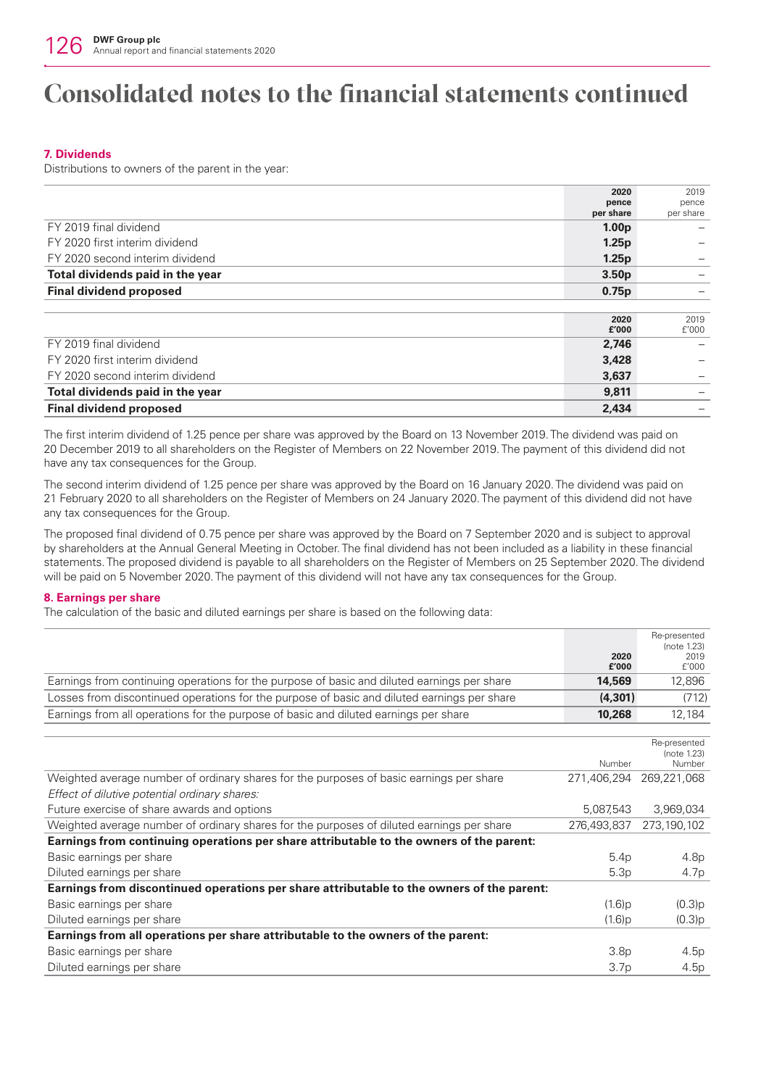## **7. Dividends**

Distributions to owners of the parent in the year:

|                                  | 2020              | 2019      |
|----------------------------------|-------------------|-----------|
|                                  | pence             | pence     |
|                                  | per share         | per share |
| FY 2019 final dividend           | 1.00 <sub>p</sub> |           |
| FY 2020 first interim dividend   | 1.25p             |           |
| FY 2020 second interim dividend  | 1.25p             |           |
| Total dividends paid in the year | 3.50 <sub>p</sub> |           |
| <b>Final dividend proposed</b>   | 0.75p             |           |
|                                  |                   |           |
|                                  | 2020              | 2019      |
|                                  | £'000             | f'000     |
| FY 2019 final dividend           | 2,746             |           |
| FY 2020 first interim dividend   | 3,428             |           |
| FY 2020 second interim dividend  | 3,637             |           |
| Total dividends paid in the year | 9,811             |           |
| <b>Final dividend proposed</b>   | 2,434             |           |

The first interim dividend of 1.25 pence per share was approved by the Board on 13 November 2019. The dividend was paid on 20 December 2019 to all shareholders on the Register of Members on 22 November 2019. The payment of this dividend did not have any tax consequences for the Group.

The second interim dividend of 1.25 pence per share was approved by the Board on 16 January 2020. The dividend was paid on 21 February 2020 to all shareholders on the Register of Members on 24 January 2020. The payment of this dividend did not have any tax consequences for the Group.

The proposed final dividend of 0.75 pence per share was approved by the Board on 7 September 2020 and is subject to approval by shareholders at the Annual General Meeting in October. The final dividend has not been included as a liability in these financial statements. The proposed dividend is payable to all shareholders on the Register of Members on 25 September 2020. The dividend will be paid on 5 November 2020. The payment of this dividend will not have any tax consequences for the Group.

## **8. Earnings per share**

The calculation of the basic and diluted earnings per share is based on the following data:

|                                                                                             | 2020<br>£'000    | Re-presented<br>(note 1.23)<br>2019<br>f'000 |
|---------------------------------------------------------------------------------------------|------------------|----------------------------------------------|
| Earnings from continuing operations for the purpose of basic and diluted earnings per share | 14,569           | 12,896                                       |
| Losses from discontinued operations for the purpose of basic and diluted earnings per share | (4, 301)         | (712)                                        |
| Earnings from all operations for the purpose of basic and diluted earnings per share        | 10,268           | 12,184                                       |
|                                                                                             |                  |                                              |
|                                                                                             | Number           | Re-presented<br>(note 1.23)<br>Number        |
| Weighted average number of ordinary shares for the purposes of basic earnings per share     | 271,406,294      | 269,221,068                                  |
| Effect of dilutive potential ordinary shares:                                               |                  |                                              |
| Future exercise of share awards and options                                                 | 5,087,543        | 3,969,034                                    |
| Weighted average number of ordinary shares for the purposes of diluted earnings per share   | 276,493,837      | 273,190,102                                  |
| Earnings from continuing operations per share attributable to the owners of the parent:     |                  |                                              |
| Basic earnings per share                                                                    | 5.4p             | 4.8p                                         |
| Diluted earnings per share                                                                  | 5.3p             | 4.7p                                         |
| Earnings from discontinued operations per share attributable to the owners of the parent:   |                  |                                              |
| Basic earnings per share                                                                    | $(1.6)$ p        | (0.3)p                                       |
| Diluted earnings per share                                                                  | (1.6)p           | (0.3)p                                       |
| Earnings from all operations per share attributable to the owners of the parent:            |                  |                                              |
| Basic earnings per share                                                                    | 3.8 <sub>p</sub> | 4.5p                                         |
| Diluted earnings per share                                                                  | 3.7 <sub>p</sub> | 4.5p                                         |
|                                                                                             |                  |                                              |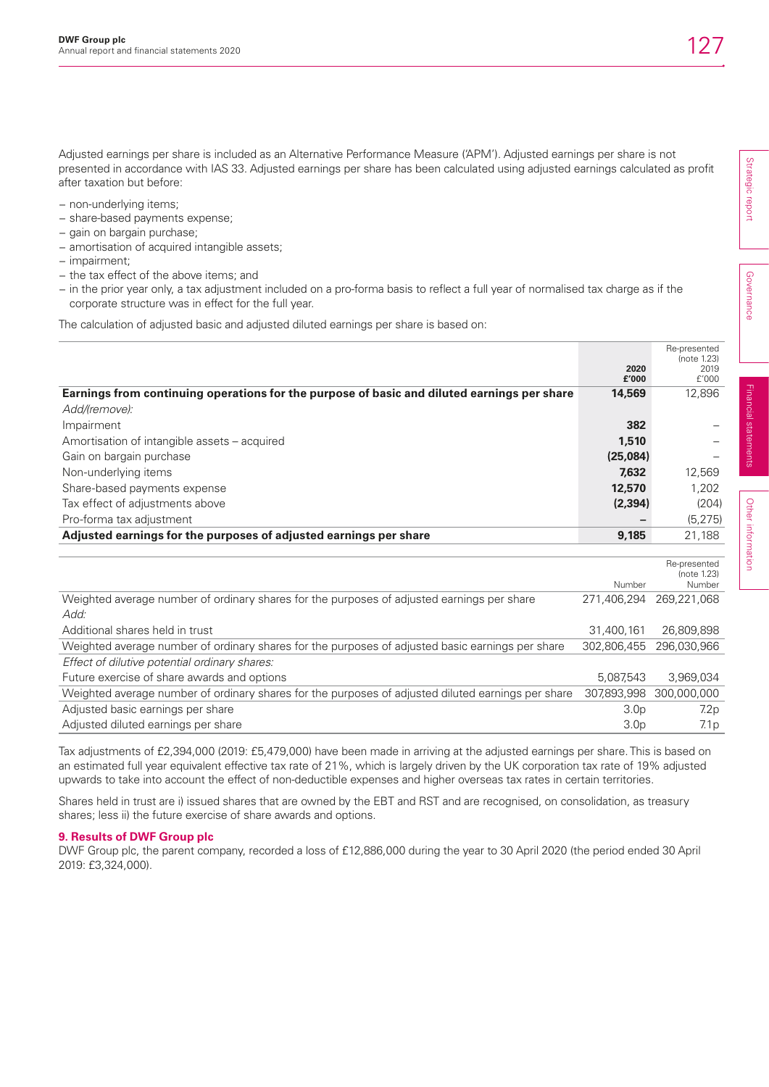Adjusted earnings per share is included as an Alternative Performance Measure ('APM'). Adjusted earnings per share is not presented in accordance with IAS 33. Adjusted earnings per share has been calculated using adjusted earnings calculated as profit after taxation but before:

- − non-underlying items;
- − share-based payments expense;
- − gain on bargain purchase;
- − amortisation of acquired intangible assets;
- − impairment;
- − the tax effect of the above items; and
- − in the prior year only, a tax adjustment included on a pro-forma basis to reflect a full year of normalised tax charge as if the corporate structure was in effect for the full year.

The calculation of adjusted basic and adjusted diluted earnings per share is based on:

|                                                                                                    |                  | Re-presented<br>(note 1.23) |
|----------------------------------------------------------------------------------------------------|------------------|-----------------------------|
|                                                                                                    | 2020             | 2019                        |
| Earnings from continuing operations for the purpose of basic and diluted earnings per share        | £'000<br>14,569  | f'000<br>12,896             |
| Add/(remove):                                                                                      |                  |                             |
|                                                                                                    | 382              |                             |
| Impairment                                                                                         |                  |                             |
| Amortisation of intangible assets – acquired                                                       | 1,510            |                             |
| Gain on bargain purchase                                                                           | (25,084)         |                             |
| Non-underlying items                                                                               | 7,632            | 12,569                      |
| Share-based payments expense                                                                       | 12,570           | 1,202                       |
| Tax effect of adjustments above                                                                    | (2, 394)         | (204)                       |
| Pro-forma tax adjustment                                                                           |                  | (5, 275)                    |
| Adjusted earnings for the purposes of adjusted earnings per share                                  | 9,185            | 21,188                      |
|                                                                                                    |                  |                             |
|                                                                                                    |                  | Re-presented                |
|                                                                                                    | Number           | (note 1.23)<br>Number       |
| Weighted average number of ordinary shares for the purposes of adjusted earnings per share         | 271.406.294      | 269,221,068                 |
| Add:                                                                                               |                  |                             |
| Additional shares held in trust                                                                    | 31,400,161       | 26,809,898                  |
| Weighted average number of ordinary shares for the purposes of adjusted basic earnings per share   | 302,806,455      | 296,030,966                 |
| Effect of dilutive potential ordinary shares:                                                      |                  |                             |
| Future exercise of share awards and options                                                        | 5.087.543        | 3.969.034                   |
| Weighted average number of ordinary shares for the purposes of adjusted diluted earnings per share | 307,893,998      | 300,000,000                 |
| Adjusted basic earnings per share                                                                  | 3.0 <sub>p</sub> | 7.2p                        |
| Adjusted diluted earnings per share                                                                | 3.0 <sub>D</sub> | 7.1 <sub>p</sub>            |

Tax adjustments of £2,394,000 (2019: £5,479,000) have been made in arriving at the adjusted earnings per share. This is based on an estimated full year equivalent effective tax rate of 21%, which is largely driven by the UK corporation tax rate of 19% adjusted upwards to take into account the effect of non-deductible expenses and higher overseas tax rates in certain territories.

Shares held in trust are i) issued shares that are owned by the EBT and RST and are recognised, on consolidation, as treasury shares; less ii) the future exercise of share awards and options.

#### **9. Results of DWF Group plc**

DWF Group plc, the parent company, recorded a loss of £12,886,000 during the year to 30 April 2020 (the period ended 30 April 2019: £3,324,000).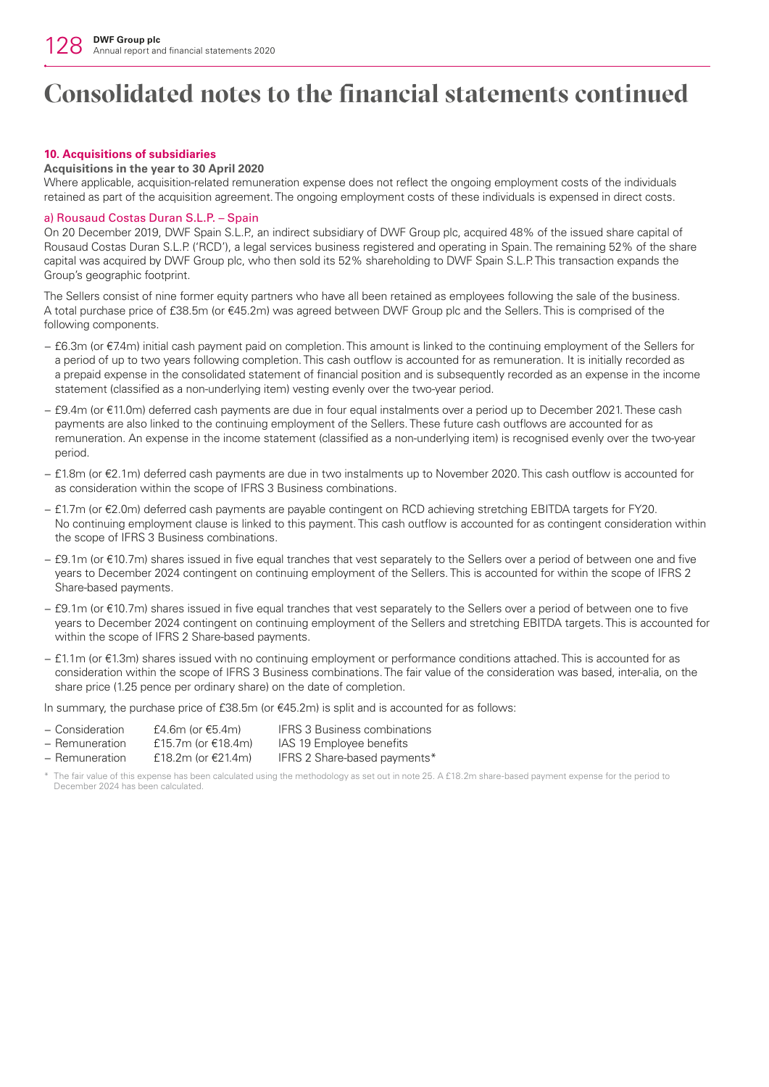## **10. Acquisitions of subsidiaries**

## **Acquisitions in the year to 30 April 2020**

Where applicable, acquisition-related remuneration expense does not reflect the ongoing employment costs of the individuals retained as part of the acquisition agreement. The ongoing employment costs of these individuals is expensed in direct costs.

## a) Rousaud Costas Duran S.L.P. – Spain

On 20 December 2019, DWF Spain S.L.P., an indirect subsidiary of DWF Group plc, acquired 48% of the issued share capital of Rousaud Costas Duran S.L.P. ('RCD'), a legal services business registered and operating in Spain. The remaining 52% of the share capital was acquired by DWF Group plc, who then sold its 52% shareholding to DWF Spain S.L.P. This transaction expands the Group's geographic footprint.

The Sellers consist of nine former equity partners who have all been retained as employees following the sale of the business. A total purchase price of £38.5m (or €45.2m) was agreed between DWF Group plc and the Sellers. This is comprised of the following components.

- − £6.3m (or €7.4m) initial cash payment paid on completion. This amount is linked to the continuing employment of the Sellers for a period of up to two years following completion. This cash outflow is accounted for as remuneration. It is initially recorded as a prepaid expense in the consolidated statement of financial position and is subsequently recorded as an expense in the income statement (classified as a non-underlying item) vesting evenly over the two-year period.
- − £9.4m (or €11.0m) deferred cash payments are due in four equal instalments over a period up to December 2021. These cash payments are also linked to the continuing employment of the Sellers. These future cash outflows are accounted for as remuneration. An expense in the income statement (classified as a non-underlying item) is recognised evenly over the two-year period.
- − £1.8m (or €2.1m) deferred cash payments are due in two instalments up to November 2020. This cash outflow is accounted for as consideration within the scope of IFRS 3 Business combinations.
- − £1.7m (or €2.0m) deferred cash payments are payable contingent on RCD achieving stretching EBITDA targets for FY20. No continuing employment clause is linked to this payment. This cash outflow is accounted for as contingent consideration within the scope of IFRS 3 Business combinations.
- − £9.1m (or €10.7m) shares issued in five equal tranches that vest separately to the Sellers over a period of between one and five years to December 2024 contingent on continuing employment of the Sellers. This is accounted for within the scope of IFRS 2 Share-based payments.
- − £9.1m (or €10.7m) shares issued in five equal tranches that vest separately to the Sellers over a period of between one to five years to December 2024 contingent on continuing employment of the Sellers and stretching EBITDA targets. This is accounted for within the scope of IFRS 2 Share-based payments.
- − £1.1m (or €1.3m) shares issued with no continuing employment or performance conditions attached. This is accounted for as consideration within the scope of IFRS 3 Business combinations. The fair value of the consideration was based, inter-alia, on the share price (1.25 pence per ordinary share) on the date of completion.

In summary, the purchase price of  $£38.5m$  (or  $€45.2m$ ) is split and is accounted for as follows:

| - Consideration | £4.6m (or €5.4m)  | <b>IFRS 3 Business combinations</b>                |
|-----------------|-------------------|----------------------------------------------------|
| n <b>. .</b>    | $C_1 = 71C_1 = 1$ | $1 \wedge \bigcap_{i=1}^n A_i \bigcap_{i=1}^n A_i$ |

− Remuneration £15.7m (or €18.4m) IAS 19 Employee benefits − Remuneration £18.2m (or €21.4m) IFRS 2 Share-based payments\*

The fair value of this expense has been calculated using the methodology as set out in note 25. A £18.2m share-based payment expense for the period to December 2024 has been calculated.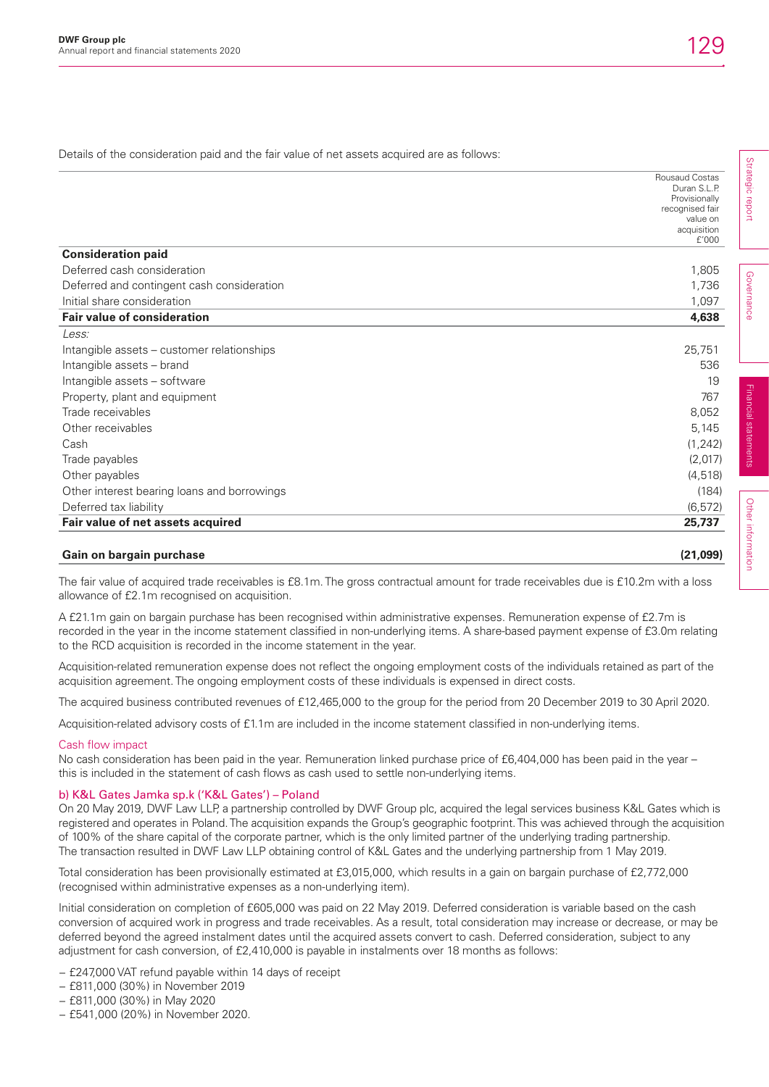Strategic report

Strategic report

Governance

Governance

Financial statements

Financial statements

Other information

Other information

Details of the consideration paid and the fair value of net assets acquired are as follows:

|                                             | <b>Rousaud Costas</b>         |
|---------------------------------------------|-------------------------------|
|                                             | Duran S.L.P.<br>Provisionally |
|                                             | recognised fair               |
|                                             | value on                      |
|                                             | acquisition<br>f'000          |
| <b>Consideration paid</b>                   |                               |
| Deferred cash consideration                 | 1,805                         |
| Deferred and contingent cash consideration  | 1,736                         |
| Initial share consideration                 | 1,097                         |
| <b>Fair value of consideration</b>          | 4,638                         |
| Less:                                       |                               |
| Intangible assets – customer relationships  | 25,751                        |
| Intangible assets - brand                   | 536                           |
| Intangible assets - software                | 19                            |
| Property, plant and equipment               | 767                           |
| Trade receivables                           | 8,052                         |
| Other receivables                           | 5,145                         |
| Cash                                        | (1, 242)                      |
| Trade payables                              | (2,017)                       |
| Other payables                              | (4, 518)                      |
| Other interest bearing loans and borrowings | (184)                         |
| Deferred tax liability                      | (6, 572)                      |
| Fair value of net assets acquired           | 25,737                        |

## **Gain on bargain purchase (21,099)**

The fair value of acquired trade receivables is £8.1m. The gross contractual amount for trade receivables due is £10.2m with a loss allowance of £2.1m recognised on acquisition.

A £21.1m gain on bargain purchase has been recognised within administrative expenses. Remuneration expense of £2.7m is recorded in the year in the income statement classified in non-underlying items. A share-based payment expense of £3.0m relating to the RCD acquisition is recorded in the income statement in the year.

Acquisition-related remuneration expense does not reflect the ongoing employment costs of the individuals retained as part of the acquisition agreement. The ongoing employment costs of these individuals is expensed in direct costs.

The acquired business contributed revenues of £12,465,000 to the group for the period from 20 December 2019 to 30 April 2020.

Acquisition-related advisory costs of £1.1m are included in the income statement classified in non-underlying items.

#### Cash flow impact

No cash consideration has been paid in the year. Remuneration linked purchase price of £6,404,000 has been paid in the year – this is included in the statement of cash flows as cash used to settle non-underlying items.

### b) K&L Gates Jamka sp.k ('K&L Gates') – Poland

On 20 May 2019, DWF Law LLP, a partnership controlled by DWF Group plc, acquired the legal services business K&L Gates which is registered and operates in Poland. The acquisition expands the Group's geographic footprint. This was achieved through the acquisition of 100% of the share capital of the corporate partner, which is the only limited partner of the underlying trading partnership. The transaction resulted in DWF Law LLP obtaining control of K&L Gates and the underlying partnership from 1 May 2019.

Total consideration has been provisionally estimated at £3,015,000, which results in a gain on bargain purchase of £2,772,000 (recognised within administrative expenses as a non-underlying item).

Initial consideration on completion of £605,000 was paid on 22 May 2019. Deferred consideration is variable based on the cash conversion of acquired work in progress and trade receivables. As a result, total consideration may increase or decrease, or may be deferred beyond the agreed instalment dates until the acquired assets convert to cash. Deferred consideration, subject to any adjustment for cash conversion, of £2,410,000 is payable in instalments over 18 months as follows:

- − £247,000 VAT refund payable within 14 days of receipt
- − £811,000 (30%) in November 2019
- − £811,000 (30%) in May 2020
- − £541,000 (20%) in November 2020.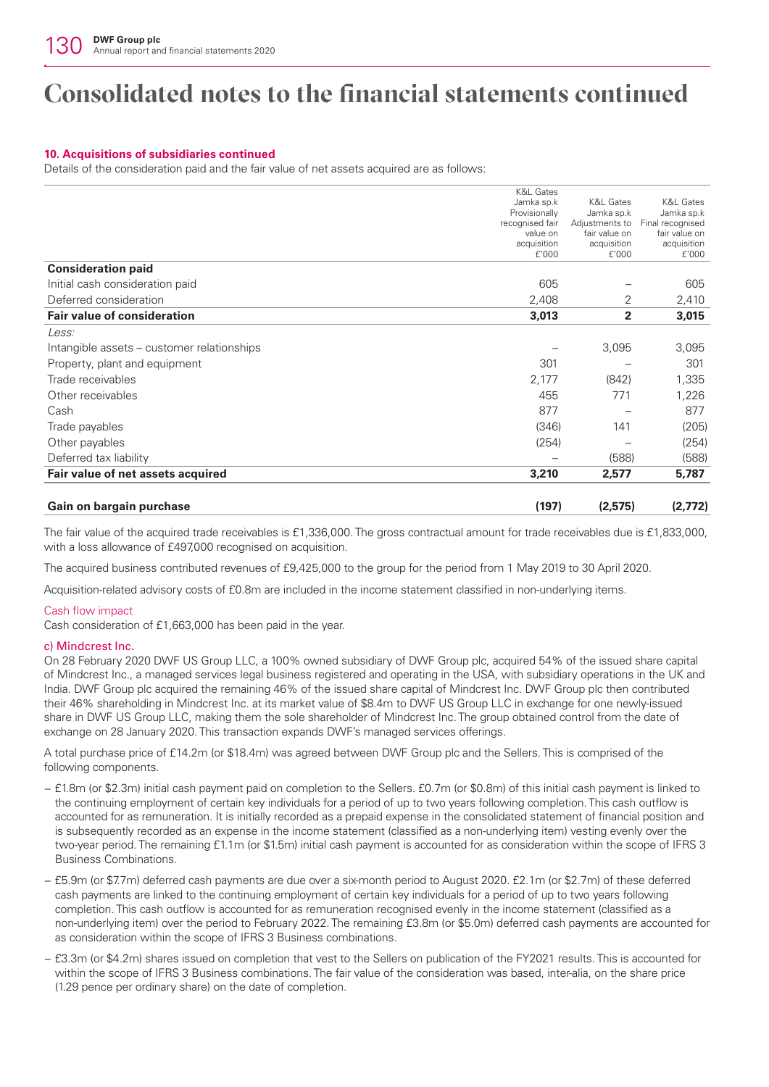## **10. Acquisitions of subsidiaries continued**

Details of the consideration paid and the fair value of net assets acquired are as follows:

| Gain on bargain purchase                   | (197)                              | (2,575)                      | (2,772)                        |
|--------------------------------------------|------------------------------------|------------------------------|--------------------------------|
| Fair value of net assets acquired          | 3,210                              | 2,577                        | 5,787                          |
| Deferred tax liability                     |                                    | (588)                        | (588)                          |
| Other payables                             | (254)                              |                              | (254)                          |
| Trade payables                             | (346)                              | 141                          | (205)                          |
| Cash                                       | 877                                |                              | 877                            |
| Other receivables                          | 455                                | 771                          | 1,226                          |
| Trade receivables                          | 2,177                              | (842)                        | 1,335                          |
| Property, plant and equipment              | 301                                |                              | 301                            |
| Intangible assets – customer relationships |                                    | 3,095                        | 3,095                          |
| Less:                                      |                                    |                              |                                |
| <b>Fair value of consideration</b>         | 3,013                              | 2                            | 3,015                          |
| Deferred consideration                     | 2,408                              | 2                            | 2,410                          |
| Initial cash consideration paid            | 605                                |                              | 605                            |
| <b>Consideration paid</b>                  |                                    |                              |                                |
|                                            | acquisition<br>f'000               | acquisition<br>f'000         | acquisition<br>f'000           |
|                                            | value on                           | fair value on                | fair value on                  |
|                                            | Provisionally<br>recognised fair   | Jamka sp.k<br>Adjustments to | Jamka sp.k<br>Final recognised |
|                                            | <b>K&amp;L Gates</b><br>Jamka sp.k | <b>K&amp;L Gates</b>         | <b>K&amp;L Gates</b>           |

The fair value of the acquired trade receivables is £1,336,000. The gross contractual amount for trade receivables due is £1,833,000, with a loss allowance of £497,000 recognised on acquisition.

The acquired business contributed revenues of £9,425,000 to the group for the period from 1 May 2019 to 30 April 2020.

Acquisition-related advisory costs of £0.8m are included in the income statement classified in non-underlying items.

## Cash flow impact

Cash consideration of £1,663,000 has been paid in the year.

## c) Mindcrest Inc.

On 28 February 2020 DWF US Group LLC, a 100% owned subsidiary of DWF Group plc, acquired 54% of the issued share capital of Mindcrest Inc., a managed services legal business registered and operating in the USA, with subsidiary operations in the UK and India. DWF Group plc acquired the remaining 46% of the issued share capital of Mindcrest Inc. DWF Group plc then contributed their 46% shareholding in Mindcrest Inc. at its market value of \$8.4m to DWF US Group LLC in exchange for one newly-issued share in DWF US Group LLC, making them the sole shareholder of Mindcrest Inc. The group obtained control from the date of exchange on 28 January 2020. This transaction expands DWF's managed services offerings.

A total purchase price of £14.2m (or \$18.4m) was agreed between DWF Group plc and the Sellers. This is comprised of the following components.

- − £1.8m (or \$2.3m) initial cash payment paid on completion to the Sellers. £0.7m (or \$0.8m) of this initial cash payment is linked to the continuing employment of certain key individuals for a period of up to two years following completion. This cash outflow is accounted for as remuneration. It is initially recorded as a prepaid expense in the consolidated statement of financial position and is subsequently recorded as an expense in the income statement (classified as a non-underlying item) vesting evenly over the two-year period. The remaining £1.1m (or \$1.5m) initial cash payment is accounted for as consideration within the scope of IFRS 3 Business Combinations.
- − £5.9m (or \$7.7m) deferred cash payments are due over a six-month period to August 2020. £2.1m (or \$2.7m) of these deferred cash payments are linked to the continuing employment of certain key individuals for a period of up to two years following completion. This cash outflow is accounted for as remuneration recognised evenly in the income statement (classified as a non-underlying item) over the period to February 2022. The remaining £3.8m (or \$5.0m) deferred cash payments are accounted for as consideration within the scope of IFRS 3 Business combinations.
- − £3.3m (or \$4.2m) shares issued on completion that vest to the Sellers on publication of the FY2021 results. This is accounted for within the scope of IFRS 3 Business combinations. The fair value of the consideration was based, inter-alia, on the share price (1.29 pence per ordinary share) on the date of completion.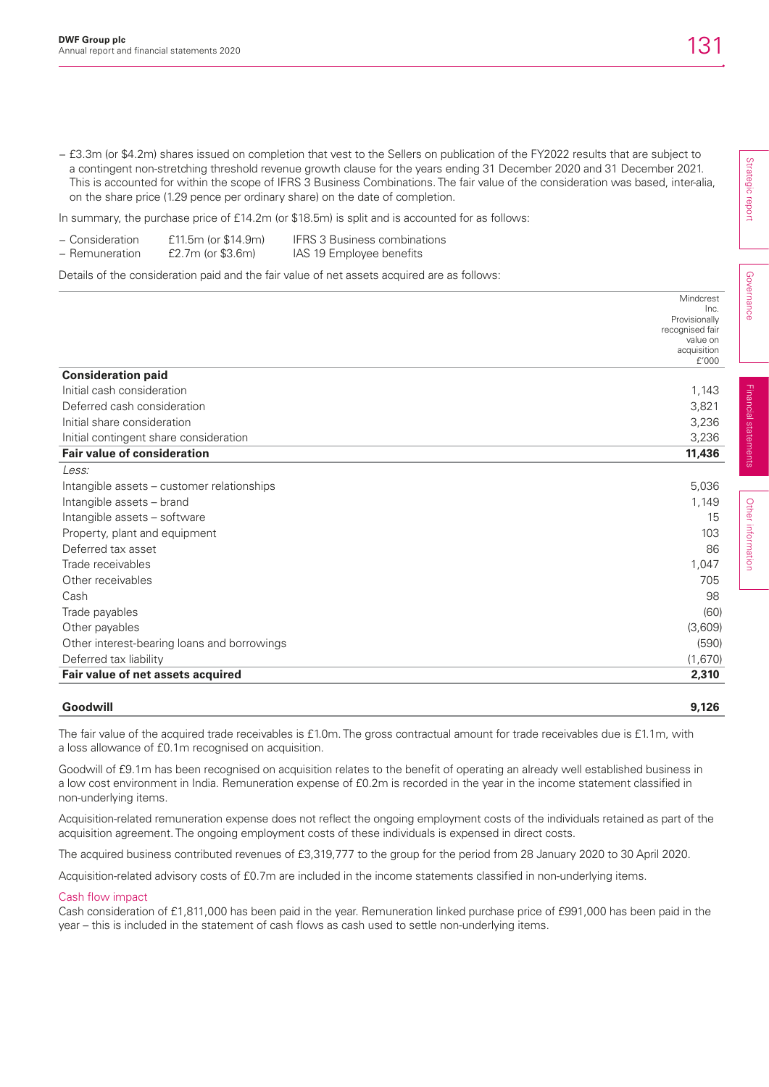− £3.3m (or \$4.2m) shares issued on completion that vest to the Sellers on publication of the FY2022 results that are subject to a contingent non-stretching threshold revenue growth clause for the years ending 31 December 2020 and 31 December 2021. This is accounted for within the scope of IFRS 3 Business Combinations. The fair value of the consideration was based, inter-alia, on the share price (1.29 pence per ordinary share) on the date of completion.

In summary, the purchase price of £14.2m (or \$18.5m) is split and is accounted for as follows:

| - Consideration | $£11.5m$ (or \$14.9m) | <b>IFRS 3 Business combinations</b> |
|-----------------|-----------------------|-------------------------------------|
| - Remuneration  | $E2.7m$ (or \$3.6m)   | IAS 19 Employee benefits            |

Details of the consideration paid and the fair value of net assets acquired are as follows:

|                                             | Mindcrest             |
|---------------------------------------------|-----------------------|
|                                             | Inc.<br>Provisionally |
|                                             | recognised fair       |
|                                             | value on              |
|                                             | acquisition<br>f'000  |
| <b>Consideration paid</b>                   |                       |
|                                             |                       |
| Initial cash consideration                  | 1,143                 |
| Deferred cash consideration                 | 3,821                 |
| Initial share consideration                 | 3,236                 |
| Initial contingent share consideration      | 3,236                 |
| <b>Fair value of consideration</b>          | 11,436                |
| Less:                                       |                       |
| Intangible assets – customer relationships  | 5,036                 |
| Intangible assets - brand                   | 1,149                 |
| Intangible assets - software                | 15                    |
| Property, plant and equipment               | 103                   |
| Deferred tax asset                          | 86                    |
| Trade receivables                           | 1,047                 |
| Other receivables                           | 705                   |
| Cash                                        | 98                    |
| Trade payables                              | (60)                  |
| Other payables                              | (3,609)               |
| Other interest-bearing loans and borrowings | (590)                 |
| Deferred tax liability                      | (1,670)               |
| Fair value of net assets acquired           | 2,310                 |
|                                             |                       |

### **Goodwill 9,126**

The fair value of the acquired trade receivables is £1.0m. The gross contractual amount for trade receivables due is £1.1m, with a loss allowance of £0.1m recognised on acquisition.

Goodwill of £9.1m has been recognised on acquisition relates to the benefit of operating an already well established business in a low cost environment in India. Remuneration expense of £0.2m is recorded in the year in the income statement classified in non-underlying items.

Acquisition-related remuneration expense does not reflect the ongoing employment costs of the individuals retained as part of the acquisition agreement. The ongoing employment costs of these individuals is expensed in direct costs.

The acquired business contributed revenues of £3,319,777 to the group for the period from 28 January 2020 to 30 April 2020.

Acquisition-related advisory costs of £0.7m are included in the income statements classified in non-underlying items.

### Cash flow impact

Cash consideration of £1,811,000 has been paid in the year. Remuneration linked purchase price of £991,000 has been paid in the year – this is included in the statement of cash flows as cash used to settle non-underlying items.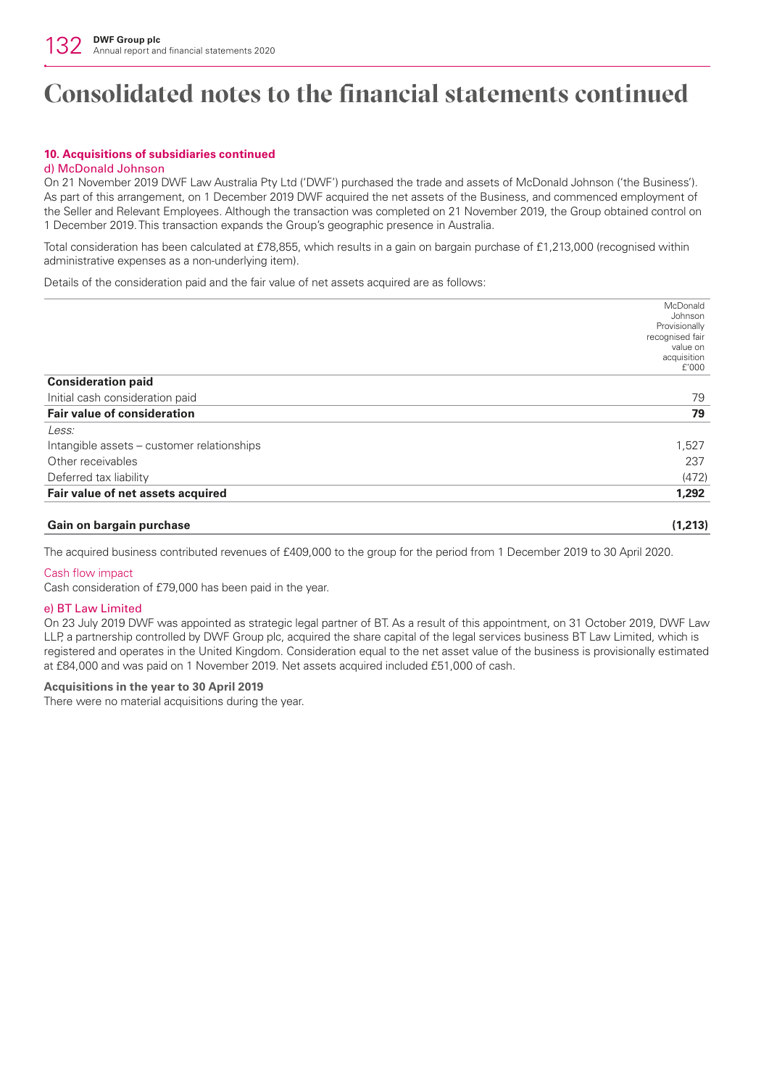## **10. Acquisitions of subsidiaries continued**

#### d) McDonald Johnson

On 21 November 2019 DWF Law Australia Pty Ltd ('DWF') purchased the trade and assets of McDonald Johnson ('the Business'). As part of this arrangement, on 1 December 2019 DWF acquired the net assets of the Business, and commenced employment of the Seller and Relevant Employees. Although the transaction was completed on 21 November 2019, the Group obtained control on 1 December 2019. This transaction expands the Group's geographic presence in Australia.

Total consideration has been calculated at £78,855, which results in a gain on bargain purchase of £1,213,000 (recognised within administrative expenses as a non-underlying item).

Details of the consideration paid and the fair value of net assets acquired are as follows:

|                                            | McDonald             |
|--------------------------------------------|----------------------|
|                                            | Johnson              |
|                                            | Provisionally        |
|                                            | recognised fair      |
|                                            | value on             |
|                                            | acquisition<br>f'000 |
| <b>Consideration paid</b>                  |                      |
| Initial cash consideration paid            | 79                   |
| <b>Fair value of consideration</b>         | 79                   |
| Less:                                      |                      |
| Intangible assets - customer relationships | 1,527                |
| Other receivables                          | 237                  |
| Deferred tax liability                     | (472)                |
| Fair value of net assets acquired          | 1,292                |
|                                            |                      |
| Gain on bargain purchase                   | (1,213)              |

The acquired business contributed revenues of £409,000 to the group for the period from 1 December 2019 to 30 April 2020.

### Cash flow impact

Cash consideration of £79,000 has been paid in the year.

#### e) BT Law Limited

On 23 July 2019 DWF was appointed as strategic legal partner of BT. As a result of this appointment, on 31 October 2019, DWF Law LLP, a partnership controlled by DWF Group plc, acquired the share capital of the legal services business BT Law Limited, which is registered and operates in the United Kingdom. Consideration equal to the net asset value of the business is provisionally estimated at £84,000 and was paid on 1 November 2019. Net assets acquired included £51,000 of cash.

### **Acquisitions in the year to 30 April 2019**

There were no material acquisitions during the year.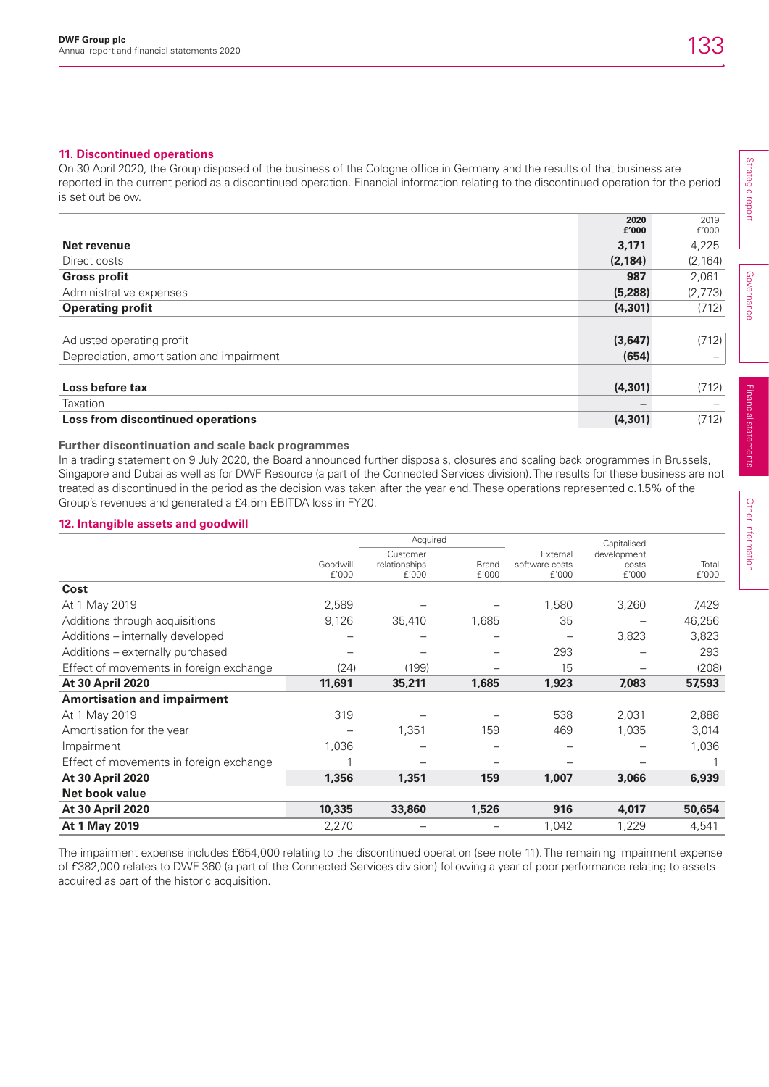## **11. Discontinued operations**

On 30 April 2020, the Group disposed of the business of the Cologne office in Germany and the results of that business are reported in the current period as a discontinued operation. Financial information relating to the discontinued operation for the period is set out below.

|                                           | 2020<br>£'000 | 2019<br>f'000 |
|-------------------------------------------|---------------|---------------|
| Net revenue                               | 3,171         | 4,225         |
| Direct costs                              | (2, 184)      | (2, 164)      |
| <b>Gross profit</b>                       | 987           | 2,061         |
| Administrative expenses                   | (5,288)       | (2,773)       |
| <b>Operating profit</b>                   | (4,301)       | (712)         |
|                                           |               |               |
| Adjusted operating profit                 | (3,647)       | (712)         |
| Depreciation, amortisation and impairment | (654)         | -             |
|                                           |               |               |
| Loss before tax                           | (4, 301)      | (712)         |
| Taxation                                  |               |               |
| Loss from discontinued operations         | (4, 301)      | (712)         |

## **Further discontinuation and scale back programmes**

In a trading statement on 9 July 2020, the Board announced further disposals, closures and scaling back programmes in Brussels, Singapore and Dubai as well as for DWF Resource (a part of the Connected Services division). The results for these business are not treated as discontinued in the period as the decision was taken after the year end. These operations represented c.1.5% of the Group's revenues and generated a £4.5m EBITDA loss in FY20.

## **12. Intangible assets and goodwill**

|                                         |                   | Acquired                           |                       |                                     | Capitalised                   |                |
|-----------------------------------------|-------------------|------------------------------------|-----------------------|-------------------------------------|-------------------------------|----------------|
|                                         | Goodwill<br>f'000 | Customer<br>relationships<br>f'000 | <b>Brand</b><br>f'000 | External<br>software costs<br>£'000 | development<br>costs<br>£'000 | Total<br>f'000 |
| Cost                                    |                   |                                    |                       |                                     |                               |                |
| At 1 May 2019                           | 2,589             |                                    |                       | 1,580                               | 3,260                         | 7,429          |
| Additions through acquisitions          | 9,126             | 35,410                             | 1,685                 | 35                                  |                               | 46,256         |
| Additions - internally developed        |                   |                                    |                       |                                     | 3,823                         | 3,823          |
| Additions - externally purchased        |                   |                                    |                       | 293                                 |                               | 293            |
| Effect of movements in foreign exchange | (24)              | (199)                              |                       | 15                                  |                               | (208)          |
| <b>At 30 April 2020</b>                 | 11,691            | 35,211                             | 1,685                 | 1,923                               | 7,083                         | 57,593         |
| <b>Amortisation and impairment</b>      |                   |                                    |                       |                                     |                               |                |
| At 1 May 2019                           | 319               |                                    |                       | 538                                 | 2,031                         | 2,888          |
| Amortisation for the year               |                   | 1,351                              | 159                   | 469                                 | 1,035                         | 3,014          |
| Impairment                              | 1,036             |                                    |                       |                                     |                               | 1,036          |
| Effect of movements in foreign exchange |                   |                                    |                       |                                     |                               |                |
| <b>At 30 April 2020</b>                 | 1,356             | 1,351                              | 159                   | 1,007                               | 3,066                         | 6,939          |
| <b>Net book value</b>                   |                   |                                    |                       |                                     |                               |                |
| At 30 April 2020                        | 10,335            | 33,860                             | 1,526                 | 916                                 | 4,017                         | 50,654         |
| At 1 May 2019                           | 2,270             |                                    |                       | 1,042                               | 1,229                         | 4,541          |

The impairment expense includes £654,000 relating to the discontinued operation (see note 11). The remaining impairment expense of £382,000 relates to DWF 360 (a part of the Connected Services division) following a year of poor performance relating to assets acquired as part of the historic acquisition.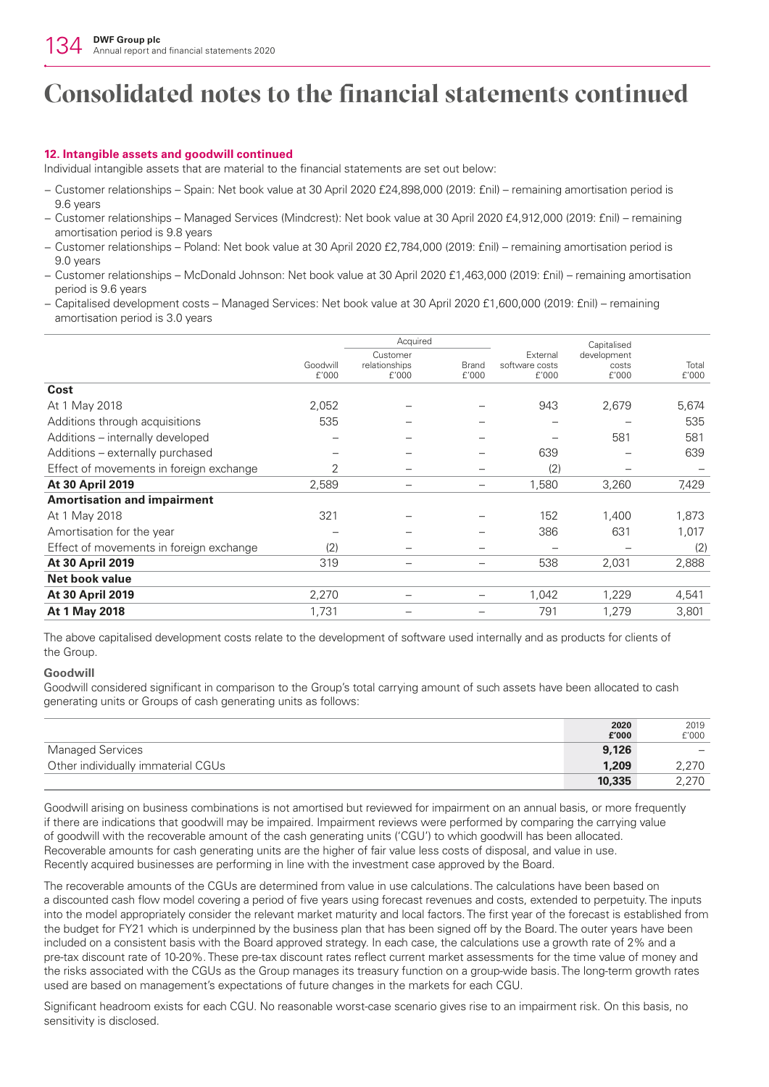## **12. Intangible assets and goodwill continued**

Individual intangible assets that are material to the financial statements are set out below:

- − Customer relationships Spain: Net book value at 30 April 2020 £24,898,000 (2019: £nil) remaining amortisation period is 9.6 years
- − Customer relationships Managed Services (Mindcrest): Net book value at 30 April 2020 £4,912,000 (2019: £nil) remaining amortisation period is 9.8 years
- − Customer relationships Poland: Net book value at 30 April 2020 £2,784,000 (2019: £nil) remaining amortisation period is 9.0 years
- − Customer relationships McDonald Johnson: Net book value at 30 April 2020 £1,463,000 (2019: £nil) remaining amortisation period is 9.6 years
- − Capitalised development costs Managed Services: Net book value at 30 April 2020 £1,600,000 (2019: £nil) remaining amortisation period is 3.0 years

|                                         |                   | Acquired                           |                       |                                     | Capitalised                   |                |
|-----------------------------------------|-------------------|------------------------------------|-----------------------|-------------------------------------|-------------------------------|----------------|
|                                         | Goodwill<br>f'000 | Customer<br>relationships<br>£'000 | <b>Brand</b><br>f'000 | External<br>software costs<br>f'000 | development<br>costs<br>f'000 | Total<br>£'000 |
| Cost                                    |                   |                                    |                       |                                     |                               |                |
| At 1 May 2018                           | 2,052             |                                    |                       | 943                                 | 2,679                         | 5,674          |
| Additions through acquisitions          | 535               |                                    |                       |                                     |                               | 535            |
| Additions - internally developed        |                   |                                    |                       |                                     | 581                           | 581            |
| Additions - externally purchased        |                   |                                    | —                     | 639                                 | $\overline{\phantom{0}}$      | 639            |
| Effect of movements in foreign exchange | 2                 |                                    | —                     | (2)                                 | -                             |                |
| At 30 April 2019                        | 2,589             |                                    | —                     | 1,580                               | 3,260                         | 7,429          |
| <b>Amortisation and impairment</b>      |                   |                                    |                       |                                     |                               |                |
| At 1 May 2018                           | 321               |                                    |                       | 152                                 | 1,400                         | 1,873          |
| Amortisation for the year               |                   |                                    |                       | 386                                 | 631                           | 1,017          |
| Effect of movements in foreign exchange | (2)               |                                    | —                     |                                     |                               | (2)            |
| <b>At 30 April 2019</b>                 | 319               |                                    | -                     | 538                                 | 2,031                         | 2,888          |
| <b>Net book value</b>                   |                   |                                    |                       |                                     |                               |                |
| <b>At 30 April 2019</b>                 | 2,270             |                                    |                       | 1,042                               | 1,229                         | 4,541          |
| At 1 May 2018                           | 1,731             |                                    |                       | 791                                 | 1,279                         | 3,801          |

The above capitalised development costs relate to the development of software used internally and as products for clients of the Group.

### **Goodwill**

Goodwill considered significant in comparison to the Group's total carrying amount of such assets have been allocated to cash generating units or Groups of cash generating units as follows:

|                                    | 2020   | 2019                     |
|------------------------------------|--------|--------------------------|
|                                    | £'000  | f'000                    |
| Managed Services                   | 9,126  | $\overline{\phantom{0}}$ |
| Other individually immaterial CGUs | 1.209  | 2.270                    |
|                                    | 10,335 | 2.270                    |

Goodwill arising on business combinations is not amortised but reviewed for impairment on an annual basis, or more frequently if there are indications that goodwill may be impaired. Impairment reviews were performed by comparing the carrying value of goodwill with the recoverable amount of the cash generating units ('CGU') to which goodwill has been allocated. Recoverable amounts for cash generating units are the higher of fair value less costs of disposal, and value in use. Recently acquired businesses are performing in line with the investment case approved by the Board.

The recoverable amounts of the CGUs are determined from value in use calculations. The calculations have been based on a discounted cash flow model covering a period of five years using forecast revenues and costs, extended to perpetuity. The inputs into the model appropriately consider the relevant market maturity and local factors. The first year of the forecast is established from the budget for FY21 which is underpinned by the business plan that has been signed off by the Board. The outer years have been included on a consistent basis with the Board approved strategy. In each case, the calculations use a growth rate of 2% and a pre-tax discount rate of 10-20%. These pre-tax discount rates reflect current market assessments for the time value of money and the risks associated with the CGUs as the Group manages its treasury function on a group-wide basis. The long-term growth rates used are based on management's expectations of future changes in the markets for each CGU.

Significant headroom exists for each CGU. No reasonable worst-case scenario gives rise to an impairment risk. On this basis, no sensitivity is disclosed.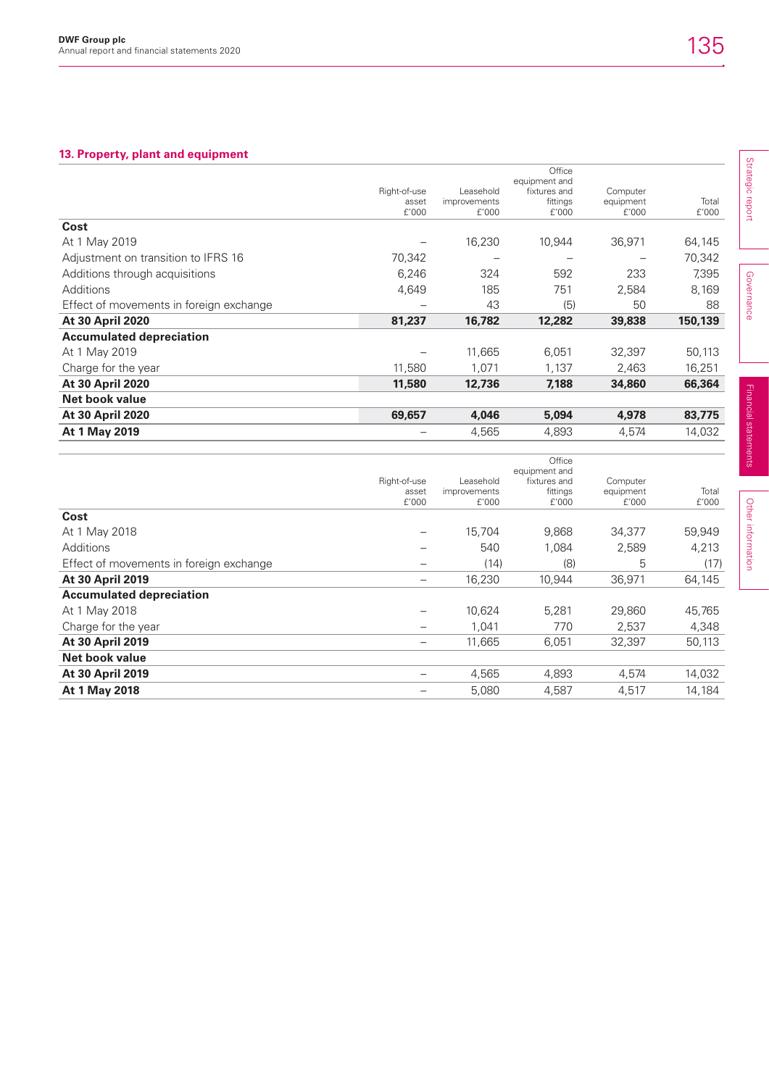## **13. Property, plant and equipment**

|                                         |                                |                                    | Office                                             |                                |                |
|-----------------------------------------|--------------------------------|------------------------------------|----------------------------------------------------|--------------------------------|----------------|
|                                         | Right-of-use<br>asset<br>£'000 | Leasehold<br>improvements<br>f'000 | equipment and<br>fixtures and<br>fittings<br>f'000 | Computer<br>equipment<br>f'000 | Total<br>£'000 |
| Cost                                    |                                |                                    |                                                    |                                |                |
| At 1 May 2019                           |                                | 16,230                             | 10,944                                             | 36,971                         | 64,145         |
| Adjustment on transition to IFRS 16     | 70,342                         |                                    |                                                    |                                | 70,342         |
| Additions through acquisitions          | 6,246                          | 324                                | 592                                                | 233                            | 7,395          |
| Additions                               | 4,649                          | 185                                | 751                                                | 2,584                          | 8,169          |
| Effect of movements in foreign exchange |                                | 43                                 | (5)                                                | 50                             | 88             |
| <b>At 30 April 2020</b>                 | 81,237                         | 16,782                             | 12,282                                             | 39,838                         | 150,139        |
| <b>Accumulated depreciation</b>         |                                |                                    |                                                    |                                |                |
| At 1 May 2019                           |                                | 11,665                             | 6,051                                              | 32,397                         | 50,113         |
| Charge for the year                     | 11,580                         | 1,071                              | 1,137                                              | 2,463                          | 16,251         |
| <b>At 30 April 2020</b>                 | 11,580                         | 12,736                             | 7,188                                              | 34,860                         | 66,364         |
| Net book value                          |                                |                                    |                                                    |                                |                |
| <b>At 30 April 2020</b>                 | 69,657                         | 4,046                              | 5,094                                              | 4,978                          | 83,775         |
| At 1 May 2019                           |                                | 4,565                              | 4,893                                              | 4,574                          | 14,032         |
|                                         |                                |                                    | Office                                             |                                |                |
|                                         |                                |                                    | equipment and                                      |                                |                |

|                                         |                          |                     | equipment and |                       |        |
|-----------------------------------------|--------------------------|---------------------|---------------|-----------------------|--------|
|                                         | Right-of-use             | Leasehold           | fixtures and  | Computer<br>equipment |        |
|                                         | asset                    | <i>improvements</i> | fittings      |                       | Total  |
|                                         | f'000                    | f'000               | f'000         | f'000                 | f'000  |
| Cost                                    |                          |                     |               |                       |        |
| At 1 May 2018                           |                          | 15,704              | 9,868         | 34,377                | 59,949 |
| Additions                               |                          | 540                 | 1,084         | 2,589                 | 4,213  |
| Effect of movements in foreign exchange |                          | (14)                | (8)           | 5                     | (17)   |
| <b>At 30 April 2019</b>                 | $\qquad \qquad -$        | 16,230              | 10,944        | 36,971                | 64,145 |
| <b>Accumulated depreciation</b>         |                          |                     |               |                       |        |
| At 1 May 2018                           | —                        | 10,624              | 5,281         | 29,860                | 45,765 |
| Charge for the year                     | $\overline{\phantom{m}}$ | 1.041               | 770           | 2,537                 | 4,348  |
| <b>At 30 April 2019</b>                 | $\qquad \qquad -$        | 11,665              | 6,051         | 32,397                | 50,113 |
| Net book value                          |                          |                     |               |                       |        |
| <b>At 30 April 2019</b>                 |                          | 4,565               | 4,893         | 4,574                 | 14,032 |
| At 1 May 2018                           |                          | 5,080               | 4,587         | 4,517                 | 14,184 |
|                                         |                          |                     |               |                       |        |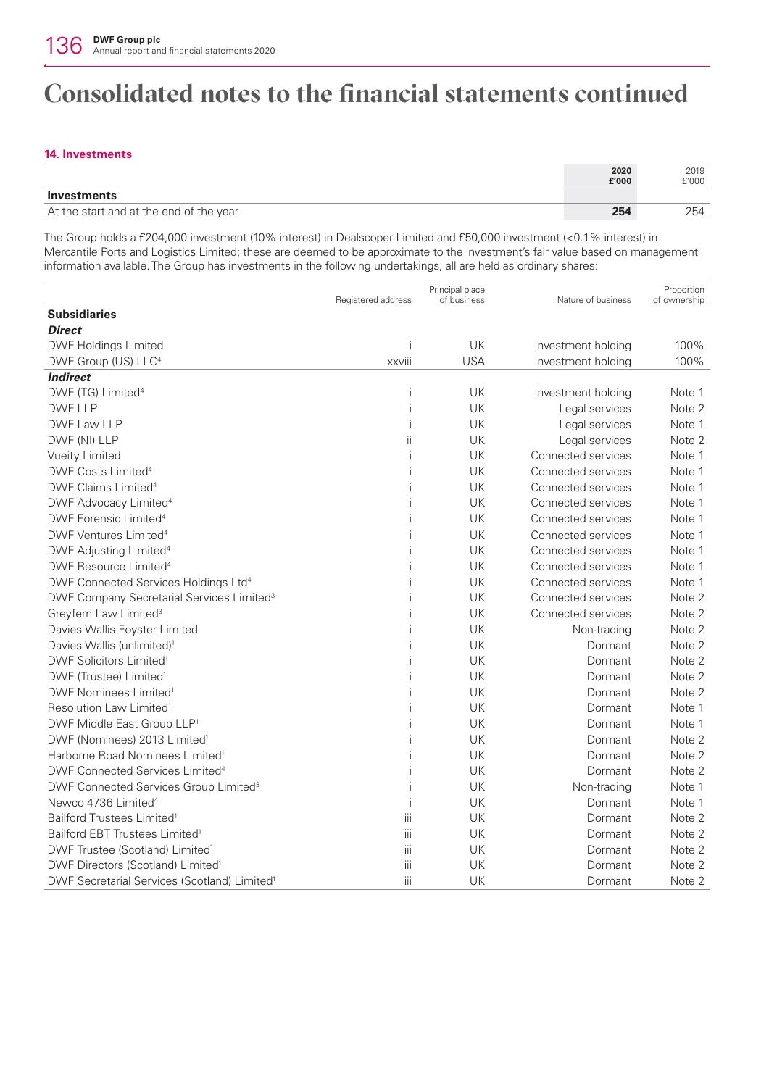## **14. Investments**

|                                         | 2020  | 2019  |
|-----------------------------------------|-------|-------|
|                                         | £'000 | £'000 |
| Investments                             |       |       |
| At the start and at the end of the year | 254   | 254   |

The Group holds a £204,000 investment (10% interest) in Dealscoper Limited and £50,000 investment (<0.1% interest) in Mercantile Ports and Logistics Limited; these are deemed to be approximate to the investment's fair value based on management information available. The Group has investments in the following undertakings, all are held as ordinary shares:

|                                                          |                    | Principal place |                    | Proportion   |
|----------------------------------------------------------|--------------------|-----------------|--------------------|--------------|
| <b>Subsidiaries</b>                                      | Registered address | of business     | Nature of business | of ownership |
| <b>Direct</b>                                            |                    |                 |                    |              |
| DWF Holdings Limited                                     | Ť                  | UK              | Investment holding | 100%         |
| DWF Group (US) LLC <sup>4</sup>                          | <b>xxviii</b>      | <b>USA</b>      | Investment holding | 100%         |
| <b>Indirect</b>                                          |                    |                 |                    |              |
| DWF (TG) Limited <sup>4</sup>                            |                    | UK              | Investment holding | Note 1       |
| <b>DWF LLP</b>                                           |                    | UK              | Legal services     | Note 2       |
| DWF Law LLP                                              |                    | UK              | Legal services     | Note 1       |
| DWF (NI) LLP                                             | ii                 | UK              | Legal services     | Note 2       |
| Vueity Limited                                           |                    | UK              | Connected services | Note 1       |
| DWF Costs Limited <sup>4</sup>                           |                    | UK              | Connected services | Note 1       |
| DWF Claims Limited <sup>4</sup>                          |                    | UK              | Connected services | Note 1       |
| DWF Advocacy Limited <sup>4</sup>                        |                    | UK              | Connected services | Note 1       |
| DWF Forensic Limited <sup>4</sup>                        |                    | UK              | Connected services | Note 1       |
| DWF Ventures Limited <sup>4</sup>                        |                    | UK              | Connected services | Note 1       |
| DWF Adjusting Limited <sup>4</sup>                       |                    | UK              | Connected services | Note 1       |
| DWF Resource Limited <sup>4</sup>                        |                    | UK              | Connected services | Note 1       |
| DWF Connected Services Holdings Ltd <sup>4</sup>         |                    | UK              | Connected services | Note 1       |
| DWF Company Secretarial Services Limited <sup>3</sup>    |                    | UK              | Connected services | Note 2       |
| Greyfern Law Limited <sup>3</sup>                        |                    | UK              | Connected services | Note 2       |
| Davies Wallis Foyster Limited                            |                    | UK              | Non-trading        | Note 2       |
| Davies Wallis (unlimited) <sup>1</sup>                   |                    | UK              | Dormant            | Note 2       |
| DWF Solicitors Limited <sup>1</sup>                      |                    | UK              | Dormant            | Note 2       |
| DWF (Trustee) Limited <sup>1</sup>                       |                    | UK              | Dormant            | Note 2       |
| DWF Nominees Limited <sup>1</sup>                        |                    | UK              | Dormant            | Note 2       |
| Resolution Law Limited <sup>1</sup>                      |                    | UK              | Dormant            | Note 1       |
| DWF Middle East Group LLP <sup>1</sup>                   |                    | UK              | Dormant            | Note 1       |
| DWF (Nominees) 2013 Limited <sup>1</sup>                 |                    | UK              | Dormant            | Note 2       |
| Harborne Road Nominees Limited <sup>1</sup>              |                    | UK              | Dormant            | Note 2       |
| DWF Connected Services Limited <sup>4</sup>              |                    | UK              | Dormant            | Note 2       |
| DWF Connected Services Group Limited <sup>3</sup>        |                    | UK              | Non-trading        | Note 1       |
| Newco 4736 Limited <sup>4</sup>                          |                    | UK              | Dormant            | Note 1       |
| Bailford Trustees Limited <sup>1</sup>                   | iii                | UK              | Dormant            | Note 2       |
| Bailford EBT Trustees Limited <sup>1</sup>               | iii                | UK              | Dormant            | Note 2       |
| DWF Trustee (Scotland) Limited <sup>1</sup>              | iii                | UK              | Dormant            | Note 2       |
| DWF Directors (Scotland) Limited <sup>1</sup>            | iii                | UK              | Dormant            | Note 2       |
| DWF Secretarial Services (Scotland) Limited <sup>1</sup> | iii                | UK              | Dormant            | Note 2       |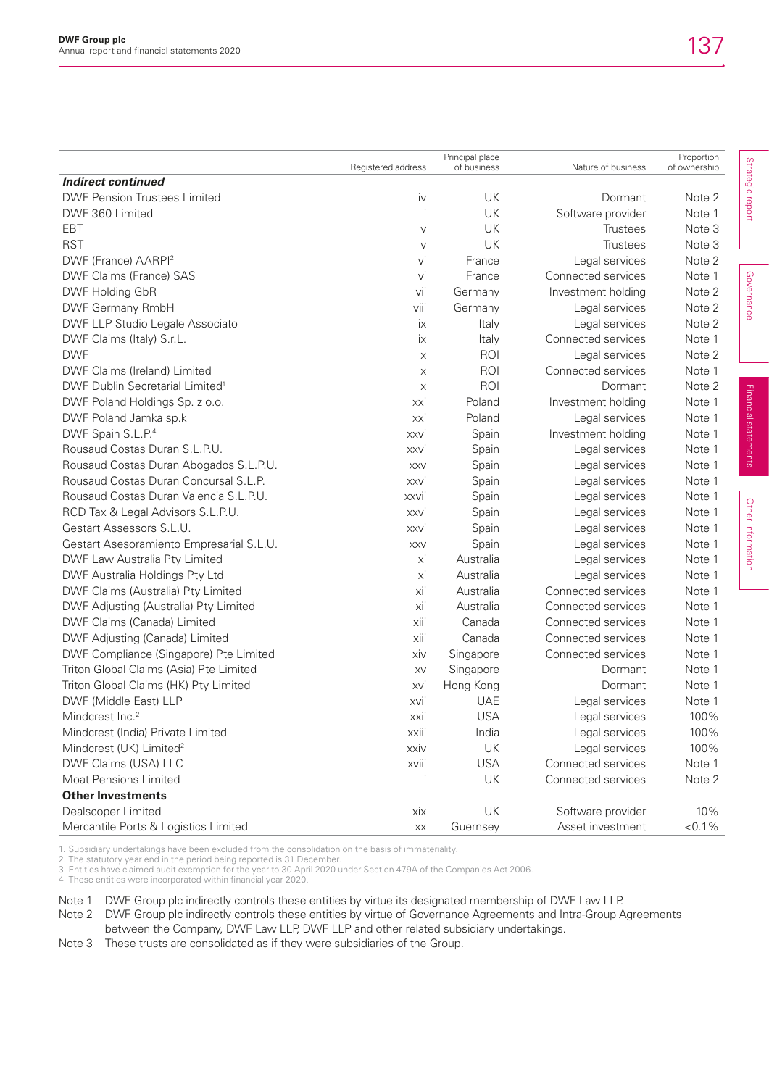| Strategic report<br><b>Indirect continued</b><br><b>DWF Pension Trustees Limited</b><br>UK<br>Dormant<br>Note 2<br>İV<br>UK<br>DWF 360 Limited<br>Software provider<br>Note 1<br>Ť<br>UK<br>EBT<br><b>Trustees</b><br>Note 3<br>V<br><b>RST</b><br>UK<br>Note 3<br><b>Trustees</b><br>$\vee$<br>DWF (France) AARPI <sup>2</sup><br>Legal services<br>Note 2<br>vi<br>France<br>Governance<br>DWF Claims (France) SAS<br>Connected services<br>Note 1<br>vi<br>France<br>DWF Holding GbR<br>vii<br>Investment holding<br>Note 2<br>Germany<br>viii<br>DWF Germany RmbH<br>Legal services<br>Note 2<br>Germany<br>DWF LLP Studio Legale Associato<br>Legal services<br>Italy<br>Note 2<br>ix<br>Connected services<br>DWF Claims (Italy) S.r.L.<br>ix<br>Note 1<br>Italy<br><b>DWF</b><br>ROI<br>Legal services<br>Note 2<br>X<br>ROI<br>DWF Claims (Ireland) Limited<br>Connected services<br>Note 1<br>$\boldsymbol{\mathsf{X}}$<br>ROI<br>DWF Dublin Secretarial Limited <sup>1</sup><br>Dormant<br>Note 2<br>X<br>Financial statements<br>DWF Poland Holdings Sp. z o.o.<br>Poland<br>Investment holding<br>Note 1<br>xxi<br>Poland<br>DWF Poland Jamka sp.k<br>Legal services<br>Note 1<br>xxi<br>DWF Spain S.L.P. <sup>4</sup><br>Spain<br>Investment holding<br>Note 1<br><b>XXVI</b><br>Rousaud Costas Duran S.L.P.U.<br>Spain<br>Legal services<br>Note 1<br><b>XXVI</b><br>Rousaud Costas Duran Abogados S.L.P.U.<br>Spain<br>Legal services<br>Note 1<br>XXV<br>Rousaud Costas Duran Concursal S.L.P.<br>Spain<br>Legal services<br>Note 1<br><b>XXVI</b><br>Rousaud Costas Duran Valencia S.L.P.U.<br>Spain<br>Legal services<br>Note 1<br><b>XXVII</b><br>Other information<br>RCD Tax & Legal Advisors S.L.P.U.<br>Spain<br>Legal services<br>Note 1<br>xxvi<br>Gestart Assessors S.L.U.<br>Spain<br>Legal services<br>Note 1<br><b>XXVi</b><br>Gestart Asesoramiento Empresarial S.L.U.<br>Spain<br>Legal services<br>Note 1<br><b>XXV</b><br>Australia<br>DWF Law Australia Pty Limited<br>Legal services<br>Note 1<br>Xİ<br>DWF Australia Holdings Pty Ltd<br>Australia<br>Legal services<br>Note 1<br>Xİ<br>Australia<br>Connected services<br>DWF Claims (Australia) Pty Limited<br>Note 1<br>xii<br>DWF Adjusting (Australia) Pty Limited<br>Australia<br>Connected services<br>xii<br>Note 1<br>DWF Claims (Canada) Limited<br>xiii<br>Canada<br>Connected services<br>Note 1<br>Canada<br>Connected services<br>DWF Adjusting (Canada) Limited<br>xiii<br>Note 1<br>DWF Compliance (Singapore) Pte Limited<br>Connected services<br>Note 1<br>Singapore<br>XİV<br>Triton Global Claims (Asia) Pte Limited<br>Note 1<br>Singapore<br>Dormant<br>XV<br>Triton Global Claims (HK) Pty Limited<br>Hong Kong<br>Dormant<br>Note 1<br>XVİ<br>DWF (Middle East) LLP<br><b>UAE</b><br>xvii<br>Legal services<br>Note 1<br><b>USA</b><br>Mindcrest Inc. <sup>2</sup><br>Legal services<br>100%<br>xxii<br>xxiii<br>India<br>100%<br>Mindcrest (India) Private Limited<br>Legal services<br>Mindcrest (UK) Limited <sup>2</sup><br>UK<br>Legal services<br>100%<br>xxiv<br><b>USA</b><br>DWF Claims (USA) LLC<br>xviii<br>Connected services<br>Note 1<br>UK<br>Connected services<br><b>Moat Pensions Limited</b><br>j<br>Note 2<br><b>Other Investments</b><br>Dealscoper Limited<br>UK<br>Software provider<br>10%<br>$x$ ix |                                      |                        | Principal place |                    | Proportion   |  |
|-------------------------------------------------------------------------------------------------------------------------------------------------------------------------------------------------------------------------------------------------------------------------------------------------------------------------------------------------------------------------------------------------------------------------------------------------------------------------------------------------------------------------------------------------------------------------------------------------------------------------------------------------------------------------------------------------------------------------------------------------------------------------------------------------------------------------------------------------------------------------------------------------------------------------------------------------------------------------------------------------------------------------------------------------------------------------------------------------------------------------------------------------------------------------------------------------------------------------------------------------------------------------------------------------------------------------------------------------------------------------------------------------------------------------------------------------------------------------------------------------------------------------------------------------------------------------------------------------------------------------------------------------------------------------------------------------------------------------------------------------------------------------------------------------------------------------------------------------------------------------------------------------------------------------------------------------------------------------------------------------------------------------------------------------------------------------------------------------------------------------------------------------------------------------------------------------------------------------------------------------------------------------------------------------------------------------------------------------------------------------------------------------------------------------------------------------------------------------------------------------------------------------------------------------------------------------------------------------------------------------------------------------------------------------------------------------------------------------------------------------------------------------------------------------------------------------------------------------------------------------------------------------------------------------------------------------------------------------------------------------------------------------------------------------------------------------------------------------------------------------------------------------------------------------------------------------------------------------------------------------------------------------------------------------------------------------------------------|--------------------------------------|------------------------|-----------------|--------------------|--------------|--|
|                                                                                                                                                                                                                                                                                                                                                                                                                                                                                                                                                                                                                                                                                                                                                                                                                                                                                                                                                                                                                                                                                                                                                                                                                                                                                                                                                                                                                                                                                                                                                                                                                                                                                                                                                                                                                                                                                                                                                                                                                                                                                                                                                                                                                                                                                                                                                                                                                                                                                                                                                                                                                                                                                                                                                                                                                                                                                                                                                                                                                                                                                                                                                                                                                                                                                                                                           |                                      | Registered address     | of business     | Nature of business | of ownership |  |
|                                                                                                                                                                                                                                                                                                                                                                                                                                                                                                                                                                                                                                                                                                                                                                                                                                                                                                                                                                                                                                                                                                                                                                                                                                                                                                                                                                                                                                                                                                                                                                                                                                                                                                                                                                                                                                                                                                                                                                                                                                                                                                                                                                                                                                                                                                                                                                                                                                                                                                                                                                                                                                                                                                                                                                                                                                                                                                                                                                                                                                                                                                                                                                                                                                                                                                                                           |                                      |                        |                 |                    |              |  |
|                                                                                                                                                                                                                                                                                                                                                                                                                                                                                                                                                                                                                                                                                                                                                                                                                                                                                                                                                                                                                                                                                                                                                                                                                                                                                                                                                                                                                                                                                                                                                                                                                                                                                                                                                                                                                                                                                                                                                                                                                                                                                                                                                                                                                                                                                                                                                                                                                                                                                                                                                                                                                                                                                                                                                                                                                                                                                                                                                                                                                                                                                                                                                                                                                                                                                                                                           |                                      |                        |                 |                    |              |  |
|                                                                                                                                                                                                                                                                                                                                                                                                                                                                                                                                                                                                                                                                                                                                                                                                                                                                                                                                                                                                                                                                                                                                                                                                                                                                                                                                                                                                                                                                                                                                                                                                                                                                                                                                                                                                                                                                                                                                                                                                                                                                                                                                                                                                                                                                                                                                                                                                                                                                                                                                                                                                                                                                                                                                                                                                                                                                                                                                                                                                                                                                                                                                                                                                                                                                                                                                           |                                      |                        |                 |                    |              |  |
|                                                                                                                                                                                                                                                                                                                                                                                                                                                                                                                                                                                                                                                                                                                                                                                                                                                                                                                                                                                                                                                                                                                                                                                                                                                                                                                                                                                                                                                                                                                                                                                                                                                                                                                                                                                                                                                                                                                                                                                                                                                                                                                                                                                                                                                                                                                                                                                                                                                                                                                                                                                                                                                                                                                                                                                                                                                                                                                                                                                                                                                                                                                                                                                                                                                                                                                                           |                                      |                        |                 |                    |              |  |
|                                                                                                                                                                                                                                                                                                                                                                                                                                                                                                                                                                                                                                                                                                                                                                                                                                                                                                                                                                                                                                                                                                                                                                                                                                                                                                                                                                                                                                                                                                                                                                                                                                                                                                                                                                                                                                                                                                                                                                                                                                                                                                                                                                                                                                                                                                                                                                                                                                                                                                                                                                                                                                                                                                                                                                                                                                                                                                                                                                                                                                                                                                                                                                                                                                                                                                                                           |                                      |                        |                 |                    |              |  |
|                                                                                                                                                                                                                                                                                                                                                                                                                                                                                                                                                                                                                                                                                                                                                                                                                                                                                                                                                                                                                                                                                                                                                                                                                                                                                                                                                                                                                                                                                                                                                                                                                                                                                                                                                                                                                                                                                                                                                                                                                                                                                                                                                                                                                                                                                                                                                                                                                                                                                                                                                                                                                                                                                                                                                                                                                                                                                                                                                                                                                                                                                                                                                                                                                                                                                                                                           |                                      |                        |                 |                    |              |  |
|                                                                                                                                                                                                                                                                                                                                                                                                                                                                                                                                                                                                                                                                                                                                                                                                                                                                                                                                                                                                                                                                                                                                                                                                                                                                                                                                                                                                                                                                                                                                                                                                                                                                                                                                                                                                                                                                                                                                                                                                                                                                                                                                                                                                                                                                                                                                                                                                                                                                                                                                                                                                                                                                                                                                                                                                                                                                                                                                                                                                                                                                                                                                                                                                                                                                                                                                           |                                      |                        |                 |                    |              |  |
|                                                                                                                                                                                                                                                                                                                                                                                                                                                                                                                                                                                                                                                                                                                                                                                                                                                                                                                                                                                                                                                                                                                                                                                                                                                                                                                                                                                                                                                                                                                                                                                                                                                                                                                                                                                                                                                                                                                                                                                                                                                                                                                                                                                                                                                                                                                                                                                                                                                                                                                                                                                                                                                                                                                                                                                                                                                                                                                                                                                                                                                                                                                                                                                                                                                                                                                                           |                                      |                        |                 |                    |              |  |
|                                                                                                                                                                                                                                                                                                                                                                                                                                                                                                                                                                                                                                                                                                                                                                                                                                                                                                                                                                                                                                                                                                                                                                                                                                                                                                                                                                                                                                                                                                                                                                                                                                                                                                                                                                                                                                                                                                                                                                                                                                                                                                                                                                                                                                                                                                                                                                                                                                                                                                                                                                                                                                                                                                                                                                                                                                                                                                                                                                                                                                                                                                                                                                                                                                                                                                                                           |                                      |                        |                 |                    |              |  |
|                                                                                                                                                                                                                                                                                                                                                                                                                                                                                                                                                                                                                                                                                                                                                                                                                                                                                                                                                                                                                                                                                                                                                                                                                                                                                                                                                                                                                                                                                                                                                                                                                                                                                                                                                                                                                                                                                                                                                                                                                                                                                                                                                                                                                                                                                                                                                                                                                                                                                                                                                                                                                                                                                                                                                                                                                                                                                                                                                                                                                                                                                                                                                                                                                                                                                                                                           |                                      |                        |                 |                    |              |  |
|                                                                                                                                                                                                                                                                                                                                                                                                                                                                                                                                                                                                                                                                                                                                                                                                                                                                                                                                                                                                                                                                                                                                                                                                                                                                                                                                                                                                                                                                                                                                                                                                                                                                                                                                                                                                                                                                                                                                                                                                                                                                                                                                                                                                                                                                                                                                                                                                                                                                                                                                                                                                                                                                                                                                                                                                                                                                                                                                                                                                                                                                                                                                                                                                                                                                                                                                           |                                      |                        |                 |                    |              |  |
|                                                                                                                                                                                                                                                                                                                                                                                                                                                                                                                                                                                                                                                                                                                                                                                                                                                                                                                                                                                                                                                                                                                                                                                                                                                                                                                                                                                                                                                                                                                                                                                                                                                                                                                                                                                                                                                                                                                                                                                                                                                                                                                                                                                                                                                                                                                                                                                                                                                                                                                                                                                                                                                                                                                                                                                                                                                                                                                                                                                                                                                                                                                                                                                                                                                                                                                                           |                                      |                        |                 |                    |              |  |
|                                                                                                                                                                                                                                                                                                                                                                                                                                                                                                                                                                                                                                                                                                                                                                                                                                                                                                                                                                                                                                                                                                                                                                                                                                                                                                                                                                                                                                                                                                                                                                                                                                                                                                                                                                                                                                                                                                                                                                                                                                                                                                                                                                                                                                                                                                                                                                                                                                                                                                                                                                                                                                                                                                                                                                                                                                                                                                                                                                                                                                                                                                                                                                                                                                                                                                                                           |                                      |                        |                 |                    |              |  |
|                                                                                                                                                                                                                                                                                                                                                                                                                                                                                                                                                                                                                                                                                                                                                                                                                                                                                                                                                                                                                                                                                                                                                                                                                                                                                                                                                                                                                                                                                                                                                                                                                                                                                                                                                                                                                                                                                                                                                                                                                                                                                                                                                                                                                                                                                                                                                                                                                                                                                                                                                                                                                                                                                                                                                                                                                                                                                                                                                                                                                                                                                                                                                                                                                                                                                                                                           |                                      |                        |                 |                    |              |  |
|                                                                                                                                                                                                                                                                                                                                                                                                                                                                                                                                                                                                                                                                                                                                                                                                                                                                                                                                                                                                                                                                                                                                                                                                                                                                                                                                                                                                                                                                                                                                                                                                                                                                                                                                                                                                                                                                                                                                                                                                                                                                                                                                                                                                                                                                                                                                                                                                                                                                                                                                                                                                                                                                                                                                                                                                                                                                                                                                                                                                                                                                                                                                                                                                                                                                                                                                           |                                      |                        |                 |                    |              |  |
|                                                                                                                                                                                                                                                                                                                                                                                                                                                                                                                                                                                                                                                                                                                                                                                                                                                                                                                                                                                                                                                                                                                                                                                                                                                                                                                                                                                                                                                                                                                                                                                                                                                                                                                                                                                                                                                                                                                                                                                                                                                                                                                                                                                                                                                                                                                                                                                                                                                                                                                                                                                                                                                                                                                                                                                                                                                                                                                                                                                                                                                                                                                                                                                                                                                                                                                                           |                                      |                        |                 |                    |              |  |
|                                                                                                                                                                                                                                                                                                                                                                                                                                                                                                                                                                                                                                                                                                                                                                                                                                                                                                                                                                                                                                                                                                                                                                                                                                                                                                                                                                                                                                                                                                                                                                                                                                                                                                                                                                                                                                                                                                                                                                                                                                                                                                                                                                                                                                                                                                                                                                                                                                                                                                                                                                                                                                                                                                                                                                                                                                                                                                                                                                                                                                                                                                                                                                                                                                                                                                                                           |                                      |                        |                 |                    |              |  |
|                                                                                                                                                                                                                                                                                                                                                                                                                                                                                                                                                                                                                                                                                                                                                                                                                                                                                                                                                                                                                                                                                                                                                                                                                                                                                                                                                                                                                                                                                                                                                                                                                                                                                                                                                                                                                                                                                                                                                                                                                                                                                                                                                                                                                                                                                                                                                                                                                                                                                                                                                                                                                                                                                                                                                                                                                                                                                                                                                                                                                                                                                                                                                                                                                                                                                                                                           |                                      |                        |                 |                    |              |  |
|                                                                                                                                                                                                                                                                                                                                                                                                                                                                                                                                                                                                                                                                                                                                                                                                                                                                                                                                                                                                                                                                                                                                                                                                                                                                                                                                                                                                                                                                                                                                                                                                                                                                                                                                                                                                                                                                                                                                                                                                                                                                                                                                                                                                                                                                                                                                                                                                                                                                                                                                                                                                                                                                                                                                                                                                                                                                                                                                                                                                                                                                                                                                                                                                                                                                                                                                           |                                      |                        |                 |                    |              |  |
|                                                                                                                                                                                                                                                                                                                                                                                                                                                                                                                                                                                                                                                                                                                                                                                                                                                                                                                                                                                                                                                                                                                                                                                                                                                                                                                                                                                                                                                                                                                                                                                                                                                                                                                                                                                                                                                                                                                                                                                                                                                                                                                                                                                                                                                                                                                                                                                                                                                                                                                                                                                                                                                                                                                                                                                                                                                                                                                                                                                                                                                                                                                                                                                                                                                                                                                                           |                                      |                        |                 |                    |              |  |
|                                                                                                                                                                                                                                                                                                                                                                                                                                                                                                                                                                                                                                                                                                                                                                                                                                                                                                                                                                                                                                                                                                                                                                                                                                                                                                                                                                                                                                                                                                                                                                                                                                                                                                                                                                                                                                                                                                                                                                                                                                                                                                                                                                                                                                                                                                                                                                                                                                                                                                                                                                                                                                                                                                                                                                                                                                                                                                                                                                                                                                                                                                                                                                                                                                                                                                                                           |                                      |                        |                 |                    |              |  |
|                                                                                                                                                                                                                                                                                                                                                                                                                                                                                                                                                                                                                                                                                                                                                                                                                                                                                                                                                                                                                                                                                                                                                                                                                                                                                                                                                                                                                                                                                                                                                                                                                                                                                                                                                                                                                                                                                                                                                                                                                                                                                                                                                                                                                                                                                                                                                                                                                                                                                                                                                                                                                                                                                                                                                                                                                                                                                                                                                                                                                                                                                                                                                                                                                                                                                                                                           |                                      |                        |                 |                    |              |  |
|                                                                                                                                                                                                                                                                                                                                                                                                                                                                                                                                                                                                                                                                                                                                                                                                                                                                                                                                                                                                                                                                                                                                                                                                                                                                                                                                                                                                                                                                                                                                                                                                                                                                                                                                                                                                                                                                                                                                                                                                                                                                                                                                                                                                                                                                                                                                                                                                                                                                                                                                                                                                                                                                                                                                                                                                                                                                                                                                                                                                                                                                                                                                                                                                                                                                                                                                           |                                      |                        |                 |                    |              |  |
|                                                                                                                                                                                                                                                                                                                                                                                                                                                                                                                                                                                                                                                                                                                                                                                                                                                                                                                                                                                                                                                                                                                                                                                                                                                                                                                                                                                                                                                                                                                                                                                                                                                                                                                                                                                                                                                                                                                                                                                                                                                                                                                                                                                                                                                                                                                                                                                                                                                                                                                                                                                                                                                                                                                                                                                                                                                                                                                                                                                                                                                                                                                                                                                                                                                                                                                                           |                                      |                        |                 |                    |              |  |
|                                                                                                                                                                                                                                                                                                                                                                                                                                                                                                                                                                                                                                                                                                                                                                                                                                                                                                                                                                                                                                                                                                                                                                                                                                                                                                                                                                                                                                                                                                                                                                                                                                                                                                                                                                                                                                                                                                                                                                                                                                                                                                                                                                                                                                                                                                                                                                                                                                                                                                                                                                                                                                                                                                                                                                                                                                                                                                                                                                                                                                                                                                                                                                                                                                                                                                                                           |                                      |                        |                 |                    |              |  |
|                                                                                                                                                                                                                                                                                                                                                                                                                                                                                                                                                                                                                                                                                                                                                                                                                                                                                                                                                                                                                                                                                                                                                                                                                                                                                                                                                                                                                                                                                                                                                                                                                                                                                                                                                                                                                                                                                                                                                                                                                                                                                                                                                                                                                                                                                                                                                                                                                                                                                                                                                                                                                                                                                                                                                                                                                                                                                                                                                                                                                                                                                                                                                                                                                                                                                                                                           |                                      |                        |                 |                    |              |  |
|                                                                                                                                                                                                                                                                                                                                                                                                                                                                                                                                                                                                                                                                                                                                                                                                                                                                                                                                                                                                                                                                                                                                                                                                                                                                                                                                                                                                                                                                                                                                                                                                                                                                                                                                                                                                                                                                                                                                                                                                                                                                                                                                                                                                                                                                                                                                                                                                                                                                                                                                                                                                                                                                                                                                                                                                                                                                                                                                                                                                                                                                                                                                                                                                                                                                                                                                           |                                      |                        |                 |                    |              |  |
|                                                                                                                                                                                                                                                                                                                                                                                                                                                                                                                                                                                                                                                                                                                                                                                                                                                                                                                                                                                                                                                                                                                                                                                                                                                                                                                                                                                                                                                                                                                                                                                                                                                                                                                                                                                                                                                                                                                                                                                                                                                                                                                                                                                                                                                                                                                                                                                                                                                                                                                                                                                                                                                                                                                                                                                                                                                                                                                                                                                                                                                                                                                                                                                                                                                                                                                                           |                                      |                        |                 |                    |              |  |
|                                                                                                                                                                                                                                                                                                                                                                                                                                                                                                                                                                                                                                                                                                                                                                                                                                                                                                                                                                                                                                                                                                                                                                                                                                                                                                                                                                                                                                                                                                                                                                                                                                                                                                                                                                                                                                                                                                                                                                                                                                                                                                                                                                                                                                                                                                                                                                                                                                                                                                                                                                                                                                                                                                                                                                                                                                                                                                                                                                                                                                                                                                                                                                                                                                                                                                                                           |                                      |                        |                 |                    |              |  |
|                                                                                                                                                                                                                                                                                                                                                                                                                                                                                                                                                                                                                                                                                                                                                                                                                                                                                                                                                                                                                                                                                                                                                                                                                                                                                                                                                                                                                                                                                                                                                                                                                                                                                                                                                                                                                                                                                                                                                                                                                                                                                                                                                                                                                                                                                                                                                                                                                                                                                                                                                                                                                                                                                                                                                                                                                                                                                                                                                                                                                                                                                                                                                                                                                                                                                                                                           |                                      |                        |                 |                    |              |  |
|                                                                                                                                                                                                                                                                                                                                                                                                                                                                                                                                                                                                                                                                                                                                                                                                                                                                                                                                                                                                                                                                                                                                                                                                                                                                                                                                                                                                                                                                                                                                                                                                                                                                                                                                                                                                                                                                                                                                                                                                                                                                                                                                                                                                                                                                                                                                                                                                                                                                                                                                                                                                                                                                                                                                                                                                                                                                                                                                                                                                                                                                                                                                                                                                                                                                                                                                           |                                      |                        |                 |                    |              |  |
|                                                                                                                                                                                                                                                                                                                                                                                                                                                                                                                                                                                                                                                                                                                                                                                                                                                                                                                                                                                                                                                                                                                                                                                                                                                                                                                                                                                                                                                                                                                                                                                                                                                                                                                                                                                                                                                                                                                                                                                                                                                                                                                                                                                                                                                                                                                                                                                                                                                                                                                                                                                                                                                                                                                                                                                                                                                                                                                                                                                                                                                                                                                                                                                                                                                                                                                                           |                                      |                        |                 |                    |              |  |
|                                                                                                                                                                                                                                                                                                                                                                                                                                                                                                                                                                                                                                                                                                                                                                                                                                                                                                                                                                                                                                                                                                                                                                                                                                                                                                                                                                                                                                                                                                                                                                                                                                                                                                                                                                                                                                                                                                                                                                                                                                                                                                                                                                                                                                                                                                                                                                                                                                                                                                                                                                                                                                                                                                                                                                                                                                                                                                                                                                                                                                                                                                                                                                                                                                                                                                                                           |                                      |                        |                 |                    |              |  |
|                                                                                                                                                                                                                                                                                                                                                                                                                                                                                                                                                                                                                                                                                                                                                                                                                                                                                                                                                                                                                                                                                                                                                                                                                                                                                                                                                                                                                                                                                                                                                                                                                                                                                                                                                                                                                                                                                                                                                                                                                                                                                                                                                                                                                                                                                                                                                                                                                                                                                                                                                                                                                                                                                                                                                                                                                                                                                                                                                                                                                                                                                                                                                                                                                                                                                                                                           |                                      |                        |                 |                    |              |  |
|                                                                                                                                                                                                                                                                                                                                                                                                                                                                                                                                                                                                                                                                                                                                                                                                                                                                                                                                                                                                                                                                                                                                                                                                                                                                                                                                                                                                                                                                                                                                                                                                                                                                                                                                                                                                                                                                                                                                                                                                                                                                                                                                                                                                                                                                                                                                                                                                                                                                                                                                                                                                                                                                                                                                                                                                                                                                                                                                                                                                                                                                                                                                                                                                                                                                                                                                           |                                      |                        |                 |                    |              |  |
|                                                                                                                                                                                                                                                                                                                                                                                                                                                                                                                                                                                                                                                                                                                                                                                                                                                                                                                                                                                                                                                                                                                                                                                                                                                                                                                                                                                                                                                                                                                                                                                                                                                                                                                                                                                                                                                                                                                                                                                                                                                                                                                                                                                                                                                                                                                                                                                                                                                                                                                                                                                                                                                                                                                                                                                                                                                                                                                                                                                                                                                                                                                                                                                                                                                                                                                                           |                                      |                        |                 |                    |              |  |
|                                                                                                                                                                                                                                                                                                                                                                                                                                                                                                                                                                                                                                                                                                                                                                                                                                                                                                                                                                                                                                                                                                                                                                                                                                                                                                                                                                                                                                                                                                                                                                                                                                                                                                                                                                                                                                                                                                                                                                                                                                                                                                                                                                                                                                                                                                                                                                                                                                                                                                                                                                                                                                                                                                                                                                                                                                                                                                                                                                                                                                                                                                                                                                                                                                                                                                                                           |                                      |                        |                 |                    |              |  |
|                                                                                                                                                                                                                                                                                                                                                                                                                                                                                                                                                                                                                                                                                                                                                                                                                                                                                                                                                                                                                                                                                                                                                                                                                                                                                                                                                                                                                                                                                                                                                                                                                                                                                                                                                                                                                                                                                                                                                                                                                                                                                                                                                                                                                                                                                                                                                                                                                                                                                                                                                                                                                                                                                                                                                                                                                                                                                                                                                                                                                                                                                                                                                                                                                                                                                                                                           |                                      |                        |                 |                    |              |  |
|                                                                                                                                                                                                                                                                                                                                                                                                                                                                                                                                                                                                                                                                                                                                                                                                                                                                                                                                                                                                                                                                                                                                                                                                                                                                                                                                                                                                                                                                                                                                                                                                                                                                                                                                                                                                                                                                                                                                                                                                                                                                                                                                                                                                                                                                                                                                                                                                                                                                                                                                                                                                                                                                                                                                                                                                                                                                                                                                                                                                                                                                                                                                                                                                                                                                                                                                           |                                      |                        |                 |                    |              |  |
|                                                                                                                                                                                                                                                                                                                                                                                                                                                                                                                                                                                                                                                                                                                                                                                                                                                                                                                                                                                                                                                                                                                                                                                                                                                                                                                                                                                                                                                                                                                                                                                                                                                                                                                                                                                                                                                                                                                                                                                                                                                                                                                                                                                                                                                                                                                                                                                                                                                                                                                                                                                                                                                                                                                                                                                                                                                                                                                                                                                                                                                                                                                                                                                                                                                                                                                                           |                                      |                        |                 |                    |              |  |
|                                                                                                                                                                                                                                                                                                                                                                                                                                                                                                                                                                                                                                                                                                                                                                                                                                                                                                                                                                                                                                                                                                                                                                                                                                                                                                                                                                                                                                                                                                                                                                                                                                                                                                                                                                                                                                                                                                                                                                                                                                                                                                                                                                                                                                                                                                                                                                                                                                                                                                                                                                                                                                                                                                                                                                                                                                                                                                                                                                                                                                                                                                                                                                                                                                                                                                                                           |                                      |                        |                 |                    |              |  |
|                                                                                                                                                                                                                                                                                                                                                                                                                                                                                                                                                                                                                                                                                                                                                                                                                                                                                                                                                                                                                                                                                                                                                                                                                                                                                                                                                                                                                                                                                                                                                                                                                                                                                                                                                                                                                                                                                                                                                                                                                                                                                                                                                                                                                                                                                                                                                                                                                                                                                                                                                                                                                                                                                                                                                                                                                                                                                                                                                                                                                                                                                                                                                                                                                                                                                                                                           | Mercantile Ports & Logistics Limited | $\mathsf{X}\mathsf{X}$ | Guernsey        | Asset investment   | $< 0.1\%$    |  |

1. Subsidiary undertakings have been excluded from the consolidation on the basis of immateriality.

2. The statutory year end in the period being reported is 31 December.

3. Entities have claimed audit exemption for the year to 30 April 2020 under Section 479A of the Companies Act 2006.

4. These entities were incorporated within financial year 2020.

Note 1 DWF Group plc indirectly controls these entities by virtue its designated membership of DWF Law LLP.

Note 2 DWF Group plc indirectly controls these entities by virtue of Governance Agreements and Intra-Group Agreements between the Company, DWF Law LLP, DWF LLP and other related subsidiary undertakings.

Note 3 These trusts are consolidated as if they were subsidiaries of the Group.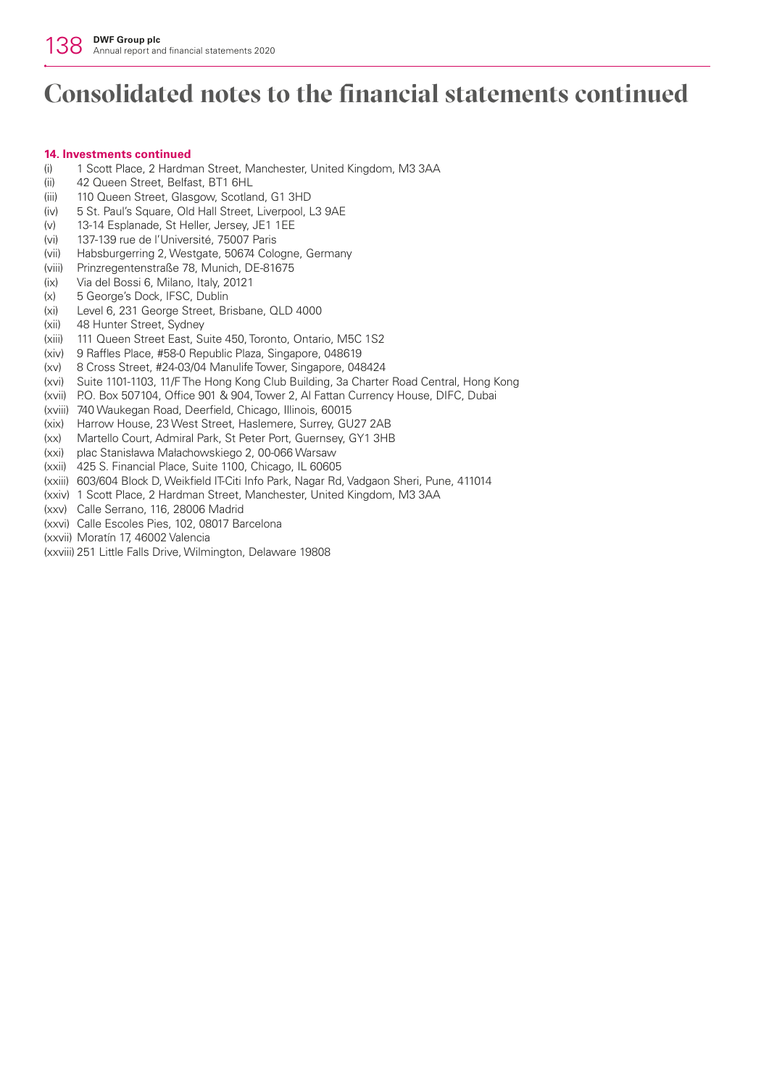#### **14. Investments continued**

- (i) 1 Scott Place, 2 Hardman Street, Manchester, United Kingdom, M3 3AA
- (ii) 42 Queen Street, Belfast, BT1 6HL
- (iii) 110 Queen Street, Glasgow, Scotland, G1 3HD
- (iv) 5 St. Paul's Square, Old Hall Street, Liverpool, L3 9AE
- (v) 13-14 Esplanade, St Heller, Jersey, JE1 1EE
- (vi) 137-139 rue de l'Université, 75007 Paris
- (vii) Habsburgerring 2, Westgate, 50674 Cologne, Germany
- (viii) Prinzregentenstraße 78, Munich, DE-81675
- (ix) Via del Bossi 6, Milano, Italy, 20121
- (x) 5 George's Dock, IFSC, Dublin
- (xi) Level 6, 231 George Street, Brisbane, QLD 4000
- (xii) 48 Hunter Street, Sydney
- (xiii) 111 Queen Street East, Suite 450, Toronto, Ontario, M5C 1S2
- (xiv) 9 Raffles Place, #58-0 Republic Plaza, Singapore, 048619
- (xv) 8 Cross Street, #24-03/04 Manulife Tower, Singapore, 048424
- (xvi) Suite 1101-1103, 11/F The Hong Kong Club Building, 3a Charter Road Central, Hong Kong
- (xvii) P.O. Box 507104, Office 901 & 904, Tower 2, Al Fattan Currency House, DIFC, Dubai
- (xviii) 740 Waukegan Road, Deerfield, Chicago, Illinois, 60015
- (xix) Harrow House, 23 West Street, Haslemere, Surrey, GU27 2AB
- (xx) Martello Court, Admiral Park, St Peter Port, Guernsey, GY1 3HB
- (xxi) plac Stanisława Małachowskiego 2, 00-066 Warsaw
- (xxii) 425 S. Financial Place, Suite 1100, Chicago, IL 60605
- (xxiii) 603/604 Block D, Weikfield IT-Citi Info Park, Nagar Rd, Vadgaon Sheri, Pune, 411014
- (xxiv) 1 Scott Place, 2 Hardman Street, Manchester, United Kingdom, M3 3AA
- (xxv) Calle Serrano, 116, 28006 Madrid
- (xxvi) Calle Escoles Pies, 102, 08017 Barcelona
- (xxvii) Moratín 17, 46002 Valencia
- (xxviii) 251 Little Falls Drive, Wilmington, Delaware 19808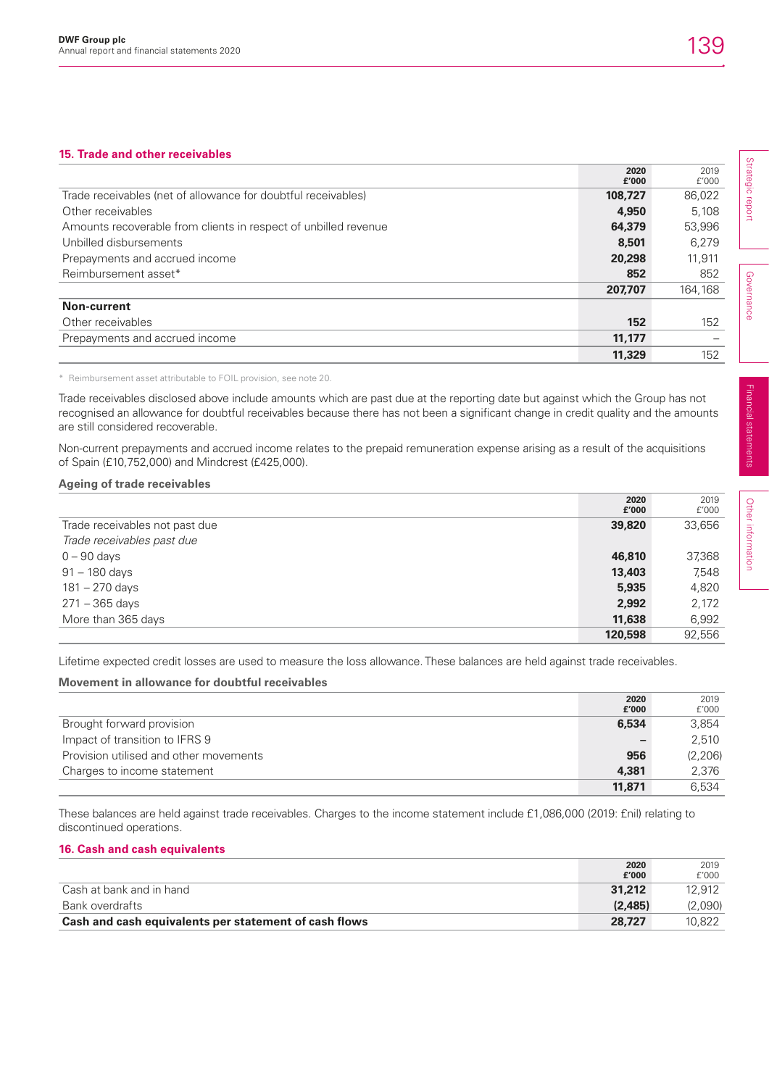## **15. Trade and other receivables**

|                                                                 | 2020<br>£'000 | 2019<br>f'000 |
|-----------------------------------------------------------------|---------------|---------------|
| Trade receivables (net of allowance for doubtful receivables)   | 108,727       | 86.022        |
| Other receivables                                               | 4,950         | 5.108         |
| Amounts recoverable from clients in respect of unbilled revenue | 64,379        | 53,996        |
| Unbilled disbursements                                          | 8,501         | 6.279         |
| Prepayments and accrued income                                  | 20,298        | 11,911        |
| Reimbursement asset*                                            | 852           | 852           |
|                                                                 | 207.707       | 164,168       |
| Non-current                                                     |               |               |
| Other receivables                                               | 152           | 152           |
| Prepayments and accrued income                                  | 11,177        |               |
|                                                                 | 11,329        | 152           |

\* Reimbursement asset attributable to FOIL provision, see note 20.

Trade receivables disclosed above include amounts which are past due at the reporting date but against which the Group has not recognised an allowance for doubtful receivables because there has not been a significant change in credit quality and the amounts are still considered recoverable.

Non-current prepayments and accrued income relates to the prepaid remuneration expense arising as a result of the acquisitions of Spain (£10,752,000) and Mindcrest (£425,000).

### **Ageing of trade receivables**

|                                | 2020    | 2019   |
|--------------------------------|---------|--------|
|                                | £'000   | f'000  |
| Trade receivables not past due | 39,820  | 33,656 |
| Trade receivables past due     |         |        |
| $0 - 90$ days                  | 46,810  | 37,368 |
| $91 - 180$ days                | 13,403  | 7,548  |
| 181 – 270 days                 | 5,935   | 4,820  |
| 271 – 365 days                 | 2,992   | 2,172  |
| More than 365 days             | 11,638  | 6,992  |
|                                | 120,598 | 92.556 |

Lifetime expected credit losses are used to measure the loss allowance. These balances are held against trade receivables.

## **Movement in allowance for doubtful receivables**

|                                        | 2020   | 2019    |
|----------------------------------------|--------|---------|
|                                        | £'000  | f'000   |
| Brought forward provision              | 6,534  | 3.854   |
| Impact of transition to IFRS 9         |        | 2,510   |
| Provision utilised and other movements | 956    | (2,206) |
| Charges to income statement            | 4,381  | 2,376   |
|                                        | 11,871 | 6.534   |

These balances are held against trade receivables. Charges to the income statement include £1,086,000 (2019: £nil) relating to discontinued operations.

## **16. Cash and cash equivalents**

|                                                       | 2020<br>f'000 | 2019<br>f'000 |
|-------------------------------------------------------|---------------|---------------|
| Cash at bank and in hand                              | 31,212        | 12.912        |
| Bank overdrafts                                       | (2.485)       | (2,090)       |
| Cash and cash equivalents per statement of cash flows | 28.727        | 10.822        |

Strategic report Strategic report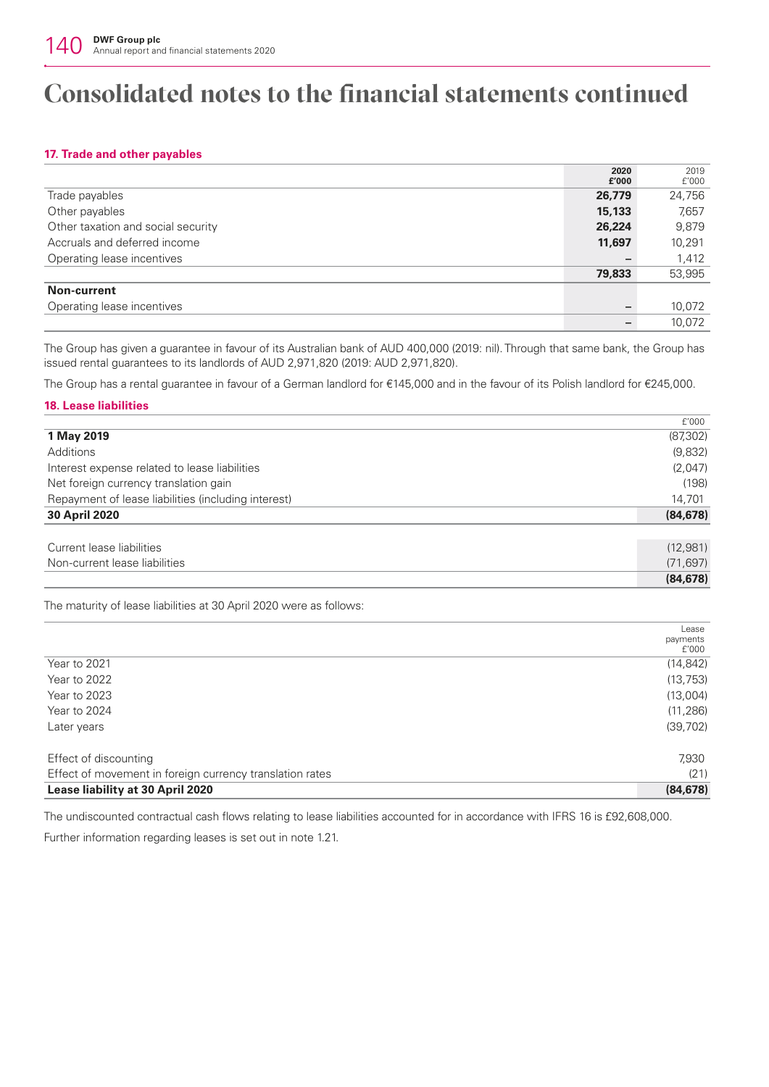## **17. Trade and other payables**

|                                    | 2020   | 2019   |
|------------------------------------|--------|--------|
|                                    | £'000  | f'000  |
| Trade payables                     | 26,779 | 24,756 |
| Other payables                     | 15,133 | 7,657  |
| Other taxation and social security | 26,224 | 9,879  |
| Accruals and deferred income       | 11,697 | 10,291 |
| Operating lease incentives         |        | 1,412  |
|                                    | 79,833 | 53,995 |
| Non-current                        |        |        |
| Operating lease incentives         |        | 10,072 |
|                                    |        | 10.072 |

The Group has given a guarantee in favour of its Australian bank of AUD 400,000 (2019: nil). Through that same bank, the Group has issued rental guarantees to its landlords of AUD 2,971,820 (2019: AUD 2,971,820).

The Group has a rental guarantee in favour of a German landlord for €145,000 and in the favour of its Polish landlord for €245,000.

### **18. Lease liabilities**

|                                                     | f'000     |
|-----------------------------------------------------|-----------|
| 1 May 2019                                          | (87, 302) |
| Additions                                           | (9,832)   |
| Interest expense related to lease liabilities       | (2,047)   |
| Net foreign currency translation gain               | (198)     |
| Repayment of lease liabilities (including interest) | 14,701    |
| <b>30 April 2020</b>                                | (84, 678) |
| Current lease liabilities                           | (12,981)  |
|                                                     |           |
| Non-current lease liabilities                       | (71, 697) |
|                                                     | (84, 678) |

The maturity of lease liabilities at 30 April 2020 were as follows:

| Lease     |
|-----------|
| payments  |
| f'000     |
| (14, 842) |
| (13, 753) |
| (13,004)  |
| (11, 286) |
| (39, 702) |
| 7,930     |
| (21)      |
| (84, 678) |
|           |

The undiscounted contractual cash flows relating to lease liabilities accounted for in accordance with IFRS 16 is £92,608,000.

Further information regarding leases is set out in note 1.21.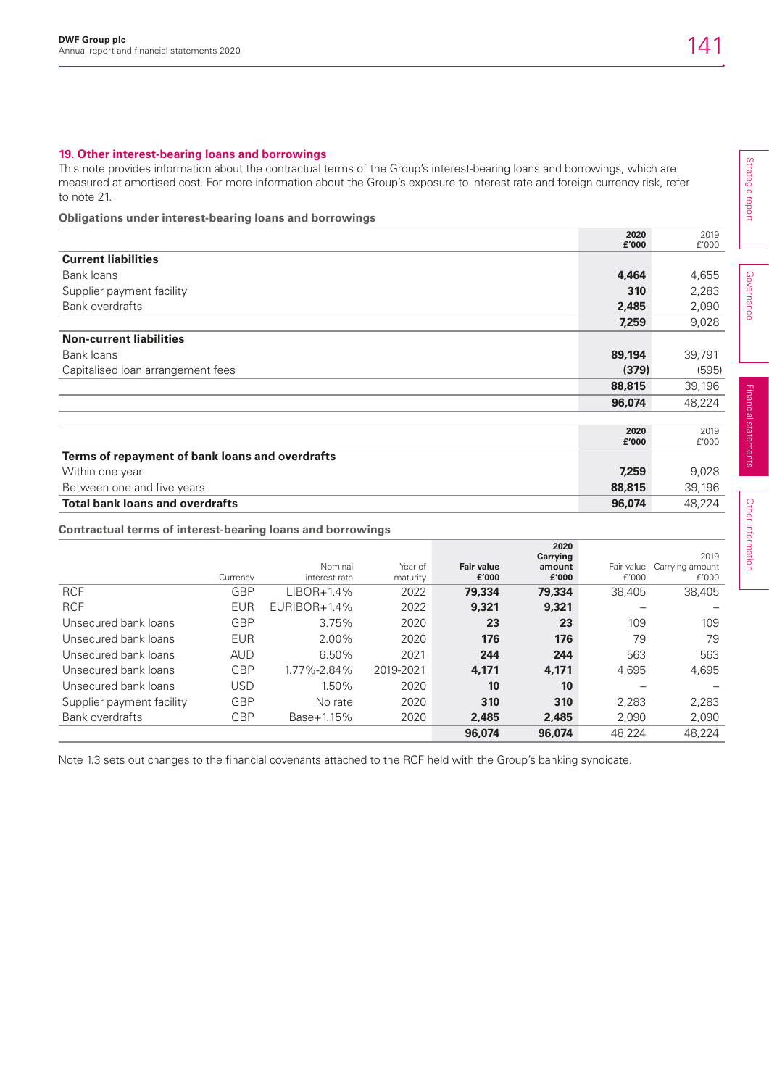## **19. Other interest-bearing loans and borrowings**

This note provides information about the contractual terms of the Group's interest-bearing loans and borrowings, which are measured at amortised cost. For more information about the Group's exposure to interest rate and foreign currency risk, refer to note 21.

## **Obligations under interest-bearing loans and borrowings**

|                                                 | 2020<br>£'000 | 2019<br>f'000 |
|-------------------------------------------------|---------------|---------------|
| <b>Current liabilities</b>                      |               |               |
| Bank loans                                      | 4,464         | 4,655         |
| Supplier payment facility                       | 310           | 2,283         |
| <b>Bank overdrafts</b>                          | 2,485         | 2,090         |
|                                                 | 7,259         | 9,028         |
| <b>Non-current liabilities</b>                  |               |               |
| Bank loans                                      | 89,194        | 39,791        |
| Capitalised Ioan arrangement fees               | (379)         | (595)         |
|                                                 | 88,815        | 39,196        |
|                                                 | 96,074        | 48,224        |
|                                                 |               |               |
|                                                 | 2020<br>£'000 | 2019<br>£'000 |
| Terms of repayment of bank loans and overdrafts |               |               |
| Within one year                                 | 7,259         | 9,028         |
| Between one and five years                      | 88,815        | 39,196        |
| <b>Total bank loans and overdrafts</b>          | 96,074        | 48,224        |

## **Contractual terms of interest-bearing loans and borrowings**

|                           | Currency   | Nominal<br>interest rate | Year of<br>maturity | <b>Fair value</b><br>£'000 | 2020<br>Carrying<br>amount<br>£'000 | Fair value<br>f'000 | 2019<br>Carrying amount<br>£'000 |
|---------------------------|------------|--------------------------|---------------------|----------------------------|-------------------------------------|---------------------|----------------------------------|
| <b>RCF</b>                | <b>GBP</b> | $LIBOR+1.4%$             | 2022                | 79,334                     | 79,334                              | 38.405              | 38,405                           |
| <b>RCF</b>                | <b>EUR</b> | $EURIBOR+1.4%$           | 2022                | 9,321                      | 9,321                               |                     |                                  |
| Unsecured bank loans      | <b>GBP</b> | 3.75%                    | 2020                | 23                         | 23                                  | 109                 | 109                              |
| Unsecured bank loans      | <b>EUR</b> | 2.00%                    | 2020                | 176                        | 176                                 | 79                  | 79                               |
| Unsecured bank loans      | <b>AUD</b> | 6.50%                    | 2021                | 244                        | 244                                 | 563                 | 563                              |
| Unsecured bank loans      | <b>GBP</b> | 1.77%-2.84%              | 2019-2021           | 4.171                      | 4,171                               | 4,695               | 4,695                            |
| Unsecured bank loans      | <b>USD</b> | 1.50%                    | 2020                | 10                         | 10                                  |                     |                                  |
| Supplier payment facility | <b>GBP</b> | No rate                  | 2020                | 310                        | 310                                 | 2.283               | 2,283                            |
| <b>Bank overdrafts</b>    | <b>GBP</b> | Base+1.15%               | 2020                | 2,485                      | 2,485                               | 2,090               | 2,090                            |
|                           |            |                          |                     | 96,074                     | 96,074                              | 48.224              | 48,224                           |

Note 1.3 sets out changes to the financial covenants attached to the RCF held with the Group's banking syndicate.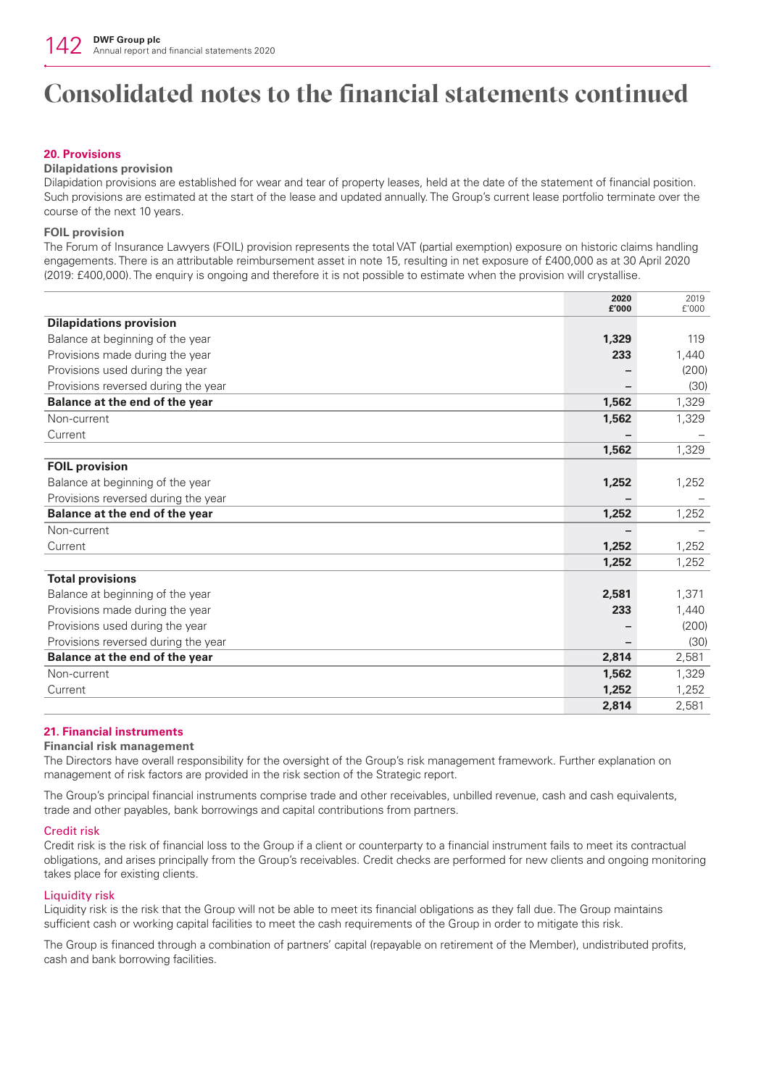## **20. Provisions**

### **Dilapidations provision**

Dilapidation provisions are established for wear and tear of property leases, held at the date of the statement of financial position. Such provisions are estimated at the start of the lease and updated annually. The Group's current lease portfolio terminate over the course of the next 10 years.

### **FOIL provision**

The Forum of Insurance Lawyers (FOIL) provision represents the total VAT (partial exemption) exposure on historic claims handling engagements. There is an attributable reimbursement asset in note 15, resulting in net exposure of £400,000 as at 30 April 2020 (2019: £400,000). The enquiry is ongoing and therefore it is not possible to estimate when the provision will crystallise.

|                                     | 2020<br>£'000 | 2019<br>f'000 |
|-------------------------------------|---------------|---------------|
| <b>Dilapidations provision</b>      |               |               |
| Balance at beginning of the year    | 1,329         | 119           |
| Provisions made during the year     | 233           | 1,440         |
| Provisions used during the year     |               | (200)         |
| Provisions reversed during the year |               | (30)          |
| Balance at the end of the year      | 1,562         | 1,329         |
| Non-current                         | 1,562         | 1,329         |
| Current                             |               |               |
|                                     | 1,562         | 1,329         |
| <b>FOIL provision</b>               |               |               |
| Balance at beginning of the year    | 1,252         | 1,252         |
| Provisions reversed during the year |               |               |
| Balance at the end of the year      | 1,252         | 1,252         |
| Non-current                         |               |               |
| Current                             | 1,252         | 1,252         |
|                                     | 1,252         | 1,252         |
| <b>Total provisions</b>             |               |               |
| Balance at beginning of the year    | 2,581         | 1,371         |
| Provisions made during the year     | 233           | 1,440         |
| Provisions used during the year     |               | (200)         |
| Provisions reversed during the year |               | (30)          |
| Balance at the end of the year      | 2,814         | 2,581         |
| Non-current                         | 1,562         | 1,329         |
| Current                             | 1,252         | 1,252         |
|                                     | 2,814         | 2,581         |

## **21. Financial instruments**

### **Financial risk management**

The Directors have overall responsibility for the oversight of the Group's risk management framework. Further explanation on management of risk factors are provided in the risk section of the Strategic report.

The Group's principal financial instruments comprise trade and other receivables, unbilled revenue, cash and cash equivalents, trade and other payables, bank borrowings and capital contributions from partners.

### Credit risk

Credit risk is the risk of financial loss to the Group if a client or counterparty to a financial instrument fails to meet its contractual obligations, and arises principally from the Group's receivables. Credit checks are performed for new clients and ongoing monitoring takes place for existing clients.

### Liquidity risk

Liquidity risk is the risk that the Group will not be able to meet its financial obligations as they fall due. The Group maintains sufficient cash or working capital facilities to meet the cash requirements of the Group in order to mitigate this risk.

The Group is financed through a combination of partners' capital (repayable on retirement of the Member), undistributed profits, cash and bank borrowing facilities.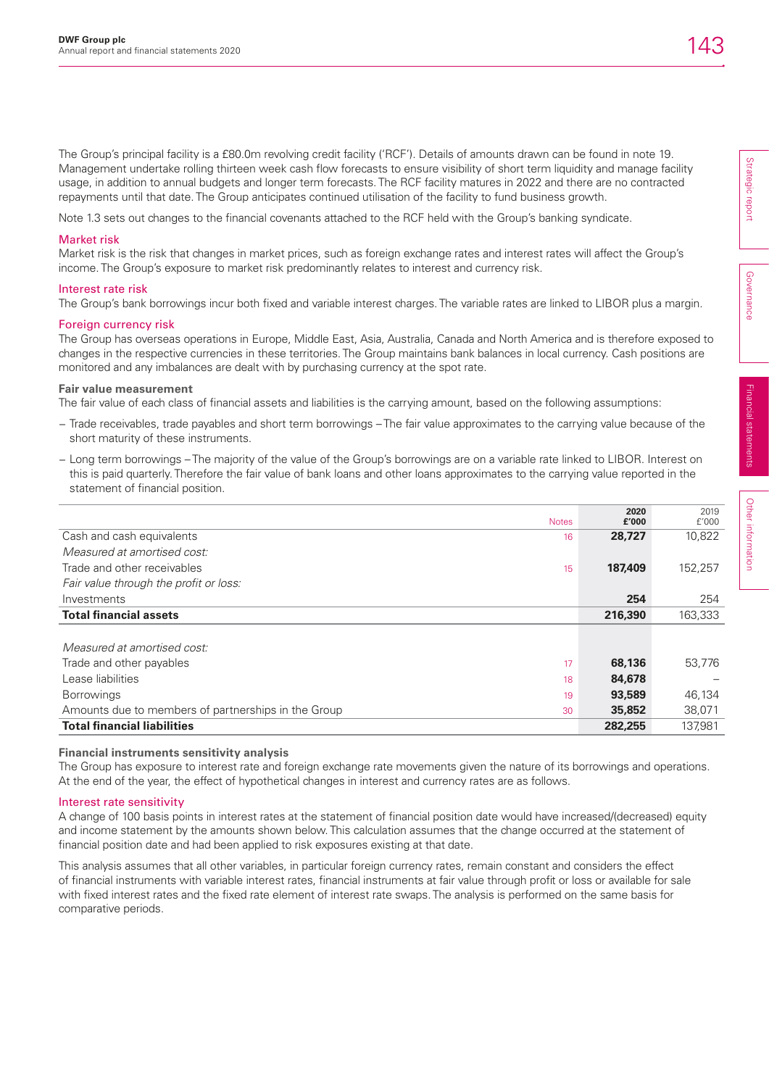The Group's principal facility is a £80.0m revolving credit facility ('RCF'). Details of amounts drawn can be found in note 19. Management undertake rolling thirteen week cash flow forecasts to ensure visibility of short term liquidity and manage facility usage, in addition to annual budgets and longer term forecasts. The RCF facility matures in 2022 and there are no contracted repayments until that date. The Group anticipates continued utilisation of the facility to fund business growth.

Note 1.3 sets out changes to the financial covenants attached to the RCF held with the Group's banking syndicate.

### Market risk

Market risk is the risk that changes in market prices, such as foreign exchange rates and interest rates will affect the Group's income. The Group's exposure to market risk predominantly relates to interest and currency risk.

### Interest rate risk

The Group's bank borrowings incur both fixed and variable interest charges. The variable rates are linked to LIBOR plus a margin.

## Foreign currency risk

The Group has overseas operations in Europe, Middle East, Asia, Australia, Canada and North America and is therefore exposed to changes in the respective currencies in these territories. The Group maintains bank balances in local currency. Cash positions are monitored and any imbalances are dealt with by purchasing currency at the spot rate.

### **Fair value measurement**

The fair value of each class of financial assets and liabilities is the carrying amount, based on the following assumptions:

- − Trade receivables, trade payables and short term borrowings The fair value approximates to the carrying value because of the short maturity of these instruments.
- − Long term borrowings The majority of the value of the Group's borrowings are on a variable rate linked to LIBOR. Interest on this is paid quarterly. Therefore the fair value of bank loans and other loans approximates to the carrying value reported in the statement of financial position.

| <b>Notes</b>                                              | 2020<br>£'000 | 2019<br>f'000 |
|-----------------------------------------------------------|---------------|---------------|
| Cash and cash equivalents<br>16                           | 28,727        | 10,822        |
| Measured at amortised cost:                               |               |               |
| Trade and other receivables<br>15                         | 187.409       | 152,257       |
| Fair value through the profit or loss:                    |               |               |
| Investments                                               | 254           | 254           |
| <b>Total financial assets</b>                             | 216,390       | 163,333       |
|                                                           |               |               |
| Measured at amortised cost:                               |               |               |
| Trade and other payables<br>17                            | 68,136        | 53,776        |
| Lease liabilities<br>18                                   | 84,678        |               |
| <b>Borrowings</b><br>19                                   | 93,589        | 46,134        |
| Amounts due to members of partnerships in the Group<br>30 | 35,852        | 38,071        |
| <b>Total financial liabilities</b>                        | 282,255       | 137.981       |

## **Financial instruments sensitivity analysis**

The Group has exposure to interest rate and foreign exchange rate movements given the nature of its borrowings and operations. At the end of the year, the effect of hypothetical changes in interest and currency rates are as follows.

### Interest rate sensitivity

A change of 100 basis points in interest rates at the statement of financial position date would have increased/(decreased) equity and income statement by the amounts shown below. This calculation assumes that the change occurred at the statement of financial position date and had been applied to risk exposures existing at that date.

This analysis assumes that all other variables, in particular foreign currency rates, remain constant and considers the effect of financial instruments with variable interest rates, financial instruments at fair value through profit or loss or available for sale with fixed interest rates and the fixed rate element of interest rate swaps. The analysis is performed on the same basis for comparative periods.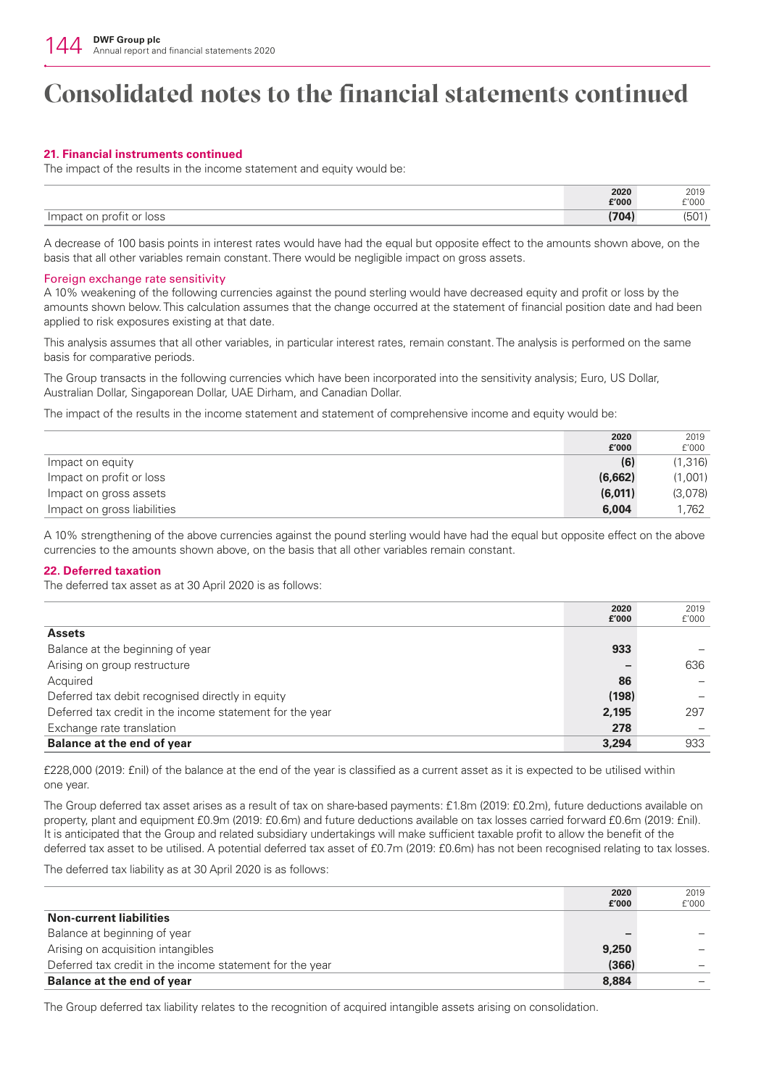## **21. Financial instruments continued**

The impact of the results in the income statement and equity would be:

|                                                    | 2020  | 2019  |
|----------------------------------------------------|-------|-------|
|                                                    | £'000 | £'000 |
| <b>IOSS</b><br>Impact<br>profit<br>.or<br>$\cap r$ | 704   | (50 L |

A decrease of 100 basis points in interest rates would have had the equal but opposite effect to the amounts shown above, on the basis that all other variables remain constant. There would be negligible impact on gross assets.

### Foreign exchange rate sensitivity

A 10% weakening of the following currencies against the pound sterling would have decreased equity and profit or loss by the amounts shown below. This calculation assumes that the change occurred at the statement of financial position date and had been applied to risk exposures existing at that date.

This analysis assumes that all other variables, in particular interest rates, remain constant. The analysis is performed on the same basis for comparative periods.

The Group transacts in the following currencies which have been incorporated into the sensitivity analysis; Euro, US Dollar, Australian Dollar, Singaporean Dollar, UAE Dirham, and Canadian Dollar.

The impact of the results in the income statement and statement of comprehensive income and equity would be:

|                             | 2020    | 2019    |
|-----------------------------|---------|---------|
|                             | £'000   | f'000   |
| Impact on equity            | (6)     | (1,316) |
| Impact on profit or loss    | (6,662) | (1,001) |
| Impact on gross assets      | (6,011) | (3,078) |
| Impact on gross liabilities | 6.004   | 1.762   |

A 10% strengthening of the above currencies against the pound sterling would have had the equal but opposite effect on the above currencies to the amounts shown above, on the basis that all other variables remain constant.

## **22. Deferred taxation**

The deferred tax asset as at 30 April 2020 is as follows:

|                                                          | 2020<br>£'000 | 2019<br>f'000 |
|----------------------------------------------------------|---------------|---------------|
| <b>Assets</b>                                            |               |               |
| Balance at the beginning of year                         | 933           |               |
| Arising on group restructure                             |               | 636           |
| Acquired                                                 | 86            |               |
| Deferred tax debit recognised directly in equity         | (198)         |               |
| Deferred tax credit in the income statement for the year | 2,195         | 297           |
| Exchange rate translation                                | 278           |               |
| <b>Balance at the end of year</b>                        | 3,294         | 933           |

£228,000 (2019: £nil) of the balance at the end of the year is classified as a current asset as it is expected to be utilised within one year.

The Group deferred tax asset arises as a result of tax on share-based payments: £1.8m (2019: £0.2m), future deductions available on property, plant and equipment £0.9m (2019: £0.6m) and future deductions available on tax losses carried forward £0.6m (2019: £nil). It is anticipated that the Group and related subsidiary undertakings will make sufficient taxable profit to allow the benefit of the deferred tax asset to be utilised. A potential deferred tax asset of £0.7m (2019: £0.6m) has not been recognised relating to tax losses.

The deferred tax liability as at 30 April 2020 is as follows:

|                                                          | 2020<br>£'000 | 2019<br>f'000 |
|----------------------------------------------------------|---------------|---------------|
| <b>Non-current liabilities</b>                           |               |               |
| Balance at beginning of year                             |               |               |
| Arising on acquisition intangibles                       | 9,250         |               |
| Deferred tax credit in the income statement for the year | (366)         |               |
| Balance at the end of year                               | 8,884         |               |

The Group deferred tax liability relates to the recognition of acquired intangible assets arising on consolidation.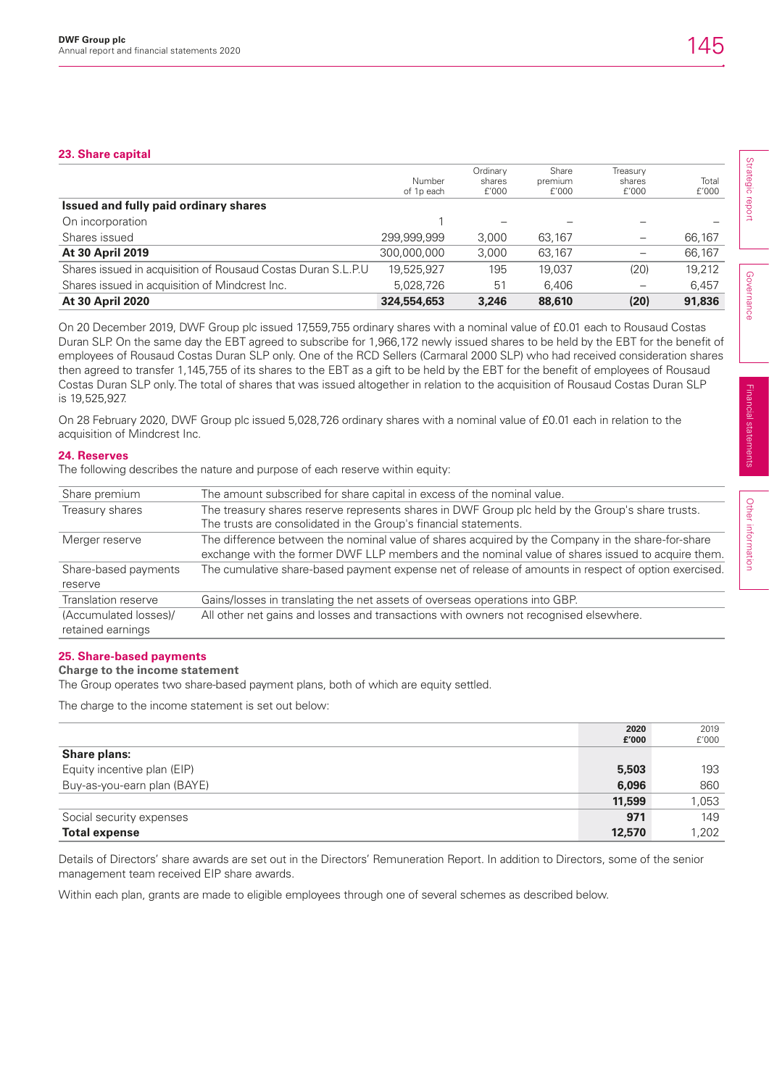|                                                              | Number      | Ordinary<br>shares | Share<br>premium | Treasury<br>shares       | Total  |
|--------------------------------------------------------------|-------------|--------------------|------------------|--------------------------|--------|
|                                                              | of 1p each  | f'000              | f'000            | f'000                    | f'000  |
| Issued and fully paid ordinary shares                        |             |                    |                  |                          |        |
| On incorporation                                             |             |                    |                  |                          |        |
| Shares issued                                                | 299,999,999 | 3,000              | 63.167           |                          | 66,167 |
| <b>At 30 April 2019</b>                                      | 300.000.000 | 3,000              | 63.167           |                          | 66,167 |
| Shares issued in acquisition of Rousaud Costas Duran S.L.P.U | 19.525.927  | 195                | 19.037           | (20)                     | 19.212 |
| Shares issued in acquisition of Mindcrest Inc.               | 5.028.726   | 51                 | 6.406            | $\overline{\phantom{m}}$ | 6.457  |
| <b>At 30 April 2020</b>                                      | 324,554,653 | 3,246              | 88,610           | (20)                     | 91,836 |

On 20 December 2019, DWF Group plc issued 17,559,755 ordinary shares with a nominal value of £0.01 each to Rousaud Costas Duran SLP. On the same day the EBT agreed to subscribe for 1,966,172 newly issued shares to be held by the EBT for the benefit of employees of Rousaud Costas Duran SLP only. One of the RCD Sellers (Carmaral 2000 SLP) who had received consideration shares then agreed to transfer 1,145,755 of its shares to the EBT as a gift to be held by the EBT for the benefit of employees of Rousaud Costas Duran SLP only. The total of shares that was issued altogether in relation to the acquisition of Rousaud Costas Duran SLP is 19,525,927.

On 28 February 2020, DWF Group plc issued 5,028,726 ordinary shares with a nominal value of £0.01 each in relation to the acquisition of Mindcrest Inc.

### **24. Reserves**

The following describes the nature and purpose of each reserve within equity:

| Share premium                              | The amount subscribed for share capital in excess of the nominal value.                                                                                                                               |
|--------------------------------------------|-------------------------------------------------------------------------------------------------------------------------------------------------------------------------------------------------------|
| Treasury shares                            | The treasury shares reserve represents shares in DWF Group plc held by the Group's share trusts.<br>The trusts are consolidated in the Group's financial statements.                                  |
| Merger reserve                             | The difference between the nominal value of shares acquired by the Company in the share-for-share<br>exchange with the former DWF LLP members and the nominal value of shares issued to acquire them. |
| Share-based payments<br>reserve            | The cumulative share-based payment expense net of release of amounts in respect of option exercised.                                                                                                  |
| Translation reserve                        | Gains/losses in translating the net assets of overseas operations into GBP.                                                                                                                           |
| (Accumulated losses)/<br>retained earnings | All other net gains and losses and transactions with owners not recognised elsewhere.                                                                                                                 |

## **25. Share-based payments**

## **Charge to the income statement**

The Group operates two share-based payment plans, both of which are equity settled.

The charge to the income statement is set out below:

|                             | 2020   | 2019  |
|-----------------------------|--------|-------|
|                             | £'000  | £'000 |
| <b>Share plans:</b>         |        |       |
| Equity incentive plan (EIP) | 5,503  | 193   |
| Buy-as-you-earn plan (BAYE) | 6,096  | 860   |
|                             | 11,599 | 1,053 |
| Social security expenses    | 971    | 149   |
| <b>Total expense</b>        | 12,570 | 1,202 |

Details of Directors' share awards are set out in the Directors' Remuneration Report. In addition to Directors, some of the senior management team received EIP share awards.

Within each plan, grants are made to eligible employees through one of several schemes as described below.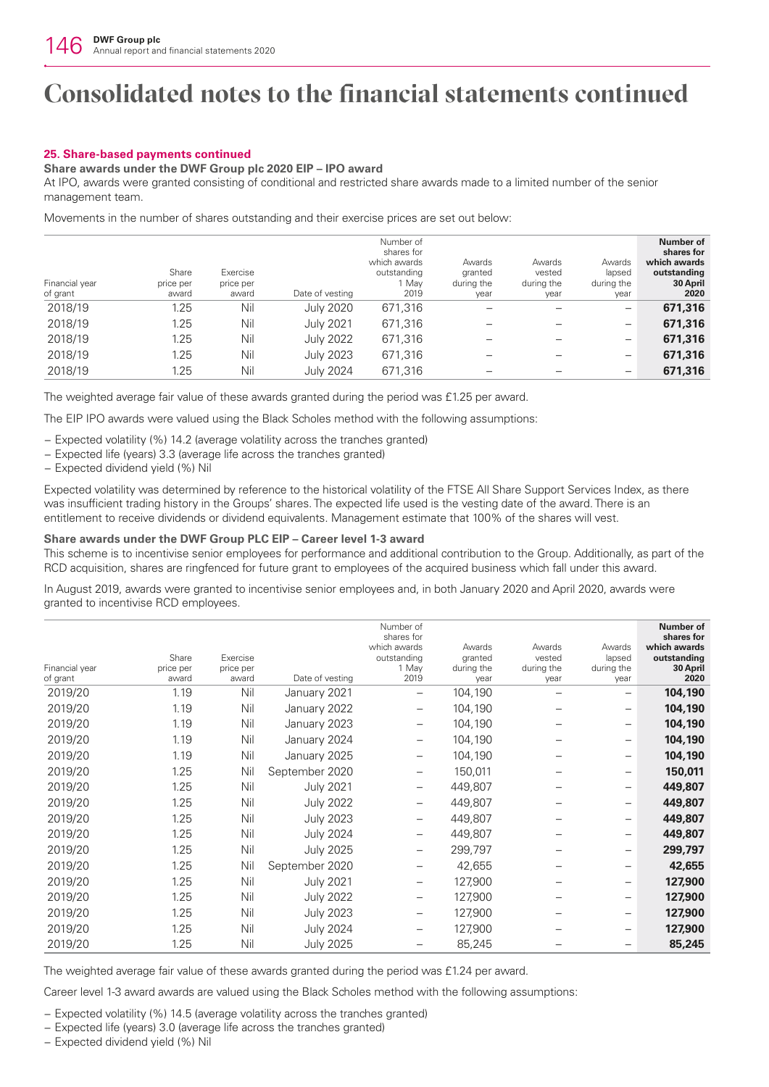## **25. Share-based payments continued**

## **Share awards under the DWF Group plc 2020 EIP – IPO award**

At IPO, awards were granted consisting of conditional and restricted share awards made to a limited number of the senior management team.

Movements in the number of shares outstanding and their exercise prices are set out below:

| Financial year | Share<br>price per | Exercise<br>price per |                  | Number of<br>shares for<br>which awards<br>outstanding<br>1 Mav | Awards<br>granted<br>during the | Awards<br>vested<br>during the | Awards<br>lapsed<br>during the | Number of<br>shares for<br>which awards<br>outstanding<br>30 April |
|----------------|--------------------|-----------------------|------------------|-----------------------------------------------------------------|---------------------------------|--------------------------------|--------------------------------|--------------------------------------------------------------------|
| of grant       | award              | award                 | Date of vesting  | 2019                                                            | year                            | year                           | year                           | 2020                                                               |
| 2018/19        | 1.25               | Nil                   | <b>July 2020</b> | 671,316                                                         |                                 |                                | $\overline{\phantom{0}}$       | 671,316                                                            |
| 2018/19        | 1.25               | Nil                   | <b>July 2021</b> | 671,316                                                         |                                 |                                | $\overline{\phantom{0}}$       | 671,316                                                            |
| 2018/19        | 1.25               | Nil                   | <b>July 2022</b> | 671,316                                                         |                                 |                                | $\overline{\phantom{m}}$       | 671,316                                                            |
| 2018/19        | 1.25               | Nil                   | <b>July 2023</b> | 671,316                                                         |                                 |                                | $\overline{\phantom{m}}$       | 671,316                                                            |
| 2018/19        | 1.25               | Nil                   | <b>July 2024</b> | 671,316                                                         |                                 |                                | $\overline{\phantom{m}}$       | 671,316                                                            |

The weighted average fair value of these awards granted during the period was £1.25 per award.

The EIP IPO awards were valued using the Black Scholes method with the following assumptions:

- − Expected volatility (%) 14.2 (average volatility across the tranches granted)
- − Expected life (years) 3.3 (average life across the tranches granted)
- − Expected dividend yield (%) Nil

Expected volatility was determined by reference to the historical volatility of the FTSE All Share Support Services Index, as there was insufficient trading history in the Groups' shares. The expected life used is the vesting date of the award. There is an entitlement to receive dividends or dividend equivalents. Management estimate that 100% of the shares will vest.

## **Share awards under the DWF Group PLC EIP – Career level 1-3 award**

This scheme is to incentivise senior employees for performance and additional contribution to the Group. Additionally, as part of the RCD acquisition, shares are ringfenced for future grant to employees of the acquired business which fall under this award.

In August 2019, awards were granted to incentivise senior employees and, in both January 2020 and April 2020, awards were granted to incentivise RCD employees.

| Financial year<br>of grant | Share<br>price per<br>award | Exercise<br>price per<br>award | Date of vesting  | Number of<br>shares for<br>which awards<br>outstanding<br>1 Mav<br>2019 | Awards<br>granted<br>during the<br>year | Awards<br>vested<br>during the<br>year | Awards<br>lapsed<br>during the<br>year | Number of<br>shares for<br>which awards<br>outstanding<br>30 April<br>2020 |
|----------------------------|-----------------------------|--------------------------------|------------------|-------------------------------------------------------------------------|-----------------------------------------|----------------------------------------|----------------------------------------|----------------------------------------------------------------------------|
| 2019/20                    | 1.19                        | Nil                            | January 2021     | $\qquad \qquad -$                                                       | 104,190                                 |                                        |                                        | 104,190                                                                    |
| 2019/20                    | 1.19                        | Nil                            | January 2022     | $\qquad \qquad -$                                                       | 104,190                                 |                                        |                                        | 104,190                                                                    |
| 2019/20                    | 1.19                        | Nil                            | January 2023     | —                                                                       | 104,190                                 |                                        |                                        | 104,190                                                                    |
| 2019/20                    | 1.19                        | Nil                            | January 2024     | $\qquad \qquad -$                                                       | 104,190                                 |                                        |                                        | 104,190                                                                    |
| 2019/20                    | 1.19                        | Nil                            | January 2025     |                                                                         | 104,190                                 |                                        | $\overline{\phantom{0}}$               | 104,190                                                                    |
| 2019/20                    | 1.25                        | Nil                            | September 2020   | $\qquad \qquad -$                                                       | 150,011                                 |                                        |                                        | 150,011                                                                    |
| 2019/20                    | 1.25                        | Nil                            | <b>July 2021</b> | $\qquad \qquad -$                                                       | 449,807                                 |                                        | $\overline{\phantom{0}}$               | 449,807                                                                    |
| 2019/20                    | 1.25                        | Nil                            | <b>July 2022</b> | —                                                                       | 449,807                                 |                                        |                                        | 449,807                                                                    |
| 2019/20                    | 1.25                        | Nil                            | <b>July 2023</b> | $\qquad \qquad -$                                                       | 449,807                                 |                                        | $\overline{\phantom{0}}$               | 449,807                                                                    |
| 2019/20                    | 1.25                        | Nil                            | <b>July 2024</b> | $\qquad \qquad -$                                                       | 449,807                                 |                                        |                                        | 449,807                                                                    |
| 2019/20                    | 1.25                        | Nil                            | <b>July 2025</b> | $\qquad \qquad -$                                                       | 299,797                                 |                                        |                                        | 299,797                                                                    |
| 2019/20                    | 1.25                        | Nil                            | September 2020   | —                                                                       | 42,655                                  |                                        | $\overline{\phantom{0}}$               | 42,655                                                                     |
| 2019/20                    | 1.25                        | Nil                            | <b>July 2021</b> |                                                                         | 127,900                                 |                                        |                                        | 127,900                                                                    |
| 2019/20                    | 1.25                        | Nil                            | <b>July 2022</b> | $\qquad \qquad -$                                                       | 127,900                                 |                                        |                                        | 127,900                                                                    |
| 2019/20                    | 1.25                        | Nil                            | <b>July 2023</b> | $\qquad \qquad -$                                                       | 127,900                                 |                                        | $\overline{\phantom{0}}$               | 127,900                                                                    |
| 2019/20                    | 1.25                        | Nil                            | <b>July 2024</b> |                                                                         | 127,900                                 |                                        |                                        | 127,900                                                                    |
| 2019/20                    | 1.25                        | Nil                            | <b>July 2025</b> |                                                                         | 85,245                                  |                                        |                                        | 85,245                                                                     |

The weighted average fair value of these awards granted during the period was £1.24 per award.

Career level 1-3 award awards are valued using the Black Scholes method with the following assumptions:

− Expected volatility (%) 14.5 (average volatility across the tranches granted)

- − Expected life (years) 3.0 (average life across the tranches granted)
- − Expected dividend yield (%) Nil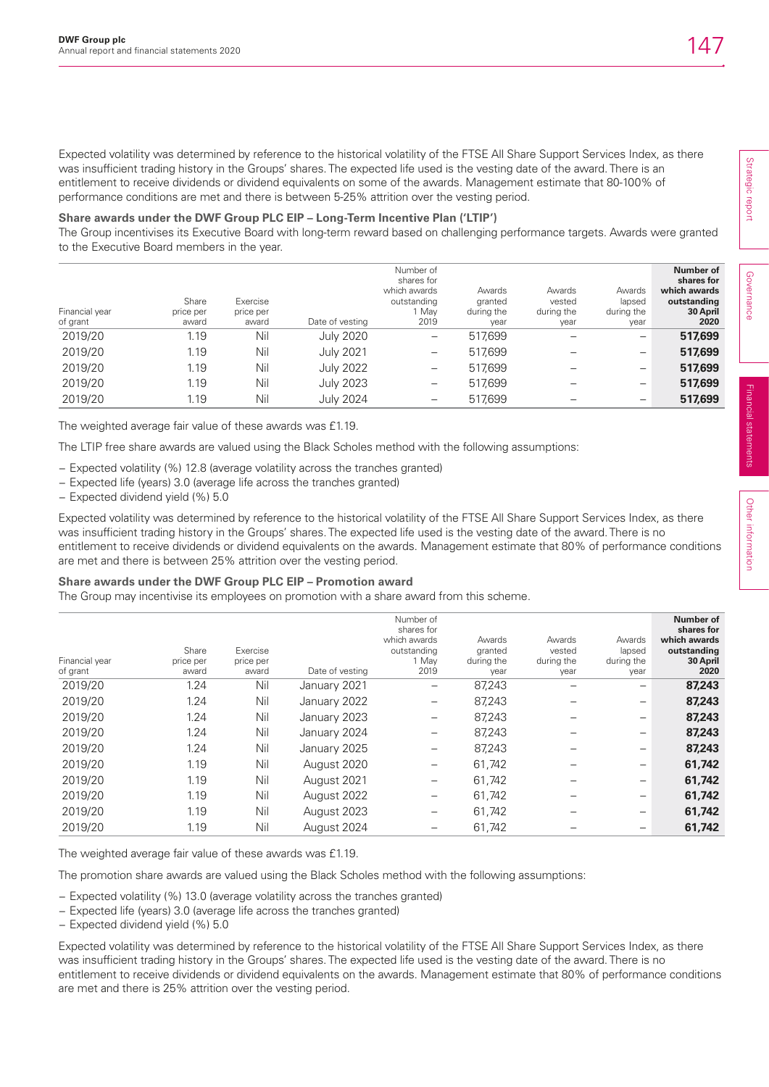Expected volatility was determined by reference to the historical volatility of the FTSE All Share Support Services Index, as there was insufficient trading history in the Groups' shares. The expected life used is the vesting date of the award. There is an entitlement to receive dividends or dividend equivalents on some of the awards. Management estimate that 80-100% of performance conditions are met and there is between 5-25% attrition over the vesting period.

## **Share awards under the DWF Group PLC EIP – Long-Term Incentive Plan ('LTIP')**

The Group incentivises its Executive Board with long-term reward based on challenging performance targets. Awards were granted to the Executive Board members in the year.

| Financial year<br>of grant | Share<br>price per<br>award | Exercise<br>price per<br>award | Date of vesting  | Number of<br>shares for<br>which awards<br>outstanding<br>Mav<br>2019 | Awards<br>granted<br>during the<br>year | Awards<br>vested<br>during the<br>year | Awards<br>lapsed<br>during the<br>year | Number of<br>shares for<br>which awards<br>outstanding<br>30 April<br>2020 |
|----------------------------|-----------------------------|--------------------------------|------------------|-----------------------------------------------------------------------|-----------------------------------------|----------------------------------------|----------------------------------------|----------------------------------------------------------------------------|
| 2019/20                    | 1.19                        | Nil                            | <b>July 2020</b> |                                                                       | 517,699                                 |                                        | $\overline{\phantom{0}}$               | 517,699                                                                    |
| 2019/20                    | 1.19                        | Nil                            | <b>July 2021</b> | $\qquad \qquad -$                                                     | 517.699                                 |                                        | $\overline{\phantom{m}}$               | 517,699                                                                    |
| 2019/20                    | 1.19                        | Nil                            | <b>July 2022</b> | $\overline{\phantom{m}}$                                              | 517,699                                 |                                        | $\overline{\phantom{m}}$               | 517,699                                                                    |
| 2019/20                    | 1.19                        | Nil                            | <b>July 2023</b> | $\overline{\phantom{m}}$                                              | 517,699                                 |                                        | $\overline{\phantom{m}}$               | 517,699                                                                    |
| 2019/20                    | 1.19                        | Nil                            | <b>July 2024</b> | $\overline{\phantom{m}}$                                              | 517,699                                 |                                        | $\overline{\phantom{m}}$               | 517,699                                                                    |

The weighted average fair value of these awards was £1.19.

The LTIP free share awards are valued using the Black Scholes method with the following assumptions:

- − Expected volatility (%) 12.8 (average volatility across the tranches granted)
- − Expected life (years) 3.0 (average life across the tranches granted)
- − Expected dividend yield (%) 5.0

Expected volatility was determined by reference to the historical volatility of the FTSE All Share Support Services Index, as there was insufficient trading history in the Groups' shares. The expected life used is the vesting date of the award. There is no entitlement to receive dividends or dividend equivalents on the awards. Management estimate that 80% of performance conditions are met and there is between 25% attrition over the vesting period.

## **Share awards under the DWF Group PLC EIP – Promotion award**

The Group may incentivise its employees on promotion with a share award from this scheme.

| Financial year<br>of grant | Share<br>price per<br>award | Exercise<br>price per<br>award | Date of vesting | Number of<br>shares for<br>which awards<br>outstanding<br>1 Mav<br>2019 | Awards<br>granted<br>during the<br>year | Awards<br>vested<br>during the<br>year | Awards<br>lapsed<br>during the<br>year | Number of<br>shares for<br>which awards<br>outstanding<br>30 April<br>2020 |
|----------------------------|-----------------------------|--------------------------------|-----------------|-------------------------------------------------------------------------|-----------------------------------------|----------------------------------------|----------------------------------------|----------------------------------------------------------------------------|
| 2019/20                    | 1.24                        | Nil                            | January 2021    | —                                                                       | 87,243                                  |                                        |                                        | 87,243                                                                     |
| 2019/20                    | 1.24                        | Nil                            | January 2022    |                                                                         | 87,243                                  |                                        |                                        | 87,243                                                                     |
| 2019/20                    | 1.24                        | Nil                            | January 2023    |                                                                         | 87,243                                  |                                        |                                        | 87,243                                                                     |
| 2019/20                    | 1.24                        | Nil                            | January 2024    | —                                                                       | 87.243                                  |                                        |                                        | 87,243                                                                     |
| 2019/20                    | 1.24                        | Nil                            | January 2025    | —                                                                       | 87,243                                  |                                        |                                        | 87,243                                                                     |
| 2019/20                    | 1.19                        | Nil                            | August 2020     | —                                                                       | 61,742                                  |                                        |                                        | 61,742                                                                     |
| 2019/20                    | 1.19                        | Nil                            | August 2021     |                                                                         | 61,742                                  |                                        |                                        | 61,742                                                                     |
| 2019/20                    | 1.19                        | Nil                            | August 2022     |                                                                         | 61,742                                  |                                        |                                        | 61,742                                                                     |
| 2019/20                    | 1.19                        | Nil                            | August 2023     |                                                                         | 61,742                                  |                                        |                                        | 61,742                                                                     |
| 2019/20                    | 1.19                        | Nil                            | August 2024     |                                                                         | 61,742                                  |                                        |                                        | 61,742                                                                     |

The weighted average fair value of these awards was £1.19.

The promotion share awards are valued using the Black Scholes method with the following assumptions:

− Expected volatility (%) 13.0 (average volatility across the tranches granted)

− Expected life (years) 3.0 (average life across the tranches granted)

− Expected dividend yield (%) 5.0

Expected volatility was determined by reference to the historical volatility of the FTSE All Share Support Services Index, as there was insufficient trading history in the Groups' shares. The expected life used is the vesting date of the award. There is no entitlement to receive dividends or dividend equivalents on the awards. Management estimate that 80% of performance conditions are met and there is 25% attrition over the vesting period.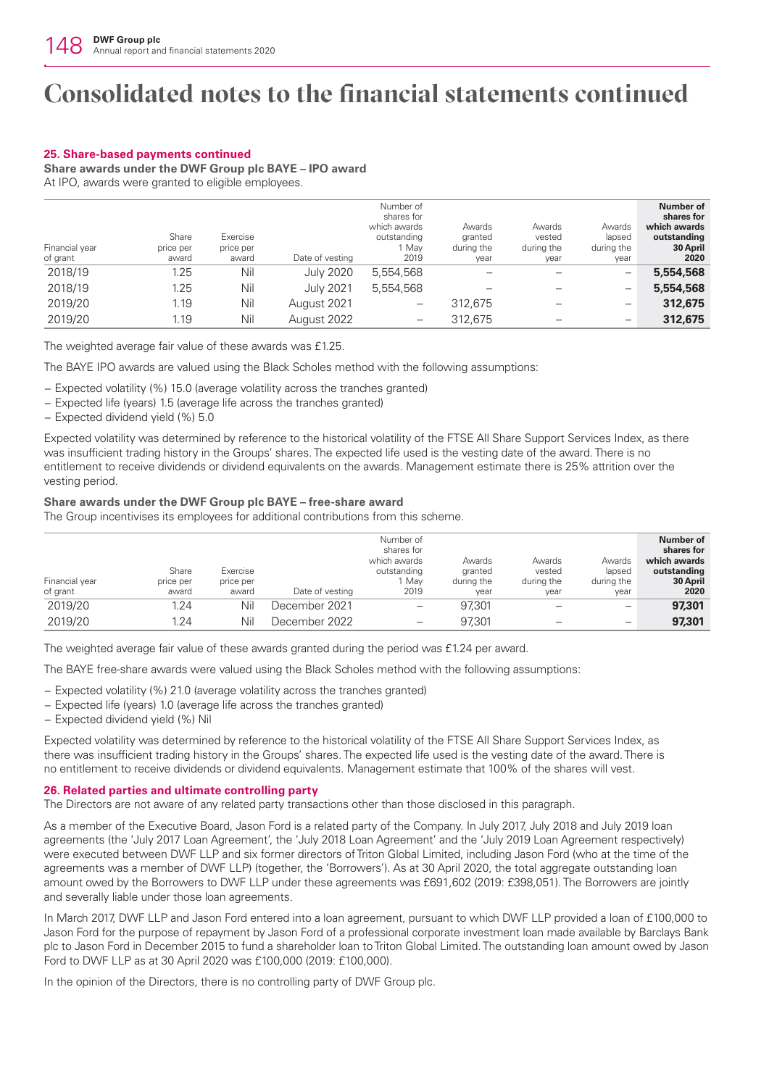## **25. Share-based payments continued**

**Share awards under the DWF Group plc BAYE – IPO award**

At IPO, awards were granted to eligible employees.

| Financial year<br>of grant | Share<br>price per<br>award | Exercise<br>price per<br>award | Date of vesting  | Number of<br>shares for<br>which awards<br>outstanding<br>1 Mav<br>2019 | Awards<br>granted<br>during the<br>year | Awards<br>vested<br>during the<br>year | Awards<br>lapsed<br>during the<br>year | Number of<br>shares for<br>which awards<br>outstanding<br>30 April<br>2020 |
|----------------------------|-----------------------------|--------------------------------|------------------|-------------------------------------------------------------------------|-----------------------------------------|----------------------------------------|----------------------------------------|----------------------------------------------------------------------------|
| 2018/19                    | 1.25                        | Nil                            | <b>July 2020</b> | 5,554,568                                                               |                                         |                                        | -                                      | 5,554,568                                                                  |
| 2018/19                    | 1.25                        | Nil                            | <b>July 2021</b> | 5.554.568                                                               |                                         |                                        | $\overline{\phantom{0}}$               | 5,554,568                                                                  |
| 2019/20                    | 1.19                        | Nil                            | August 2021      | -                                                                       | 312,675                                 |                                        | —                                      | 312,675                                                                    |
| 2019/20                    | 1.19                        | Nil                            | August 2022      |                                                                         | 312,675                                 |                                        | -                                      | 312,675                                                                    |

The weighted average fair value of these awards was £1.25.

The BAYE IPO awards are valued using the Black Scholes method with the following assumptions:

− Expected volatility (%) 15.0 (average volatility across the tranches granted)

- − Expected life (years) 1.5 (average life across the tranches granted)
- − Expected dividend yield (%) 5.0

Expected volatility was determined by reference to the historical volatility of the FTSE All Share Support Services Index, as there was insufficient trading history in the Groups' shares. The expected life used is the vesting date of the award. There is no entitlement to receive dividends or dividend equivalents on the awards. Management estimate there is 25% attrition over the vesting period.

## **Share awards under the DWF Group plc BAYE – free-share award**

The Group incentivises its employees for additional contributions from this scheme.

| Financial year<br>of grant | Share<br>price per<br>award | Exercise<br>price per<br>award | Date of vesting | Number of<br>shares for<br>which awards<br>outstanding<br>Mav<br>2019 | Awards<br>granted<br>during the<br>year | Awards<br>vested<br>during the<br>year | Awards<br>lapsed<br>during the<br>year | Number of<br>shares for<br>which awards<br>outstanding<br>30 April<br>2020 |
|----------------------------|-----------------------------|--------------------------------|-----------------|-----------------------------------------------------------------------|-----------------------------------------|----------------------------------------|----------------------------------------|----------------------------------------------------------------------------|
| 2019/20                    | 1.24                        | Nil                            | December 2021   |                                                                       | 97.301                                  |                                        |                                        | 97,301                                                                     |
| 2019/20                    | 1.24                        | Nil                            | December 2022   | $\qquad \qquad \blacksquare$                                          | 97.301                                  |                                        | $\overline{\phantom{0}}$               | 97.301                                                                     |

The weighted average fair value of these awards granted during the period was £1.24 per award.

The BAYE free-share awards were valued using the Black Scholes method with the following assumptions:

− Expected volatility (%) 21.0 (average volatility across the tranches granted)

− Expected life (years) 1.0 (average life across the tranches granted)

− Expected dividend yield (%) Nil

Expected volatility was determined by reference to the historical volatility of the FTSE All Share Support Services Index, as there was insufficient trading history in the Groups' shares. The expected life used is the vesting date of the award. There is no entitlement to receive dividends or dividend equivalents. Management estimate that 100% of the shares will vest.

## **26. Related parties and ultimate controlling party**

The Directors are not aware of any related party transactions other than those disclosed in this paragraph.

As a member of the Executive Board, Jason Ford is a related party of the Company. In July 2017, July 2018 and July 2019 loan agreements (the 'July 2017 Loan Agreement', the 'July 2018 Loan Agreement' and the 'July 2019 Loan Agreement respectively) were executed between DWF LLP and six former directors of Triton Global Limited, including Jason Ford (who at the time of the agreements was a member of DWF LLP) (together, the 'Borrowers'). As at 30 April 2020, the total aggregate outstanding loan amount owed by the Borrowers to DWF LLP under these agreements was £691,602 (2019: £398,051). The Borrowers are jointly and severally liable under those loan agreements.

In March 2017, DWF LLP and Jason Ford entered into a loan agreement, pursuant to which DWF LLP provided a loan of £100,000 to Jason Ford for the purpose of repayment by Jason Ford of a professional corporate investment loan made available by Barclays Bank plc to Jason Ford in December 2015 to fund a shareholder loan to Triton Global Limited. The outstanding loan amount owed by Jason Ford to DWF LLP as at 30 April 2020 was £100,000 (2019: £100,000).

In the opinion of the Directors, there is no controlling party of DWF Group plc.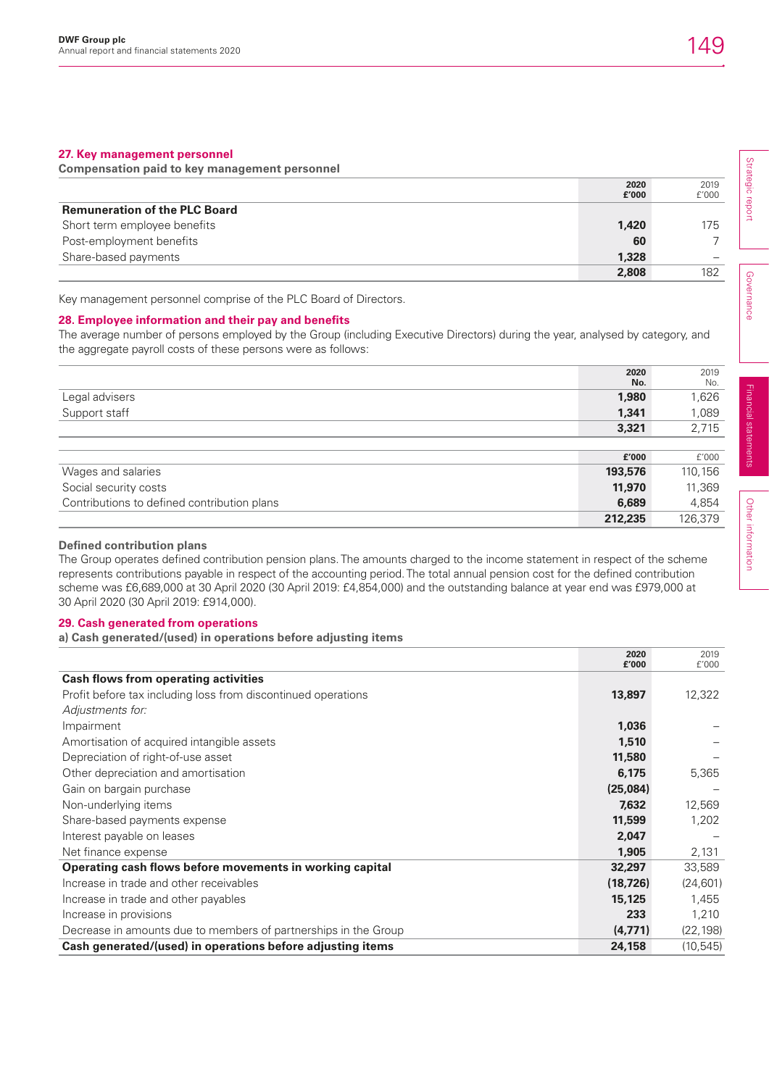## **27. Key management personnel**

**Compensation paid to key management personnel** 

|                                      | 2020  | 2019  |  |
|--------------------------------------|-------|-------|--|
|                                      | £'000 | f'000 |  |
| <b>Remuneration of the PLC Board</b> |       |       |  |
| Short term employee benefits         | 1.420 | 175   |  |
| Post-employment benefits             | 60    |       |  |
| Share-based payments                 | 1,328 |       |  |
|                                      | 2,808 | 182   |  |

Key management personnel comprise of the PLC Board of Directors.

## **28. Employee information and their pay and benefits**

The average number of persons employed by the Group (including Executive Directors) during the year, analysed by category, and the aggregate payroll costs of these persons were as follows:

|                                             | 2020<br>No. | 2019<br>No. |
|---------------------------------------------|-------------|-------------|
| Legal advisers                              | 1,980       | 1,626       |
| Support staff                               | 1,341       | 1,089       |
|                                             | 3,321       | 2,715       |
|                                             |             |             |
|                                             | £'000       | f'000       |
| Wages and salaries                          | 193,576     | 110,156     |
| Social security costs                       | 11,970      | 11,369      |
| Contributions to defined contribution plans | 6,689       | 4,854       |
|                                             | 212,235     | 126,379     |

## **Defined contribution plans**

The Group operates defined contribution pension plans. The amounts charged to the income statement in respect of the scheme represents contributions payable in respect of the accounting period. The total annual pension cost for the defined contribution scheme was £6,689,000 at 30 April 2020 (30 April 2019: £4,854,000) and the outstanding balance at year end was £979,000 at 30 April 2020 (30 April 2019: £914,000).

### **29. Cash generated from operations**

**a) Cash generated/(used) in operations before adjusting items**

|                                                                 | 2020<br>£'000 | 2019<br>£'000 |
|-----------------------------------------------------------------|---------------|---------------|
| <b>Cash flows from operating activities</b>                     |               |               |
| Profit before tax including loss from discontinued operations   | 13,897        | 12,322        |
| Adjustments for:                                                |               |               |
| Impairment                                                      | 1,036         |               |
| Amortisation of acquired intangible assets                      | 1,510         |               |
| Depreciation of right-of-use asset                              | 11,580        |               |
| Other depreciation and amortisation                             | 6,175         | 5,365         |
| Gain on bargain purchase                                        | (25,084)      |               |
| Non-underlying items                                            | 7,632         | 12,569        |
| Share-based payments expense                                    | 11,599        | 1,202         |
| Interest payable on leases                                      | 2,047         |               |
| Net finance expense                                             | 1,905         | 2,131         |
| Operating cash flows before movements in working capital        | 32,297        | 33,589        |
| Increase in trade and other receivables                         | (18, 726)     | (24, 601)     |
| Increase in trade and other payables                            | 15,125        | 1,455         |
| Increase in provisions                                          | 233           | 1,210         |
| Decrease in amounts due to members of partnerships in the Group | (4,771)       | (22, 198)     |
| Cash generated/(used) in operations before adjusting items      | 24,158        | (10, 545)     |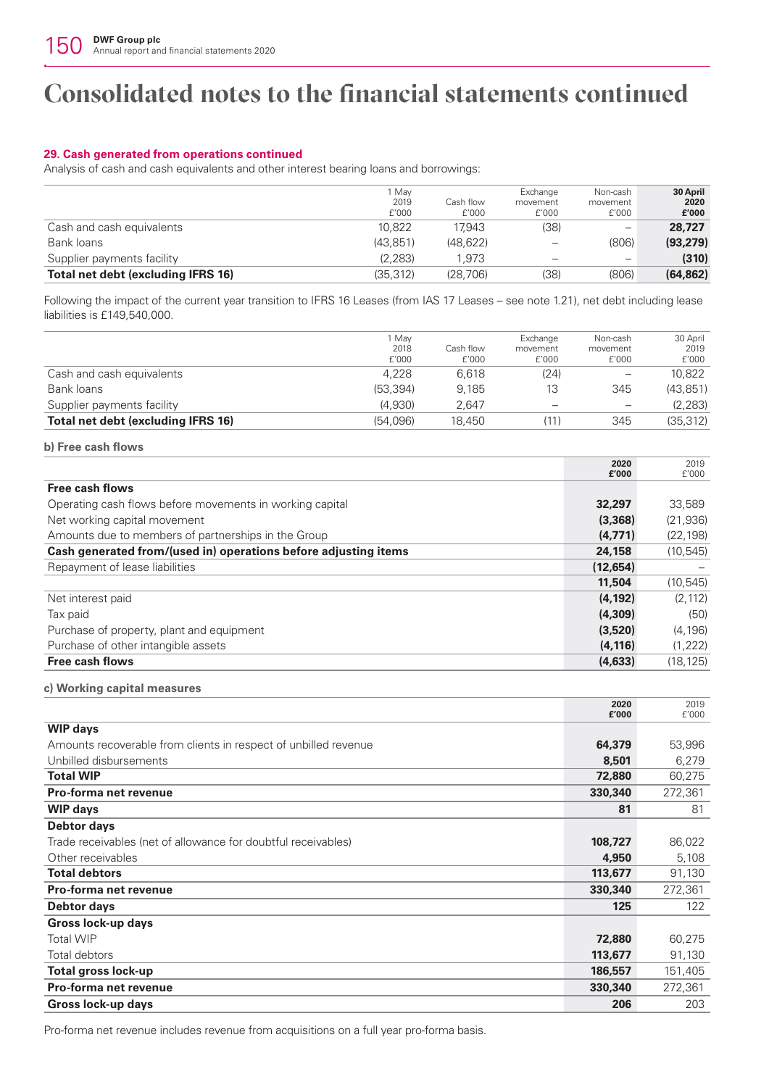## **29. Cash generated from operations continued**

Analysis of cash and cash equivalents and other interest bearing loans and borrowings:

|                                    | Mav<br>2019<br>f'000 | Cash flow<br>f'000 | Exchange<br>movement<br>f'000 | Non-cash<br>movement<br>f'000 | 30 April<br>2020<br>£'000 |
|------------------------------------|----------------------|--------------------|-------------------------------|-------------------------------|---------------------------|
| Cash and cash equivalents          | 10.822               | 17.943             | (38)                          | -                             | 28,727                    |
| Bank loans                         | (43.851)             | (48.622)           | -                             | (806)                         | (93, 279)                 |
| Supplier payments facility         | (2.283)              | 1.973              | -                             |                               | (310)                     |
| Total net debt (excluding IFRS 16) | (35.312)             | (28.706)           | (38)                          | (806)                         | (64, 862)                 |

Following the impact of the current year transition to IFRS 16 Leases (from IAS 17 Leases – see note 1.21), net debt including lease liabilities is £149,540,000.

|                                    | Mav<br>2018<br>f'000 | Cash flow<br>f'000 | Exchange<br>movement<br>f'000 | Non-cash<br>movement<br>f'000 | 30 April<br>2019<br>f'000 |
|------------------------------------|----------------------|--------------------|-------------------------------|-------------------------------|---------------------------|
| Cash and cash equivalents          | 4.228                | 6.618              | (24)                          | $\overline{\phantom{0}}$      | 10.822                    |
| Bank loans                         | (53.394)             | 9.185              | 13                            | 345                           | (43.851)                  |
| Supplier payments facility         | (4.930)              | 2.647              |                               | $\overline{\phantom{m}}$      | (2, 283)                  |
| Total net debt (excluding IFRS 16) | (54.096)             | 18.450             | '11)                          | 345                           | (35, 312)                 |

## **b) Free cash flows**

|                                                                 | 2020      | 2019      |
|-----------------------------------------------------------------|-----------|-----------|
|                                                                 | £'000     | f'000     |
| <b>Free cash flows</b>                                          |           |           |
| Operating cash flows before movements in working capital        | 32,297    | 33,589    |
| Net working capital movement                                    | (3,368)   | (21, 936) |
| Amounts due to members of partnerships in the Group             | (4,771)   | (22, 198) |
| Cash generated from/(used in) operations before adjusting items | 24,158    | (10, 545) |
| Repayment of lease liabilities                                  | (12, 654) |           |
|                                                                 | 11,504    | (10, 545) |
| Net interest paid                                               | (4, 192)  | (2.112)   |
| Tax paid                                                        | (4,309)   | (50)      |
| Purchase of property, plant and equipment                       | (3,520)   | (4, 196)  |
| Purchase of other intangible assets                             | (4, 116)  | (1, 222)  |
| <b>Free cash flows</b>                                          | (4,633)   | (18, 125) |

### **c) Working capital measures**

|                                                                 | 2020<br>£'000 | 2019<br>f'000 |
|-----------------------------------------------------------------|---------------|---------------|
| <b>WIP days</b>                                                 |               |               |
| Amounts recoverable from clients in respect of unbilled revenue | 64,379        | 53,996        |
| Unbilled disbursements                                          | 8,501         | 6,279         |
| <b>Total WIP</b>                                                | 72,880        | 60,275        |
| Pro-forma net revenue                                           | 330,340       | 272,361       |
| <b>WIP days</b>                                                 | 81            | 81            |
| <b>Debtor days</b>                                              |               |               |
| Trade receivables (net of allowance for doubtful receivables)   | 108,727       | 86,022        |
| Other receivables                                               | 4,950         | 5,108         |
| <b>Total debtors</b>                                            | 113,677       | 91,130        |
| Pro-forma net revenue                                           | 330,340       | 272,361       |
| <b>Debtor days</b>                                              | 125           | 122           |
| Gross lock-up days                                              |               |               |
| <b>Total WIP</b>                                                | 72,880        | 60,275        |
| Total debtors                                                   | 113,677       | 91,130        |
| Total gross lock-up                                             | 186,557       | 151,405       |
| <b>Pro-forma net revenue</b>                                    | 330,340       | 272,361       |
| Gross lock-up days                                              | 206           | 203           |

Pro-forma net revenue includes revenue from acquisitions on a full year pro-forma basis.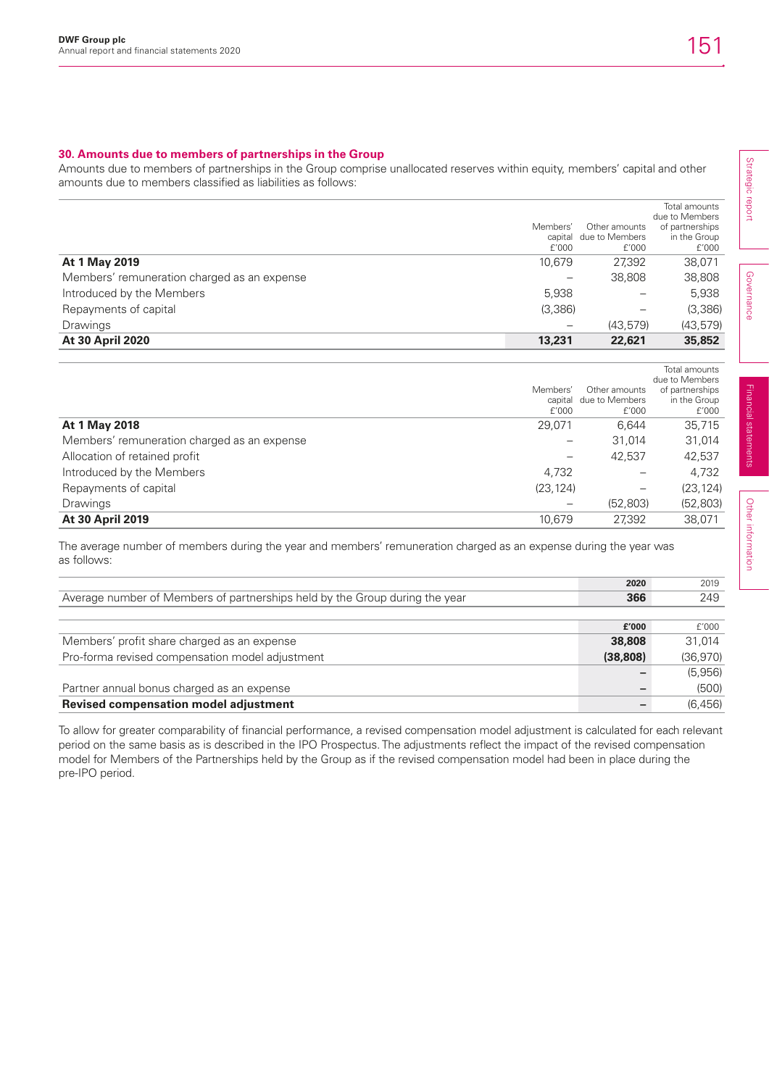## **30. Amounts due to members of partnerships in the Group**

Amounts due to members of partnerships in the Group comprise unallocated reserves within equity, members' capital and other amounts due to members classified as liabilities as follows:

|                                             |          |                          | Total amounts   |
|---------------------------------------------|----------|--------------------------|-----------------|
|                                             |          |                          | due to Members  |
|                                             | Members' | Other amounts            | of partnerships |
|                                             |          | capital due to Members   | in the Group    |
|                                             | f'000    | f'000                    | £'000           |
| At 1 May 2019                               | 10.679   | 27.392                   | 38,071          |
| Members' remuneration charged as an expense |          | 38,808                   | 38,808          |
| Introduced by the Members                   | 5,938    |                          | 5,938           |
| Repayments of capital                       | (3,386)  | $\overline{\phantom{m}}$ | (3,386)         |
| <b>Drawings</b>                             | -        | (43.579)                 | (43, 579)       |
| <b>At 30 April 2020</b>                     | 13,231   | 22,621                   | 35,852          |

|                                             | Members'<br>f'000        | Other amounts<br>capital due to Members<br>f'000 | Total amounts<br>due to Members<br>of partnerships<br>in the Group<br>£'000 |
|---------------------------------------------|--------------------------|--------------------------------------------------|-----------------------------------------------------------------------------|
| At 1 May 2018                               | 29.071                   | 6.644                                            | 35.715                                                                      |
| Members' remuneration charged as an expense | $\overline{\phantom{m}}$ | 31.014                                           | 31,014                                                                      |
| Allocation of retained profit               | $\overline{\phantom{0}}$ | 42.537                                           | 42,537                                                                      |
| Introduced by the Members                   | 4,732                    |                                                  | 4,732                                                                       |
| Repayments of capital                       | (23, 124)                | $\qquad \qquad -$                                | (23, 124)                                                                   |
| <b>Drawings</b>                             | $\overline{\phantom{m}}$ | (52, 803)                                        | (52, 803)                                                                   |
| <b>At 30 April 2019</b>                     | 10.679                   | 27.392                                           | 38.071                                                                      |

The average number of members during the year and members' remuneration charged as an expense during the year was as follows:

|                                                                             | 2020     | 2019     |
|-----------------------------------------------------------------------------|----------|----------|
| Average number of Members of partnerships held by the Group during the year | 366      | 249      |
|                                                                             |          |          |
|                                                                             | £'000    | f'000    |
| Members' profit share charged as an expense                                 | 38,808   | 31.014   |
| Pro-forma revised compensation model adjustment                             | (38.808) | (36,970) |
|                                                                             |          | (5,956)  |
| Partner annual bonus charged as an expense                                  |          | (500)    |
| <b>Revised compensation model adjustment</b>                                |          | (6.456)  |

To allow for greater comparability of financial performance, a revised compensation model adjustment is calculated for each relevant period on the same basis as is described in the IPO Prospectus. The adjustments reflect the impact of the revised compensation model for Members of the Partnerships held by the Group as if the revised compensation model had been in place during the pre-IPO period.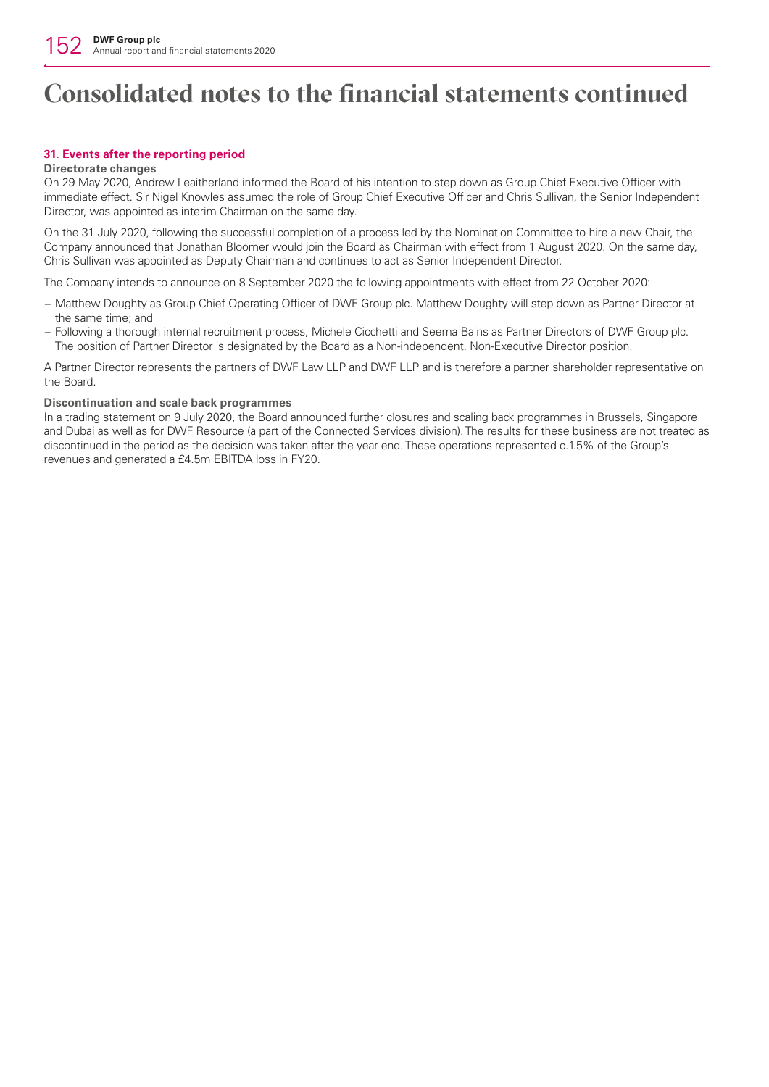## **31. Events after the reporting period**

### **Directorate changes**

On 29 May 2020, Andrew Leaitherland informed the Board of his intention to step down as Group Chief Executive Officer with immediate effect. Sir Nigel Knowles assumed the role of Group Chief Executive Officer and Chris Sullivan, the Senior Independent Director, was appointed as interim Chairman on the same day.

On the 31 July 2020, following the successful completion of a process led by the Nomination Committee to hire a new Chair, the Company announced that Jonathan Bloomer would join the Board as Chairman with effect from 1 August 2020. On the same day, Chris Sullivan was appointed as Deputy Chairman and continues to act as Senior Independent Director.

The Company intends to announce on 8 September 2020 the following appointments with effect from 22 October 2020:

- − Matthew Doughty as Group Chief Operating Officer of DWF Group plc. Matthew Doughty will step down as Partner Director at the same time; and
- − Following a thorough internal recruitment process, Michele Cicchetti and Seema Bains as Partner Directors of DWF Group plc. The position of Partner Director is designated by the Board as a Non-independent, Non-Executive Director position.

A Partner Director represents the partners of DWF Law LLP and DWF LLP and is therefore a partner shareholder representative on the Board.

#### **Discontinuation and scale back programmes**

In a trading statement on 9 July 2020, the Board announced further closures and scaling back programmes in Brussels, Singapore and Dubai as well as for DWF Resource (a part of the Connected Services division). The results for these business are not treated as discontinued in the period as the decision was taken after the year end. These operations represented c.1.5% of the Group's revenues and generated a £4.5m EBITDA loss in FY20.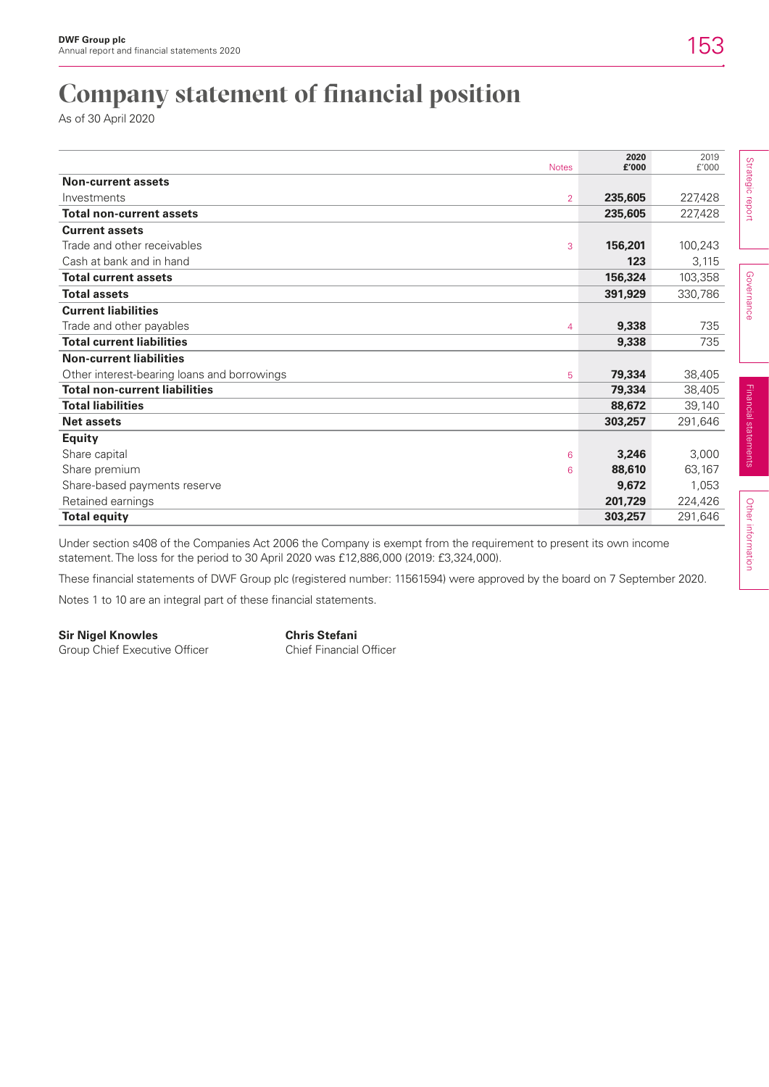## **Company statement of financial position**

As of 30 April 2020

| <b>Notes</b>                                     | 2020<br>£'000 | 2019<br>f'000 |                   |
|--------------------------------------------------|---------------|---------------|-------------------|
| <b>Non-current assets</b>                        |               |               | Strategic report  |
| Investments<br>$\overline{2}$                    | 235,605       | 227,428       |                   |
| <b>Total non-current assets</b>                  | 235,605       | 227,428       |                   |
| <b>Current assets</b>                            |               |               |                   |
| Trade and other receivables<br>3                 | 156,201       | 100,243       |                   |
| Cash at bank and in hand                         | 123           | 3,115         |                   |
| <b>Total current assets</b>                      | 156,324       | 103,358       |                   |
| <b>Total assets</b>                              | 391,929       | 330,786       | <b>Governance</b> |
| <b>Current liabilities</b>                       |               |               |                   |
| Trade and other payables<br>4                    | 9,338         | 735           |                   |
| <b>Total current liabilities</b>                 | 9,338         | 735           |                   |
| <b>Non-current liabilities</b>                   |               |               |                   |
| Other interest-bearing loans and borrowings<br>5 | 79,334        | 38,405        |                   |
| <b>Total non-current liabilities</b>             | 79,334        | 38,405        |                   |
| <b>Total liabilities</b>                         | 88,672        | 39,140        | <b>Financial</b>  |
| <b>Net assets</b>                                | 303,257       | 291,646       |                   |
| <b>Equity</b>                                    |               |               | statements        |
| Share capital<br>6                               | 3,246         | 3,000         |                   |
| Share premium<br>6                               | 88,610        | 63,167        |                   |
| Share-based payments reserve                     | 9,672         | 1,053         |                   |
| Retained earnings                                | 201,729       | 224,426       |                   |
| <b>Total equity</b>                              | 303,257       | 291,646       | Other             |

Under section s408 of the Companies Act 2006 the Company is exempt from the requirement to present its own income statement. The loss for the period to 30 April 2020 was £12,886,000 (2019: £3,324,000).

These financial statements of DWF Group plc (registered number: 11561594) were approved by the board on 7 September 2020.

Notes 1 to 10 are an integral part of these financial statements.

Group Chief Executive Officer

**Sir Nigel Knowles**<br> **Group Chief Executive Officer Chief Financial Officer Chief Financial Officer**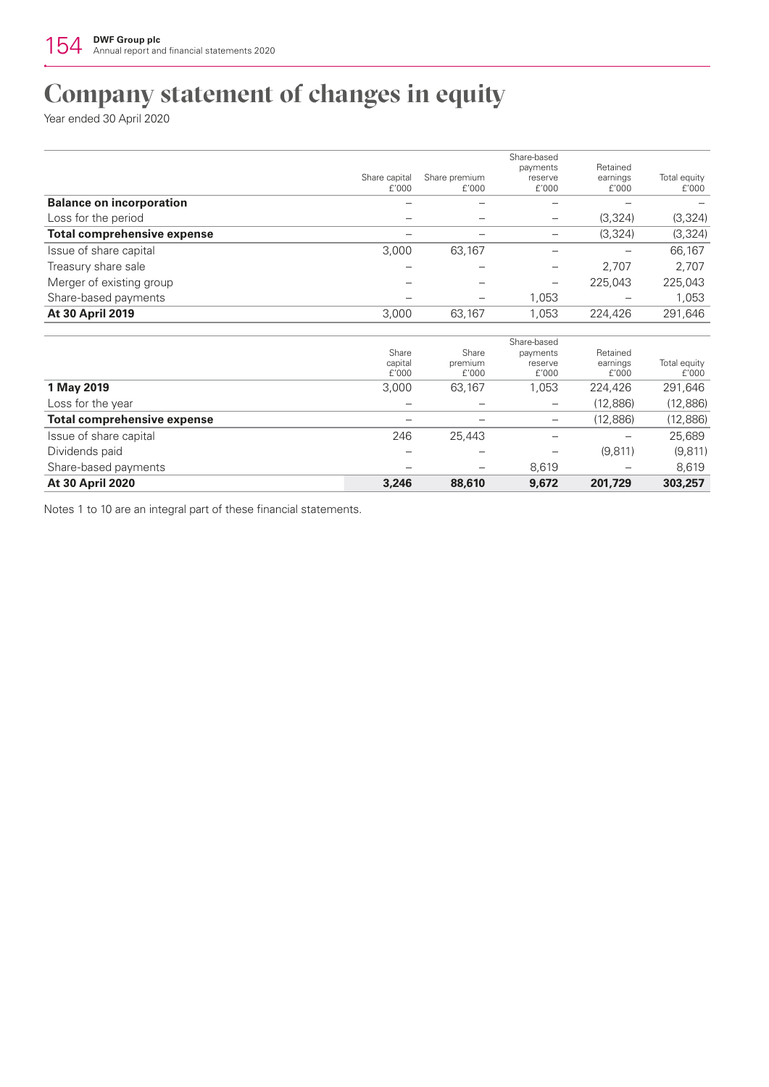## **Company statement of changes in equity**

Year ended 30 April 2020

|                                    |                           |                           | Share-based                  | Retained                      |                       |
|------------------------------------|---------------------------|---------------------------|------------------------------|-------------------------------|-----------------------|
|                                    | Share capital<br>f'000    | Share premium<br>f'000    | payments<br>reserve<br>f'000 | earnings<br>f'000             | Total equity<br>f'000 |
| <b>Balance on incorporation</b>    |                           |                           |                              |                               |                       |
| Loss for the period                |                           |                           | $\overline{\phantom{0}}$     | (3,324)                       | (3, 324)              |
| <b>Total comprehensive expense</b> |                           | -                         | —                            | (3, 324)                      | (3, 324)              |
| Issue of share capital             | 3,000                     | 63,167                    | —                            |                               | 66,167                |
| Treasury share sale                |                           |                           |                              | 2,707                         | 2,707                 |
| Merger of existing group           |                           |                           |                              | 225,043                       | 225,043               |
| Share-based payments               |                           |                           | 1,053                        |                               | 1,053                 |
| At 30 April 2019                   | 3,000                     | 63,167                    | 1,053                        | 224,426                       | 291,646               |
|                                    |                           |                           | Share-based                  |                               |                       |
|                                    | Share<br>capital<br>f'000 | Share<br>premium<br>f'000 | payments<br>reserve<br>f'000 | Retained<br>earnings<br>f'000 | Total equity<br>f'000 |
| 1 May 2019                         | 3,000                     | 63,167                    | 1,053                        | 224,426                       | 291,646               |
| Loss for the year                  |                           |                           |                              | (12,886)                      | (12,886)              |
| <b>Total comprehensive expense</b> |                           |                           |                              | (12,886)                      | (12,886)              |
| Issue of share capital             | 246                       | 25,443                    | —                            |                               | 25,689                |
| Dividends paid                     |                           |                           |                              | (9,811)                       | (9,811)               |
| Share-based payments               |                           |                           | 8,619                        |                               | 8,619                 |
| <b>At 30 April 2020</b>            | 3,246                     | 88,610                    | 9,672                        | 201,729                       | 303,257               |

Notes 1 to 10 are an integral part of these financial statements.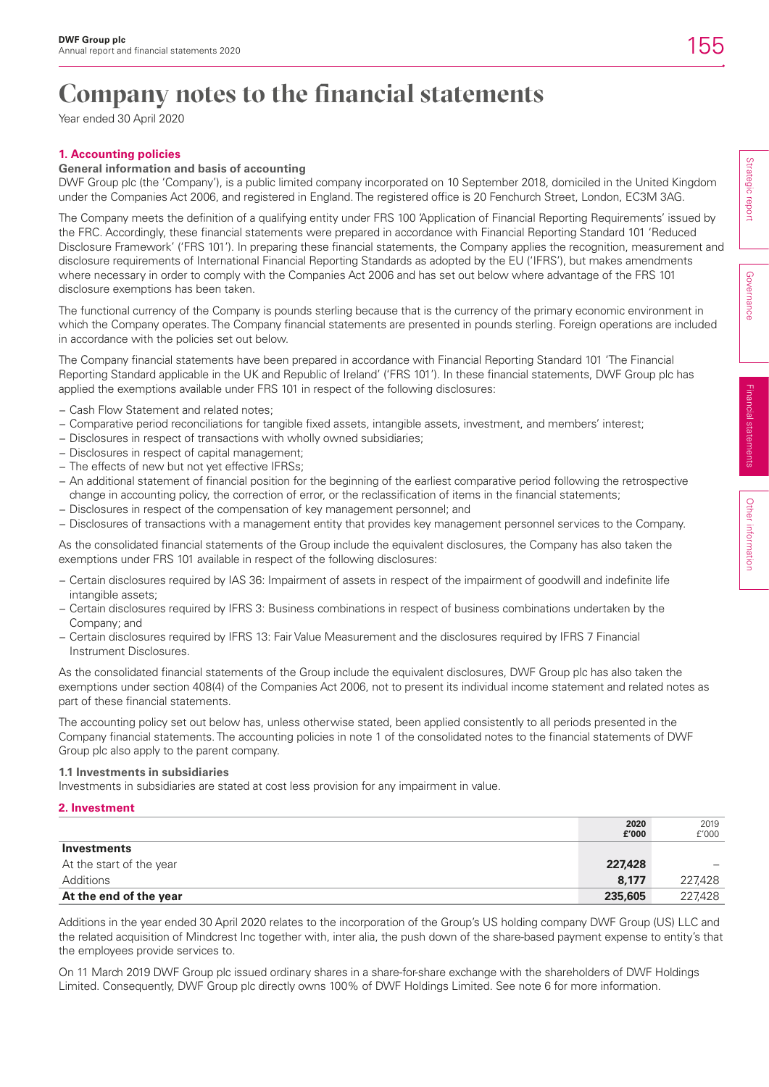## **Company notes to the financial statements**

Year ended 30 April 2020

## **1. Accounting policies**

## **General information and basis of accounting**

DWF Group plc (the 'Company'), is a public limited company incorporated on 10 September 2018, domiciled in the United Kingdom under the Companies Act 2006, and registered in England. The registered office is 20 Fenchurch Street, London, EC3M 3AG.

The Company meets the definition of a qualifying entity under FRS 100 'Application of Financial Reporting Requirements' issued by the FRC. Accordingly, these financial statements were prepared in accordance with Financial Reporting Standard 101 'Reduced Disclosure Framework' ('FRS 101'). In preparing these financial statements, the Company applies the recognition, measurement and disclosure requirements of International Financial Reporting Standards as adopted by the EU ('IFRS'), but makes amendments where necessary in order to comply with the Companies Act 2006 and has set out below where advantage of the FRS 101 disclosure exemptions has been taken.

The functional currency of the Company is pounds sterling because that is the currency of the primary economic environment in which the Company operates. The Company financial statements are presented in pounds sterling. Foreign operations are included in accordance with the policies set out below.

The Company financial statements have been prepared in accordance with Financial Reporting Standard 101 'The Financial Reporting Standard applicable in the UK and Republic of Ireland' ('FRS 101'). In these financial statements, DWF Group plc has applied the exemptions available under FRS 101 in respect of the following disclosures:

- − Cash Flow Statement and related notes;
- − Comparative period reconciliations for tangible fixed assets, intangible assets, investment, and members' interest;
- − Disclosures in respect of transactions with wholly owned subsidiaries;
- − Disclosures in respect of capital management;
- − The effects of new but not yet effective IFRSs;
- − An additional statement of financial position for the beginning of the earliest comparative period following the retrospective change in accounting policy, the correction of error, or the reclassification of items in the financial statements;
- − Disclosures in respect of the compensation of key management personnel; and
- − Disclosures of transactions with a management entity that provides key management personnel services to the Company.

As the consolidated financial statements of the Group include the equivalent disclosures, the Company has also taken the exemptions under FRS 101 available in respect of the following disclosures:

- − Certain disclosures required by IAS 36: Impairment of assets in respect of the impairment of goodwill and indefinite life intangible assets;
- − Certain disclosures required by IFRS 3: Business combinations in respect of business combinations undertaken by the Company; and
- − Certain disclosures required by IFRS 13: Fair Value Measurement and the disclosures required by IFRS 7 Financial Instrument Disclosures.

As the consolidated financial statements of the Group include the equivalent disclosures, DWF Group plc has also taken the exemptions under section 408(4) of the Companies Act 2006, not to present its individual income statement and related notes as part of these financial statements.

The accounting policy set out below has, unless otherwise stated, been applied consistently to all periods presented in the Company financial statements. The accounting policies in note 1 of the consolidated notes to the financial statements of DWF Group plc also apply to the parent company.

### **1.1 Investments in subsidiaries**

Investments in subsidiaries are stated at cost less provision for any impairment in value.

### **2. Investment**

|                          | 2020<br>£'000 | 2019<br>f'000 |
|--------------------------|---------------|---------------|
| Investments              |               |               |
| At the start of the year | 227,428       |               |
| Additions                | 8.177         | 227,428       |
| At the end of the year   | 235,605       | 227,428       |

Additions in the year ended 30 April 2020 relates to the incorporation of the Group's US holding company DWF Group (US) LLC and the related acquisition of Mindcrest Inc together with, inter alia, the push down of the share-based payment expense to entity's that the employees provide services to.

On 11 March 2019 DWF Group plc issued ordinary shares in a share-for-share exchange with the shareholders of DWF Holdings Limited. Consequently, DWF Group plc directly owns 100% of DWF Holdings Limited. See note 6 for more information.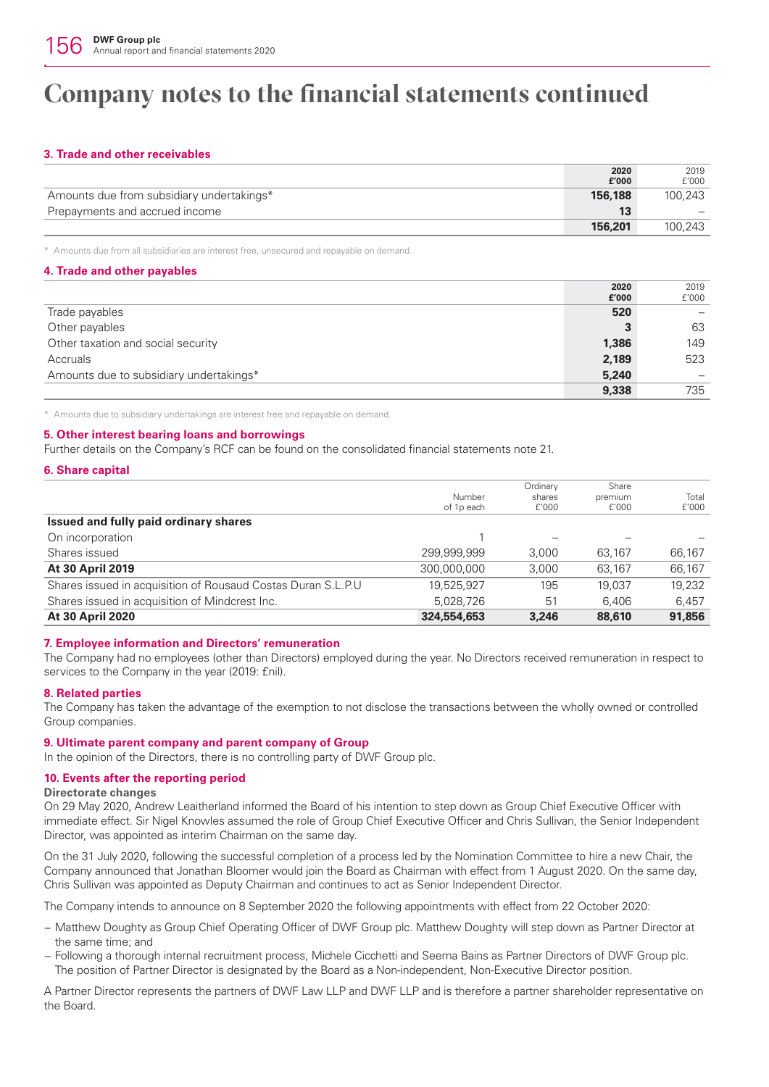## **Company notes to the financial statements continued**

## **3. Trade and other receivables**

|                                           | 2020    | 2019    |
|-------------------------------------------|---------|---------|
|                                           | £'000   | f'000   |
| Amounts due from subsidiary undertakings* | 156.188 | 100.243 |
| Prepayments and accrued income            | 13      |         |
|                                           | 156.201 | 100.243 |
|                                           |         |         |

\* Amounts due from all subsidiaries are interest free, unsecured and repayable on demand.

## **4. Trade and other payables**

|                                         | 2020  | 2019  |
|-----------------------------------------|-------|-------|
|                                         | £'000 | f'000 |
| Trade payables                          | 520   |       |
| Other payables                          | з     | 63    |
| Other taxation and social security      | 1,386 | 149   |
| Accruals                                | 2,189 | 523   |
| Amounts due to subsidiary undertakings* | 5,240 |       |
|                                         | 9,338 | 735   |

\* Amounts due to subsidiary undertakings are interest free and repayable on demand.

## **5. Other interest bearing loans and borrowings**

Further details on the Company's RCF can be found on the consolidated financial statements note 21.

### **6. Share capital**

|                                                              | Number      | Ordinary<br>shares | Share<br>premium | Total  |
|--------------------------------------------------------------|-------------|--------------------|------------------|--------|
| Issued and fully paid ordinary shares                        | of 1p each  | f'000              | £'000            | f'000  |
|                                                              |             |                    |                  |        |
| On incorporation                                             |             | -                  |                  |        |
| Shares issued                                                | 299.999.999 | 3.000              | 63.167           | 66,167 |
| At 30 April 2019                                             | 300,000,000 | 3,000              | 63.167           | 66,167 |
| Shares issued in acquisition of Rousaud Costas Duran S.L.P.U | 19.525.927  | 195                | 19.037           | 19.232 |
| Shares issued in acquisition of Mindcrest Inc.               | 5,028,726   | 51                 | 6.406            | 6.457  |
| <b>At 30 April 2020</b>                                      | 324,554,653 | 3,246              | 88,610           | 91,856 |

### **7. Employee information and Directors' remuneration**

The Company had no employees (other than Directors) employed during the year. No Directors received remuneration in respect to services to the Company in the year (2019: £nil).

### **8. Related parties**

The Company has taken the advantage of the exemption to not disclose the transactions between the wholly owned or controlled Group companies.

### **9. Ultimate parent company and parent company of Group**

In the opinion of the Directors, there is no controlling party of DWF Group plc.

### **10. Events after the reporting period**

### **Directorate changes**

On 29 May 2020, Andrew Leaitherland informed the Board of his intention to step down as Group Chief Executive Officer with immediate effect. Sir Nigel Knowles assumed the role of Group Chief Executive Officer and Chris Sullivan, the Senior Independent Director, was appointed as interim Chairman on the same day.

On the 31 July 2020, following the successful completion of a process led by the Nomination Committee to hire a new Chair, the Company announced that Jonathan Bloomer would join the Board as Chairman with effect from 1 August 2020. On the same day, Chris Sullivan was appointed as Deputy Chairman and continues to act as Senior Independent Director.

The Company intends to announce on 8 September 2020 the following appointments with effect from 22 October 2020:

- − Matthew Doughty as Group Chief Operating Officer of DWF Group plc. Matthew Doughty will step down as Partner Director at the same time; and
- − Following a thorough internal recruitment process, Michele Cicchetti and Seema Bains as Partner Directors of DWF Group plc. The position of Partner Director is designated by the Board as a Non-independent, Non-Executive Director position.

A Partner Director represents the partners of DWF Law LLP and DWF LLP and is therefore a partner shareholder representative on the Board.